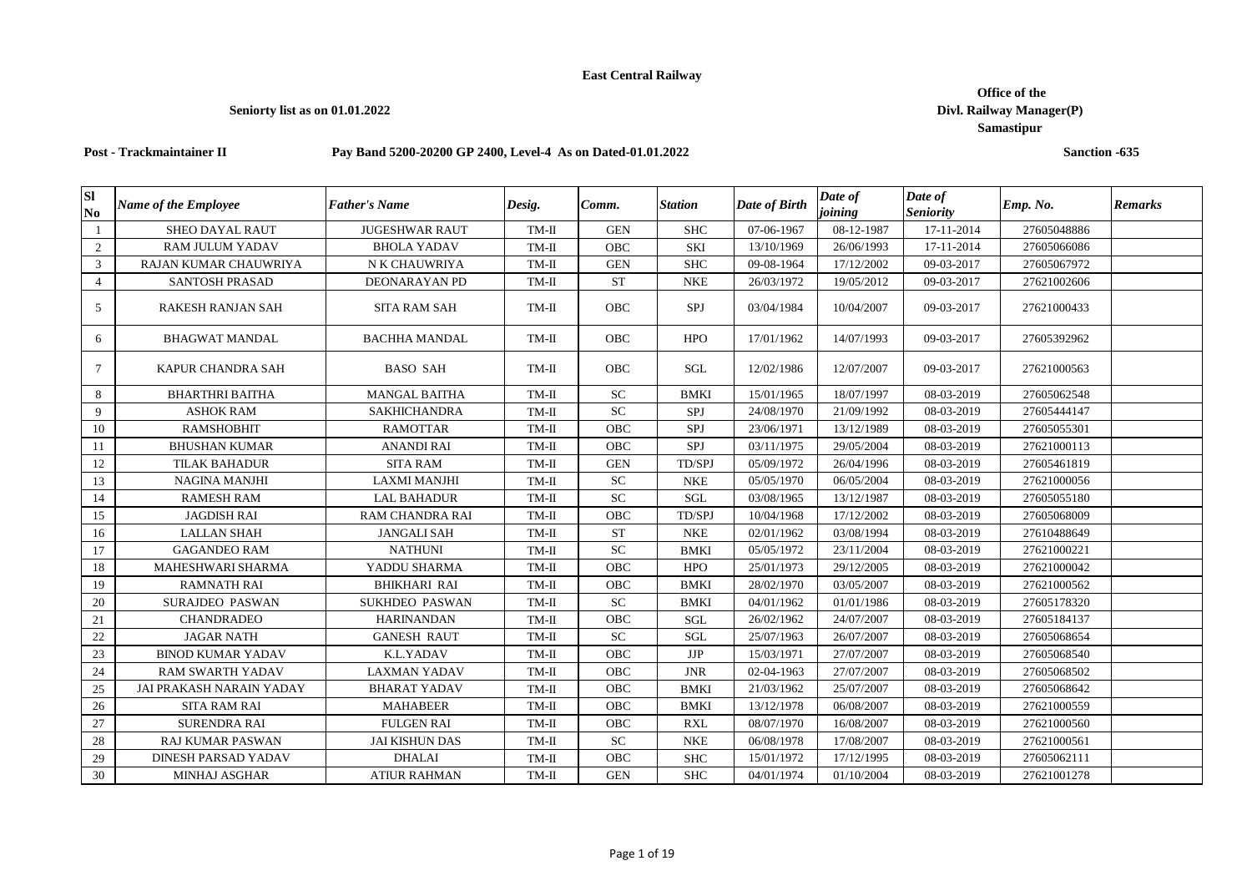## **East Central Railway**

## **Seniorty list as on 01.01.2022**

## **Post - Trackmaintainer II Pay Band 5200-20200 GP 2400, Level-4 As on Dated-01.01.2022**

| Sl<br>N <sub>0</sub> | <b>Name of the Employee</b> | <b>Father's Name</b>  | Desig.  | Comm.      | <b>Station</b> | Date of Birth | Date of<br>joining | Date of<br><b>Seniority</b> | Emp. No.    | <b>Remarks</b> |
|----------------------|-----------------------------|-----------------------|---------|------------|----------------|---------------|--------------------|-----------------------------|-------------|----------------|
| -1                   | <b>SHEO DAYAL RAUT</b>      | <b>JUGESHWAR RAUT</b> | TM-II   | <b>GEN</b> | <b>SHC</b>     | 07-06-1967    | 08-12-1987         | 17-11-2014                  | 27605048886 |                |
| 2                    | <b>RAM JULUM YADAV</b>      | <b>BHOLA YADAV</b>    | TM-II   | OBC        | SKI            | 13/10/1969    | 26/06/1993         | 17-11-2014                  | 27605066086 |                |
| 3                    | RAJAN KUMAR CHAUWRIYA       | N K CHAUWRIYA         | $TM-II$ | <b>GEN</b> | <b>SHC</b>     | 09-08-1964    | 17/12/2002         | 09-03-2017                  | 27605067972 |                |
| $\overline{4}$       | <b>SANTOSH PRASAD</b>       | <b>DEONARAYAN PD</b>  | TM-II   | <b>ST</b>  | <b>NKE</b>     | 26/03/1972    | 19/05/2012         | 09-03-2017                  | 27621002606 |                |
| 5                    | RAKESH RANJAN SAH           | <b>SITA RAM SAH</b>   | TM-II   | OBC        | SPJ            | 03/04/1984    | 10/04/2007         | 09-03-2017                  | 27621000433 |                |
| 6                    | <b>BHAGWAT MANDAL</b>       | <b>BACHHA MANDAL</b>  | $TM-II$ | <b>OBC</b> | <b>HPO</b>     | 17/01/1962    | 14/07/1993         | 09-03-2017                  | 27605392962 |                |
| $\tau$               | KAPUR CHANDRA SAH           | <b>BASO SAH</b>       | $TM-II$ | OBC        | SGL            | 12/02/1986    | 12/07/2007         | 09-03-2017                  | 27621000563 |                |
| 8                    | <b>BHARTHRI BAITHA</b>      | <b>MANGAL BAITHA</b>  | TM-II   | SC         | <b>BMKI</b>    | 15/01/1965    | 18/07/1997         | 08-03-2019                  | 27605062548 |                |
| 9                    | <b>ASHOK RAM</b>            | <b>SAKHICHANDRA</b>   | TM-II   | ${\rm SC}$ | SPJ            | 24/08/1970    | 21/09/1992         | 08-03-2019                  | 27605444147 |                |
| 10                   | <b>RAMSHOBHIT</b>           | <b>RAMOTTAR</b>       | TM-II   | OBC        | SPJ            | 23/06/1971    | 13/12/1989         | 08-03-2019                  | 27605055301 |                |
| 11                   | <b>BHUSHAN KUMAR</b>        | <b>ANANDI RAI</b>     | TM-II   | OBC        | SPJ            | 03/11/1975    | 29/05/2004         | 08-03-2019                  | 27621000113 |                |
| 12                   | <b>TILAK BAHADUR</b>        | <b>SITA RAM</b>       | TM-II   | <b>GEN</b> | TD/SPJ         | 05/09/1972    | 26/04/1996         | 08-03-2019                  | 27605461819 |                |
| 13                   | <b>NAGINA MANJHI</b>        | LAXMI MANJHI          | $TM-II$ | SC         | <b>NKE</b>     | 05/05/1970    | 06/05/2004         | 08-03-2019                  | 27621000056 |                |
| 14                   | <b>RAMESH RAM</b>           | <b>LAL BAHADUR</b>    | $TM-II$ | <b>SC</b>  | SGL            | 03/08/1965    | 13/12/1987         | 08-03-2019                  | 27605055180 |                |
| 15                   | <b>JAGDISH RAI</b>          | RAM CHANDRA RAI       | TM-II   | OBC        | TD/SPJ         | 10/04/1968    | 17/12/2002         | 08-03-2019                  | 27605068009 |                |
| 16                   | <b>LALLAN SHAH</b>          | <b>JANGALI SAH</b>    | TM-II   | <b>ST</b>  | <b>NKE</b>     | 02/01/1962    | 03/08/1994         | 08-03-2019                  | 27610488649 |                |
| 17                   | <b>GAGANDEO RAM</b>         | <b>NATHUNI</b>        | TM-II   | SC         | <b>BMKI</b>    | 05/05/1972    | 23/11/2004         | 08-03-2019                  | 27621000221 |                |
| 18                   | MAHESHWARI SHARMA           | YADDU SHARMA          | TM-II   | <b>OBC</b> | <b>HPO</b>     | 25/01/1973    | 29/12/2005         | 08-03-2019                  | 27621000042 |                |
| 19                   | <b>RAMNATH RAI</b>          | <b>BHIKHARI RAI</b>   | $TM-II$ | OBC        | <b>BMKI</b>    | 28/02/1970    | 03/05/2007         | 08-03-2019                  | 27621000562 |                |
| 20                   | <b>SURAJDEO PASWAN</b>      | <b>SUKHDEO PASWAN</b> | TM-II   | SC         | <b>BMKI</b>    | 04/01/1962    | 01/01/1986         | 08-03-2019                  | 27605178320 |                |
| 21                   | <b>CHANDRADEO</b>           | <b>HARINANDAN</b>     | $TM-II$ | OBC        | SGL            | 26/02/1962    | 24/07/2007         | 08-03-2019                  | 27605184137 |                |
| 22                   | <b>JAGAR NATH</b>           | <b>GANESH RAUT</b>    | $TM-II$ | <b>SC</b>  | SGL            | 25/07/1963    | 26/07/2007         | 08-03-2019                  | 27605068654 |                |
| 23                   | <b>BINOD KUMAR YADAV</b>    | K.L.YADAV             | TM-II   | OBC        | JJP            | 15/03/1971    | 27/07/2007         | 08-03-2019                  | 27605068540 |                |
| 24                   | <b>RAM SWARTH YADAV</b>     | <b>LAXMAN YADAV</b>   | $TM-II$ | <b>OBC</b> | <b>JNR</b>     | 02-04-1963    | 27/07/2007         | 08-03-2019                  | 27605068502 |                |
| 25                   | JAI PRAKASH NARAIN YADAY    | <b>BHARAT YADAV</b>   | TM-II   | <b>OBC</b> | <b>BMKI</b>    | 21/03/1962    | 25/07/2007         | 08-03-2019                  | 27605068642 |                |
| 26                   | <b>SITA RAM RAI</b>         | <b>MAHABEER</b>       | TM-II   | OBC        | <b>BMKI</b>    | 13/12/1978    | 06/08/2007         | 08-03-2019                  | 27621000559 |                |
| 27                   | <b>SURENDRA RAI</b>         | <b>FULGEN RAI</b>     | $TM-II$ | <b>OBC</b> | <b>RXL</b>     | 08/07/1970    | 16/08/2007         | 08-03-2019                  | 27621000560 |                |
| 28                   | <b>RAJ KUMAR PASWAN</b>     | <b>JAI KISHUN DAS</b> | $TM-II$ | <b>SC</b>  | <b>NKE</b>     | 06/08/1978    | 17/08/2007         | 08-03-2019                  | 27621000561 |                |
| 29                   | <b>DINESH PARSAD YADAV</b>  | <b>DHALAI</b>         | $TM-II$ | OBC        | <b>SHC</b>     | 15/01/1972    | 17/12/1995         | 08-03-2019                  | 27605062111 |                |
| 30                   | <b>MINHAJ ASGHAR</b>        | <b>ATIUR RAHMAN</b>   | $TM-II$ | <b>GEN</b> | <b>SHC</b>     | 04/01/1974    | 01/10/2004         | 08-03-2019                  | 27621001278 |                |

 **Office of the Divl. Railway Manager(P) Samastipur**

**Sanction -635**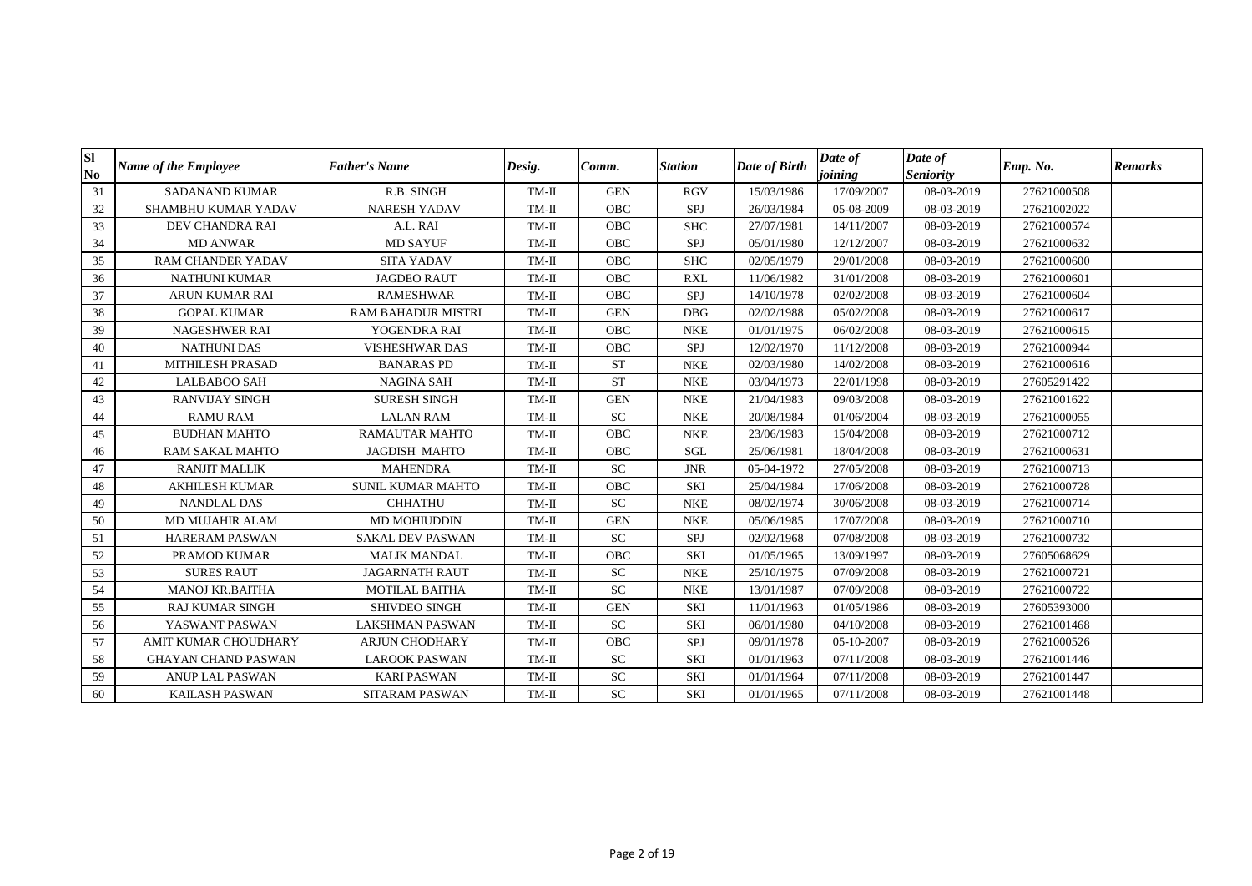| Sl<br>N <sub>0</sub> | <b>Name of the Employee</b> | Father's Name             | Desig.  | Comm.      | <b>Station</b> | Date of Birth | Date of<br>joining | Date of<br><b>Seniority</b> | Emp. No.    | <b>Remarks</b> |
|----------------------|-----------------------------|---------------------------|---------|------------|----------------|---------------|--------------------|-----------------------------|-------------|----------------|
| 31                   | <b>SADANAND KUMAR</b>       | R.B. SINGH                | TM-II   | <b>GEN</b> | <b>RGV</b>     | 15/03/1986    | 17/09/2007         | 08-03-2019                  | 27621000508 |                |
| 32                   | SHAMBHU KUMAR YADAV         | <b>NARESH YADAV</b>       | TM-II   | <b>OBC</b> | SPJ            | 26/03/1984    | 05-08-2009         | 08-03-2019                  | 27621002022 |                |
| 33                   | DEV CHANDRA RAI             | A.L. RAI                  | TM-II   | <b>OBC</b> | <b>SHC</b>     | 27/07/1981    | 14/11/2007         | 08-03-2019                  | 27621000574 |                |
| 34                   | <b>MD ANWAR</b>             | <b>MD SAYUF</b>           | TM-II   | <b>OBC</b> | <b>SPJ</b>     | 05/01/1980    | 12/12/2007         | 08-03-2019                  | 27621000632 |                |
| 35                   | <b>RAM CHANDER YADAV</b>    | <b>SITA YADAV</b>         | TM-II   | <b>OBC</b> | <b>SHC</b>     | 02/05/1979    | 29/01/2008         | 08-03-2019                  | 27621000600 |                |
| 36                   | <b>NATHUNI KUMAR</b>        | <b>JAGDEO RAUT</b>        | TM-II   | <b>OBC</b> | <b>RXL</b>     | 11/06/1982    | 31/01/2008         | 08-03-2019                  | 27621000601 |                |
| 37                   | <b>ARUN KUMAR RAI</b>       | <b>RAMESHWAR</b>          | TM-II   | <b>OBC</b> | SPJ            | 14/10/1978    | 02/02/2008         | 08-03-2019                  | 27621000604 |                |
| 38                   | <b>GOPAL KUMAR</b>          | <b>RAM BAHADUR MISTRI</b> | TM-II   | <b>GEN</b> | <b>DBG</b>     | 02/02/1988    | 05/02/2008         | 08-03-2019                  | 27621000617 |                |
| 39                   | <b>NAGESHWER RAI</b>        | YOGENDRA RAI              | TM-II   | <b>OBC</b> | <b>NKE</b>     | 01/01/1975    | 06/02/2008         | 08-03-2019                  | 27621000615 |                |
| 40                   | <b>NATHUNI DAS</b>          | <b>VISHESHWAR DAS</b>     | $TM-II$ | <b>OBC</b> | SPJ            | 12/02/1970    | 11/12/2008         | 08-03-2019                  | 27621000944 |                |
| 41                   | MITHILESH PRASAD            | <b>BANARAS PD</b>         | TM-II   | <b>ST</b>  | <b>NKE</b>     | 02/03/1980    | 14/02/2008         | 08-03-2019                  | 27621000616 |                |
| 42                   | <b>LALBABOO SAH</b>         | <b>NAGINA SAH</b>         | TM-II   | <b>ST</b>  | <b>NKE</b>     | 03/04/1973    | 22/01/1998         | 08-03-2019                  | 27605291422 |                |
| 43                   | <b>RANVIJAY SINGH</b>       | <b>SURESH SINGH</b>       | TM-II   | <b>GEN</b> | <b>NKE</b>     | 21/04/1983    | 09/03/2008         | 08-03-2019                  | 27621001622 |                |
| 44                   | <b>RAMU RAM</b>             | <b>LALAN RAM</b>          | $TM-II$ | <b>SC</b>  | <b>NKE</b>     | 20/08/1984    | 01/06/2004         | 08-03-2019                  | 27621000055 |                |
| 45                   | <b>BUDHAN MAHTO</b>         | <b>RAMAUTAR MAHTO</b>     | TM-II   | OBC        | <b>NKE</b>     | 23/06/1983    | 15/04/2008         | 08-03-2019                  | 27621000712 |                |
| 46                   | RAM SAKAL MAHTO             | <b>JAGDISH MAHTO</b>      | $TM-II$ | OBC        | SGL            | 25/06/1981    | 18/04/2008         | 08-03-2019                  | 27621000631 |                |
| 47                   | <b>RANJIT MALLIK</b>        | <b>MAHENDRA</b>           | $TM-II$ | <b>SC</b>  | <b>JNR</b>     | 05-04-1972    | 27/05/2008         | 08-03-2019                  | 27621000713 |                |
| 48                   | <b>AKHILESH KUMAR</b>       | <b>SUNIL KUMAR MAHTO</b>  | $TM-II$ | OBC        | <b>SKI</b>     | 25/04/1984    | 17/06/2008         | 08-03-2019                  | 27621000728 |                |
| 49                   | <b>NANDLAL DAS</b>          | <b>CHHATHU</b>            | TM-II   | ${\rm SC}$ | <b>NKE</b>     | 08/02/1974    | 30/06/2008         | 08-03-2019                  | 27621000714 |                |
| 50                   | <b>MD MUJAHIR ALAM</b>      | <b>MD MOHIUDDIN</b>       | $TM-II$ | <b>GEN</b> | <b>NKE</b>     | 05/06/1985    | 17/07/2008         | 08-03-2019                  | 27621000710 |                |
| 51                   | <b>HARERAM PASWAN</b>       | <b>SAKAL DEV PASWAN</b>   | TM-II   | ${\rm SC}$ | SPJ            | 02/02/1968    | 07/08/2008         | 08-03-2019                  | 27621000732 |                |
| 52                   | PRAMOD KUMAR                | <b>MALIK MANDAL</b>       | TM-II   | OBC        | <b>SKI</b>     | 01/05/1965    | 13/09/1997         | 08-03-2019                  | 27605068629 |                |
| 53                   | <b>SURES RAUT</b>           | <b>JAGARNATH RAUT</b>     | $TM-II$ | <b>SC</b>  | <b>NKE</b>     | 25/10/1975    | 07/09/2008         | 08-03-2019                  | 27621000721 |                |
| 54                   | <b>MANOJ KR.BAITHA</b>      | <b>MOTILAL BAITHA</b>     | TM-II   | ${\rm SC}$ | <b>NKE</b>     | 13/01/1987    | 07/09/2008         | 08-03-2019                  | 27621000722 |                |
| 55                   | <b>RAJ KUMAR SINGH</b>      | <b>SHIVDEO SINGH</b>      | TM-II   | <b>GEN</b> | <b>SKI</b>     | 11/01/1963    | 01/05/1986         | 08-03-2019                  | 27605393000 |                |
| 56                   | YASWANT PASWAN              | LAKSHMAN PASWAN           | $TM-II$ | <b>SC</b>  | <b>SKI</b>     | 06/01/1980    | 04/10/2008         | 08-03-2019                  | 27621001468 |                |
| 57                   | AMIT KUMAR CHOUDHARY        | <b>ARJUN CHODHARY</b>     | TM-II   | <b>OBC</b> | SPJ            | 09/01/1978    | 05-10-2007         | 08-03-2019                  | 27621000526 |                |
| 58                   | <b>GHAYAN CHAND PASWAN</b>  | <b>LAROOK PASWAN</b>      | $TM-II$ | ${\rm SC}$ | <b>SKI</b>     | 01/01/1963    | 07/11/2008         | 08-03-2019                  | 27621001446 |                |
| 59                   | <b>ANUP LAL PASWAN</b>      | <b>KARI PASWAN</b>        | TM-II   | <b>SC</b>  | <b>SKI</b>     | 01/01/1964    | 07/11/2008         | 08-03-2019                  | 27621001447 |                |
| 60                   | <b>KAILASH PASWAN</b>       | <b>SITARAM PASWAN</b>     | $TM-II$ | ${\rm SC}$ | <b>SKI</b>     | 01/01/1965    | 07/11/2008         | 08-03-2019                  | 27621001448 |                |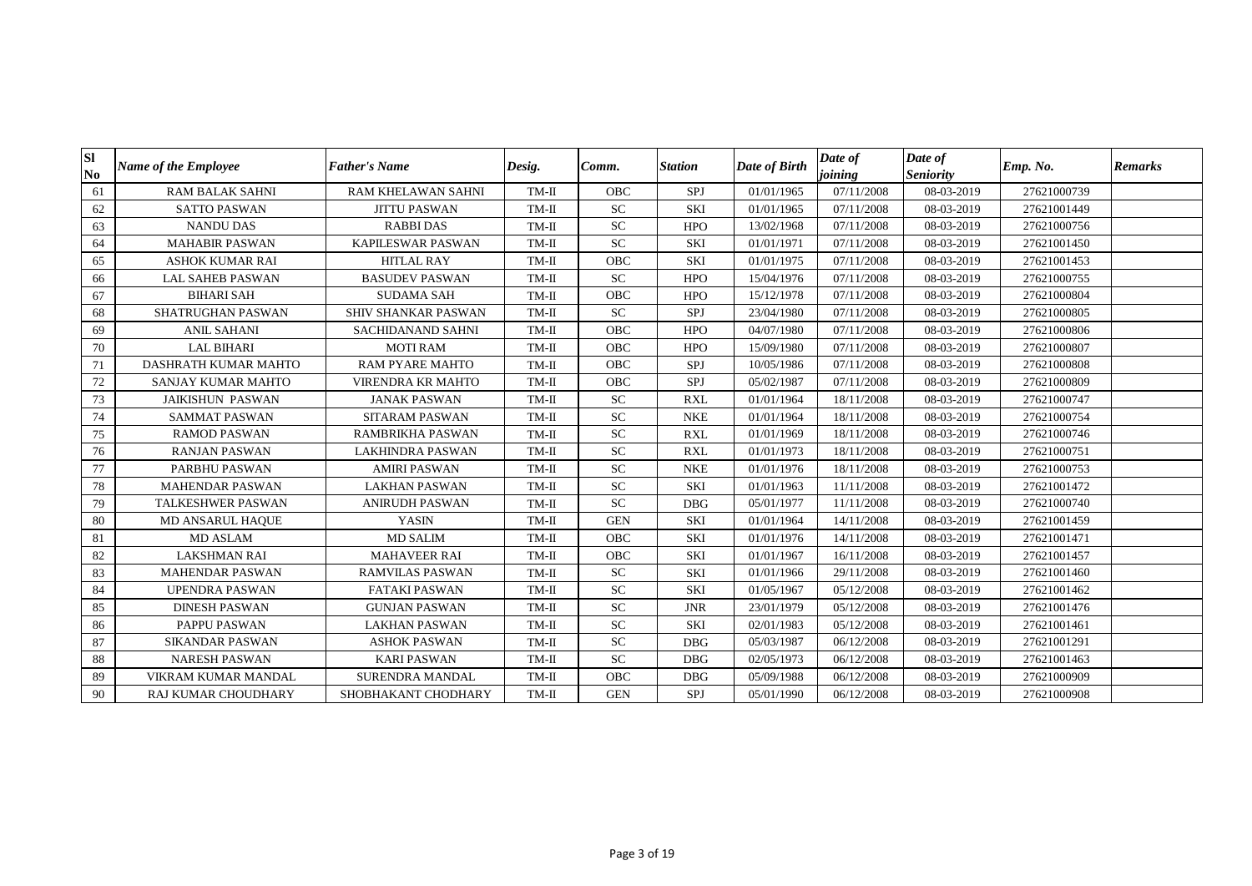| Sl<br>$\mathbf{N}\mathbf{0}$ | <b>Name of the Employee</b> | <b>Father's Name</b>     | Desig.  | Comm.       | <b>Station</b> | Date of Birth | Date of<br>joining | Date of<br><b>Seniority</b> | Emp. No.    | <b>Remarks</b> |
|------------------------------|-----------------------------|--------------------------|---------|-------------|----------------|---------------|--------------------|-----------------------------|-------------|----------------|
| 61                           | <b>RAM BALAK SAHNI</b>      | RAM KHELAWAN SAHNI       | TM-II   | <b>OBC</b>  | SPJ            | 01/01/1965    | 07/11/2008         | 08-03-2019                  | 27621000739 |                |
| 62                           | <b>SATTO PASWAN</b>         | <b>JITTU PASWAN</b>      | TM-II   | <b>SC</b>   | <b>SKI</b>     | 01/01/1965    | 07/11/2008         | 08-03-2019                  | 27621001449 |                |
| 63                           | <b>NANDU DAS</b>            | <b>RABBIDAS</b>          | $TM-II$ | ${\rm SC}$  | <b>HPO</b>     | 13/02/1968    | 07/11/2008         | 08-03-2019                  | 27621000756 |                |
| 64                           | <b>MAHABIR PASWAN</b>       | KAPILESWAR PASWAN        | TM-II   | ${\rm SC}$  | <b>SKI</b>     | 01/01/1971    | 07/11/2008         | 08-03-2019                  | 27621001450 |                |
| 65                           | <b>ASHOK KUMAR RAI</b>      | <b>HITLAL RAY</b>        | $TM-II$ | OBC         | <b>SKI</b>     | 01/01/1975    | 07/11/2008         | 08-03-2019                  | 27621001453 |                |
| 66                           | <b>LAL SAHEB PASWAN</b>     | <b>BASUDEV PASWAN</b>    | TM-II   | <b>SC</b>   | <b>HPO</b>     | 15/04/1976    | 07/11/2008         | 08-03-2019                  | 27621000755 |                |
| 67                           | <b>BIHARI SAH</b>           | <b>SUDAMA SAH</b>        | $TM-II$ | ${\rm OBC}$ | <b>HPO</b>     | 15/12/1978    | 07/11/2008         | 08-03-2019                  | 27621000804 |                |
| 68                           | SHATRUGHAN PASWAN           | SHIV SHANKAR PASWAN      | TM-II   | <b>SC</b>   | SPJ            | 23/04/1980    | 07/11/2008         | 08-03-2019                  | 27621000805 |                |
| 69                           | <b>ANIL SAHANI</b>          | SACHIDANAND SAHNI        | TM-II   | OBC         | <b>HPO</b>     | 04/07/1980    | 07/11/2008         | 08-03-2019                  | 27621000806 |                |
| 70                           | <b>LAL BIHARI</b>           | <b>MOTI RAM</b>          | $TM-II$ | OBC         | <b>HPO</b>     | 15/09/1980    | 07/11/2008         | 08-03-2019                  | 27621000807 |                |
| 71                           | DASHRATH KUMAR MAHTO        | <b>RAM PYARE MAHTO</b>   | TM-II   | <b>OBC</b>  | SPJ            | 10/05/1986    | 07/11/2008         | 08-03-2019                  | 27621000808 |                |
| 72                           | SANJAY KUMAR MAHTO          | <b>VIRENDRA KR MAHTO</b> | TM-II   | <b>OBC</b>  | SPJ            | 05/02/1987    | 07/11/2008         | 08-03-2019                  | 27621000809 |                |
| 73                           | <b>JAIKISHUN PASWAN</b>     | <b>JANAK PASWAN</b>      | $TM-II$ | ${\rm SC}$  | <b>RXL</b>     | 01/01/1964    | 18/11/2008         | 08-03-2019                  | 27621000747 |                |
| 74                           | <b>SAMMAT PASWAN</b>        | <b>SITARAM PASWAN</b>    | $TM-II$ | <b>SC</b>   | <b>NKE</b>     | 01/01/1964    | 18/11/2008         | 08-03-2019                  | 27621000754 |                |
| 75                           | <b>RAMOD PASWAN</b>         | RAMBRIKHA PASWAN         | TM-II   | <b>SC</b>   | <b>RXL</b>     | 01/01/1969    | 18/11/2008         | 08-03-2019                  | 27621000746 |                |
| 76                           | <b>RANJAN PASWAN</b>        | <b>LAKHINDRA PASWAN</b>  | $TM-II$ | ${\rm SC}$  | <b>RXL</b>     | 01/01/1973    | 18/11/2008         | 08-03-2019                  | 27621000751 |                |
| 77                           | PARBHU PASWAN               | <b>AMIRI PASWAN</b>      | $TM-II$ | SC          | <b>NKE</b>     | 01/01/1976    | 18/11/2008         | 08-03-2019                  | 27621000753 |                |
| 78                           | <b>MAHENDAR PASWAN</b>      | <b>LAKHAN PASWAN</b>     | TM-II   | ${\rm SC}$  | <b>SKI</b>     | 01/01/1963    | 11/11/2008         | 08-03-2019                  | 27621001472 |                |
| 79                           | <b>TALKESHWER PASWAN</b>    | <b>ANIRUDH PASWAN</b>    | $TM-II$ | ${\rm SC}$  | <b>DBG</b>     | 05/01/1977    | 11/11/2008         | 08-03-2019                  | 27621000740 |                |
| 80                           | MD ANSARUL HAQUE            | <b>YASIN</b>             | $TM-II$ | <b>GEN</b>  | SKI            | 01/01/1964    | 14/11/2008         | 08-03-2019                  | 27621001459 |                |
| 81                           | <b>MD ASLAM</b>             | <b>MD SALIM</b>          | TM-II   | <b>OBC</b>  | <b>SKI</b>     | 01/01/1976    | 14/11/2008         | 08-03-2019                  | 27621001471 |                |
| 82                           | <b>LAKSHMAN RAI</b>         | <b>MAHAVEER RAI</b>      | TM-II   | <b>OBC</b>  | <b>SKI</b>     | 01/01/1967    | 16/11/2008         | 08-03-2019                  | 27621001457 |                |
| 83                           | <b>MAHENDAR PASWAN</b>      | <b>RAMVILAS PASWAN</b>   | $TM-II$ | SC          | SKI            | 01/01/1966    | 29/11/2008         | 08-03-2019                  | 27621001460 |                |
| 84                           | <b>UPENDRA PASWAN</b>       | <b>FATAKI PASWAN</b>     | $TM-II$ | ${\rm SC}$  | <b>SKI</b>     | 01/05/1967    | 05/12/2008         | 08-03-2019                  | 27621001462 |                |
| 85                           | <b>DINESH PASWAN</b>        | <b>GUNJAN PASWAN</b>     | $TM-II$ | <b>SC</b>   | <b>JNR</b>     | 23/01/1979    | 05/12/2008         | 08-03-2019                  | 27621001476 |                |
| 86                           | PAPPU PASWAN                | <b>LAKHAN PASWAN</b>     | $TM-II$ | <b>SC</b>   | <b>SKI</b>     | 02/01/1983    | 05/12/2008         | 08-03-2019                  | 27621001461 |                |
| 87                           | <b>SIKANDAR PASWAN</b>      | <b>ASHOK PASWAN</b>      | $TM-II$ | ${\rm SC}$  | DBG            | 05/03/1987    | 06/12/2008         | 08-03-2019                  | 27621001291 |                |
| 88                           | <b>NARESH PASWAN</b>        | <b>KARI PASWAN</b>       | TM-II   | ${\rm SC}$  | <b>DBG</b>     | 02/05/1973    | 06/12/2008         | 08-03-2019                  | 27621001463 |                |
| 89                           | VIKRAM KUMAR MANDAL         | <b>SURENDRA MANDAL</b>   | $TM-II$ | <b>OBC</b>  | <b>DBG</b>     | 05/09/1988    | 06/12/2008         | 08-03-2019                  | 27621000909 |                |
| 90                           | RAJ KUMAR CHOUDHARY         | SHOBHAKANT CHODHARY      | TM-II   | <b>GEN</b>  | SPJ            | 05/01/1990    | 06/12/2008         | 08-03-2019                  | 27621000908 |                |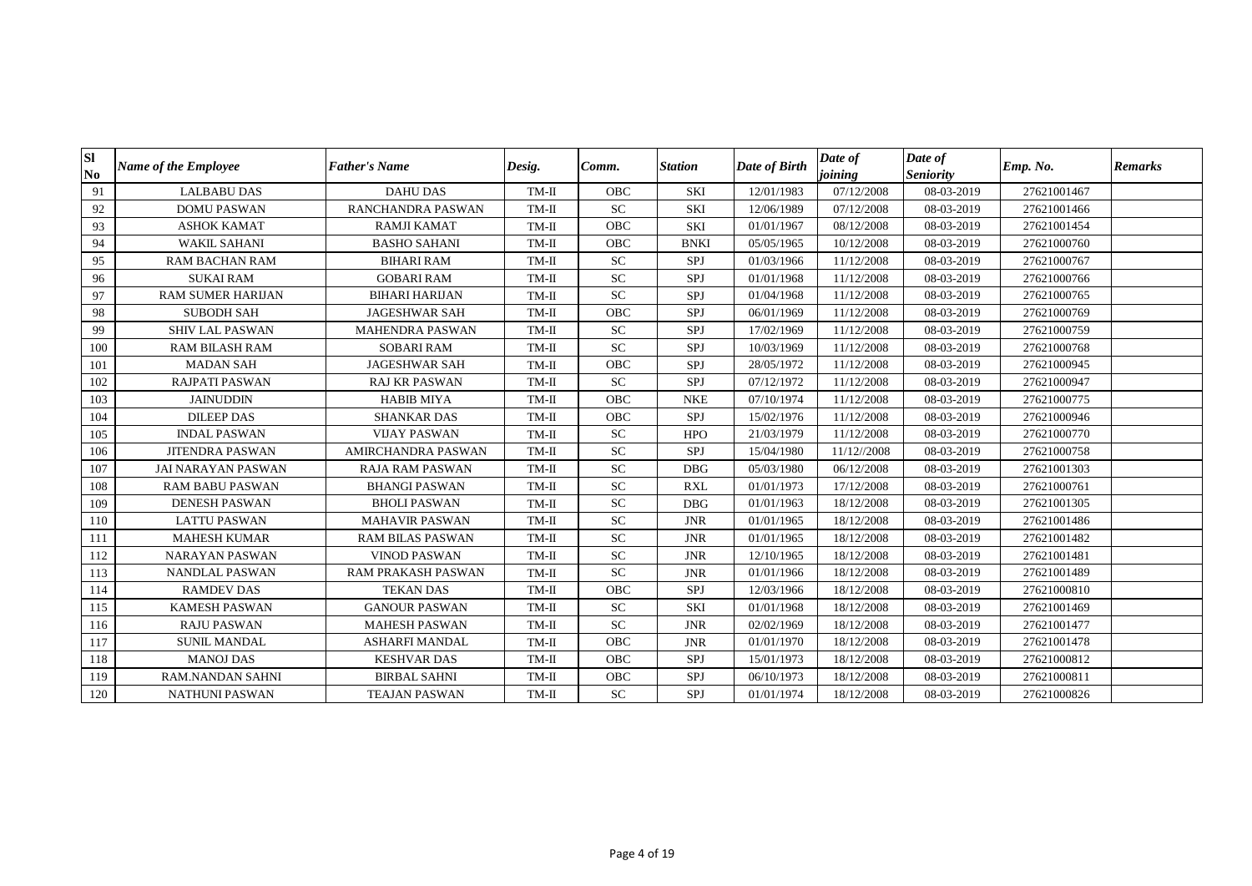| Sl<br>$\mathbf{N}\mathbf{0}$ | <b>Name of the Employee</b> | <b>Father's Name</b>    | Desig.  | Comm.      | <b>Station</b> | Date of Birth | Date of<br>joining | Date of<br><b>Seniority</b> | Emp. No.    | <b>Remarks</b> |
|------------------------------|-----------------------------|-------------------------|---------|------------|----------------|---------------|--------------------|-----------------------------|-------------|----------------|
| 91                           | <b>LALBABU DAS</b>          | <b>DAHU DAS</b>         | TM-II   | <b>OBC</b> | <b>SKI</b>     | 12/01/1983    | 07/12/2008         | 08-03-2019                  | 27621001467 |                |
| 92                           | <b>DOMU PASWAN</b>          | RANCHANDRA PASWAN       | TM-II   | <b>SC</b>  | <b>SKI</b>     | 12/06/1989    | 07/12/2008         | 08-03-2019                  | 27621001466 |                |
| 93                           | <b>ASHOK KAMAT</b>          | <b>RAMJI KAMAT</b>      | $TM-II$ | <b>OBC</b> | <b>SKI</b>     | 01/01/1967    | 08/12/2008         | 08-03-2019                  | 27621001454 |                |
| 94                           | <b>WAKIL SAHANI</b>         | <b>BASHO SAHANI</b>     | TM-II   | OBC        | <b>BNKI</b>    | 05/05/1965    | 10/12/2008         | 08-03-2019                  | 27621000760 |                |
| 95                           | <b>RAM BACHAN RAM</b>       | <b>BIHARI RAM</b>       | $TM-II$ | <b>SC</b>  | SPJ            | 01/03/1966    | 11/12/2008         | 08-03-2019                  | 27621000767 |                |
| 96                           | <b>SUKAI RAM</b>            | <b>GOBARI RAM</b>       | TM-II   | <b>SC</b>  | SPJ            | 01/01/1968    | 11/12/2008         | 08-03-2019                  | 27621000766 |                |
| 97                           | <b>RAM SUMER HARIJAN</b>    | <b>BIHARI HARIJAN</b>   | $TM-II$ | ${\rm SC}$ | SPJ            | 01/04/1968    | 11/12/2008         | 08-03-2019                  | 27621000765 |                |
| 98                           | <b>SUBODH SAH</b>           | <b>JAGESHWAR SAH</b>    | TM-II   | OBC        | SPJ            | 06/01/1969    | 11/12/2008         | 08-03-2019                  | 27621000769 |                |
| 99                           | <b>SHIV LAL PASWAN</b>      | <b>MAHENDRA PASWAN</b>  | TM-II   | ${\rm SC}$ | SPJ            | 17/02/1969    | 11/12/2008         | 08-03-2019                  | 27621000759 |                |
| 100                          | <b>RAM BILASH RAM</b>       | <b>SOBARI RAM</b>       | $TM-II$ | <b>SC</b>  | SPJ            | 10/03/1969    | 11/12/2008         | 08-03-2019                  | 27621000768 |                |
| 101                          | <b>MADAN SAH</b>            | <b>JAGESHWAR SAH</b>    | TM-II   | OBC        | SPJ            | 28/05/1972    | 11/12/2008         | 08-03-2019                  | 27621000945 |                |
| 102                          | <b>RAJPATI PASWAN</b>       | <b>RAJ KR PASWAN</b>    | TM-II   | <b>SC</b>  | SPJ            | 07/12/1972    | 11/12/2008         | 08-03-2019                  | 27621000947 |                |
| 103                          | <b>JAINUDDIN</b>            | <b>HABIB MIYA</b>       | $TM-II$ | OBC        | <b>NKE</b>     | 07/10/1974    | 11/12/2008         | 08-03-2019                  | 27621000775 |                |
| 104                          | <b>DILEEP DAS</b>           | <b>SHANKAR DAS</b>      | TM-II   | OBC        | SPJ            | 15/02/1976    | 11/12/2008         | 08-03-2019                  | 27621000946 |                |
| 105                          | <b>INDAL PASWAN</b>         | <b>VIJAY PASWAN</b>     | TM-II   | <b>SC</b>  | <b>HPO</b>     | 21/03/1979    | 11/12/2008         | 08-03-2019                  | 27621000770 |                |
| 106                          | <b>JITENDRA PASWAN</b>      | AMIRCHANDRA PASWAN      | TM-II   | ${\rm SC}$ | SPJ            | 15/04/1980    | 11/12//2008        | 08-03-2019                  | 27621000758 |                |
| 107                          | <b>JAI NARAYAN PASWAN</b>   | <b>RAJA RAM PASWAN</b>  | $TM-II$ | SC         | <b>DBG</b>     | 05/03/1980    | 06/12/2008         | 08-03-2019                  | 27621001303 |                |
| 108                          | <b>RAM BABU PASWAN</b>      | <b>BHANGI PASWAN</b>    | $TM-II$ | ${\rm SC}$ | <b>RXL</b>     | 01/01/1973    | 17/12/2008         | 08-03-2019                  | 27621000761 |                |
| 109                          | <b>DENESH PASWAN</b>        | <b>BHOLI PASWAN</b>     | TM-II   | ${\rm SC}$ | <b>DBG</b>     | 01/01/1963    | 18/12/2008         | 08-03-2019                  | 27621001305 |                |
| 110                          | <b>LATTU PASWAN</b>         | <b>MAHAVIR PASWAN</b>   | $TM-II$ | ${\rm SC}$ | <b>JNR</b>     | 01/01/1965    | 18/12/2008         | 08-03-2019                  | 27621001486 |                |
| 111                          | MAHESH KUMAR                | <b>RAM BILAS PASWAN</b> | TM-II   | ${\rm SC}$ | <b>JNR</b>     | 01/01/1965    | 18/12/2008         | 08-03-2019                  | 27621001482 |                |
| 112                          | <b>NARAYAN PASWAN</b>       | <b>VINOD PASWAN</b>     | TM-II   | ${\rm SC}$ | <b>JNR</b>     | 12/10/1965    | 18/12/2008         | 08-03-2019                  | 27621001481 |                |
| 113                          | NANDLAL PASWAN              | RAM PRAKASH PASWAN      | $TM-II$ | <b>SC</b>  | <b>JNR</b>     | 01/01/1966    | 18/12/2008         | 08-03-2019                  | 27621001489 |                |
| 114                          | <b>RAMDEV DAS</b>           | <b>TEKAN DAS</b>        | $TM-II$ | OBC        | SPJ            | 12/03/1966    | 18/12/2008         | 08-03-2019                  | 27621000810 |                |
| 115                          | <b>KAMESH PASWAN</b>        | <b>GANOUR PASWAN</b>    | TM-II   | <b>SC</b>  | <b>SKI</b>     | 01/01/1968    | 18/12/2008         | 08-03-2019                  | 27621001469 |                |
| 116                          | <b>RAJU PASWAN</b>          | <b>MAHESH PASWAN</b>    | $TM-II$ | <b>SC</b>  | <b>JNR</b>     | 02/02/1969    | 18/12/2008         | 08-03-2019                  | 27621001477 |                |
| 117                          | <b>SUNIL MANDAL</b>         | <b>ASHARFI MANDAL</b>   | $TM-II$ | OBC        | <b>JNR</b>     | 01/01/1970    | 18/12/2008         | 08-03-2019                  | 27621001478 |                |
| 118                          | <b>MANOJ DAS</b>            | <b>KESHVAR DAS</b>      | TM-II   | <b>OBC</b> | SPJ            | 15/01/1973    | 18/12/2008         | 08-03-2019                  | 27621000812 |                |
| 119                          | <b>RAM.NANDAN SAHNI</b>     | <b>BIRBAL SAHNI</b>     | TM-II   | <b>OBC</b> | <b>SPJ</b>     | 06/10/1973    | 18/12/2008         | 08-03-2019                  | 27621000811 |                |
| 120                          | <b>NATHUNI PASWAN</b>       | <b>TEAJAN PASWAN</b>    | TM-II   | <b>SC</b>  | SPJ            | 01/01/1974    | 18/12/2008         | 08-03-2019                  | 27621000826 |                |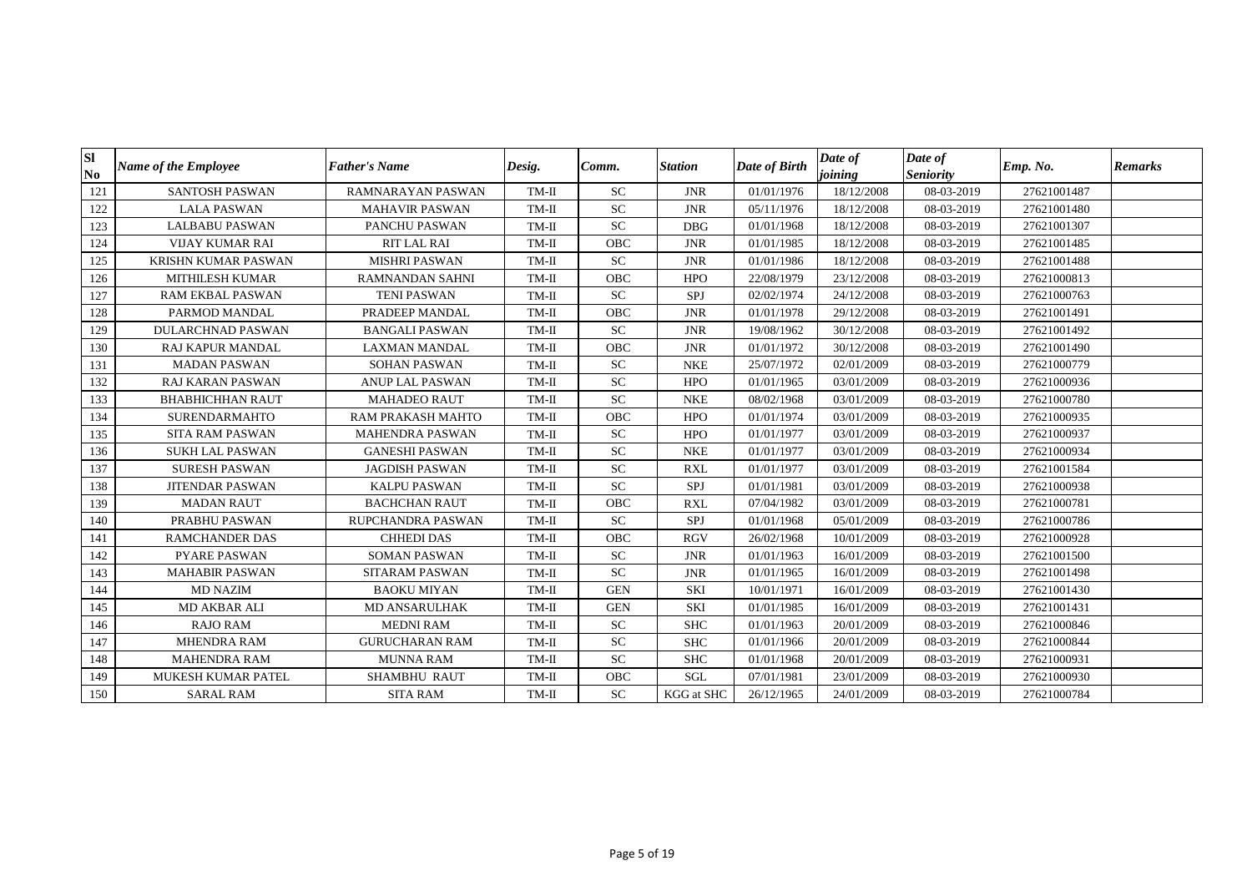| Sl<br>N <sub>0</sub> | <b>Name of the Employee</b> | <b>Father's Name</b>   | Desig.  | Comm.      | <b>Station</b>    | Date of Birth | Date of<br>joining | Date of<br><b>Seniority</b> | Emp. No.    | <b>Remarks</b> |
|----------------------|-----------------------------|------------------------|---------|------------|-------------------|---------------|--------------------|-----------------------------|-------------|----------------|
| 121                  | <b>SANTOSH PASWAN</b>       | RAMNARAYAN PASWAN      | TM-II   | <b>SC</b>  | <b>JNR</b>        | 01/01/1976    | 18/12/2008         | 08-03-2019                  | 27621001487 |                |
| 122                  | <b>LALA PASWAN</b>          | <b>MAHAVIR PASWAN</b>  | TM-II   | <b>SC</b>  | <b>JNR</b>        | 05/11/1976    | 18/12/2008         | 08-03-2019                  | 27621001480 |                |
| 123                  | <b>LALBABU PASWAN</b>       | PANCHU PASWAN          | TM-II   | <b>SC</b>  | <b>DBG</b>        | 01/01/1968    | 18/12/2008         | 08-03-2019                  | 27621001307 |                |
| 124                  | <b>VIJAY KUMAR RAI</b>      | RIT LAL RAI            | TM-II   | OBC        | <b>JNR</b>        | 01/01/1985    | 18/12/2008         | 08-03-2019                  | 27621001485 |                |
| 125                  | <b>KRISHN KUMAR PASWAN</b>  | <b>MISHRI PASWAN</b>   | TM-II   | <b>SC</b>  | <b>JNR</b>        | 01/01/1986    | 18/12/2008         | 08-03-2019                  | 27621001488 |                |
| 126                  | <b>MITHILESH KUMAR</b>      | <b>RAMNANDAN SAHNI</b> | TM-II   | OBC        | <b>HPO</b>        | 22/08/1979    | 23/12/2008         | 08-03-2019                  | 27621000813 |                |
| 127                  | RAM EKBAL PASWAN            | <b>TENI PASWAN</b>     | $TM-II$ | ${\rm SC}$ | SPJ               | 02/02/1974    | 24/12/2008         | 08-03-2019                  | 27621000763 |                |
| 128                  | PARMOD MANDAL               | PRADEEP MANDAL         | TM-II   | OBC        | <b>JNR</b>        | 01/01/1978    | 29/12/2008         | 08-03-2019                  | 27621001491 |                |
| 129                  | <b>DULARCHNAD PASWAN</b>    | <b>BANGALI PASWAN</b>  | TM-II   | ${\rm SC}$ | <b>JNR</b>        | 19/08/1962    | 30/12/2008         | 08-03-2019                  | 27621001492 |                |
| 130                  | <b>RAJ KAPUR MANDAL</b>     | <b>LAXMAN MANDAL</b>   | TM-II   | <b>OBC</b> | <b>JNR</b>        | 01/01/1972    | 30/12/2008         | 08-03-2019                  | 27621001490 |                |
| 131                  | <b>MADAN PASWAN</b>         | <b>SOHAN PASWAN</b>    | TM-II   | <b>SC</b>  | <b>NKE</b>        | 25/07/1972    | 02/01/2009         | 08-03-2019                  | 27621000779 |                |
| 132                  | <b>RAJ KARAN PASWAN</b>     | <b>ANUP LAL PASWAN</b> | TM-II   | <b>SC</b>  | <b>HPO</b>        | 01/01/1965    | 03/01/2009         | 08-03-2019                  | 27621000936 |                |
| 133                  | <b>BHABHICHHAN RAUT</b>     | <b>MAHADEO RAUT</b>    | $TM-II$ | ${\rm SC}$ | <b>NKE</b>        | 08/02/1968    | 03/01/2009         | 08-03-2019                  | 27621000780 |                |
| 134                  | <b>SURENDARMAHTO</b>        | RAM PRAKASH MAHTO      | TM-II   | OBC        | <b>HPO</b>        | 01/01/1974    | 03/01/2009         | 08-03-2019                  | 27621000935 |                |
| 135                  | <b>SITA RAM PASWAN</b>      | <b>MAHENDRA PASWAN</b> | TM-II   | <b>SC</b>  | <b>HPO</b>        | 01/01/1977    | 03/01/2009         | 08-03-2019                  | 27621000937 |                |
| 136                  | <b>SUKH LAL PASWAN</b>      | <b>GANESHI PASWAN</b>  | $TM-II$ | ${\rm SC}$ | <b>NKE</b>        | 01/01/1977    | 03/01/2009         | 08-03-2019                  | 27621000934 |                |
| 137                  | <b>SURESH PASWAN</b>        | <b>JAGDISH PASWAN</b>  | $TM-II$ | SC         | <b>RXL</b>        | 01/01/1977    | 03/01/2009         | 08-03-2019                  | 27621001584 |                |
| 138                  | <b>JITENDAR PASWAN</b>      | <b>KALPU PASWAN</b>    | TM-II   | ${\rm SC}$ | SPJ               | 01/01/1981    | 03/01/2009         | 08-03-2019                  | 27621000938 |                |
| 139                  | <b>MADAN RAUT</b>           | <b>BACHCHAN RAUT</b>   | TM-II   | <b>OBC</b> | <b>RXL</b>        | 07/04/1982    | 03/01/2009         | 08-03-2019                  | 27621000781 |                |
| 140                  | PRABHU PASWAN               | RUPCHANDRA PASWAN      | $TM-II$ | <b>SC</b>  | SPJ               | 01/01/1968    | 05/01/2009         | 08-03-2019                  | 27621000786 |                |
| 141                  | <b>RAMCHANDER DAS</b>       | <b>CHHEDI DAS</b>      | TM-II   | <b>OBC</b> | <b>RGV</b>        | 26/02/1968    | 10/01/2009         | 08-03-2019                  | 27621000928 |                |
| 142                  | <b>PYARE PASWAN</b>         | <b>SOMAN PASWAN</b>    | TM-II   | <b>SC</b>  | <b>JNR</b>        | 01/01/1963    | 16/01/2009         | 08-03-2019                  | 27621001500 |                |
| 143                  | <b>MAHABIR PASWAN</b>       | <b>SITARAM PASWAN</b>  | $TM-II$ | <b>SC</b>  | <b>JNR</b>        | 01/01/1965    | 16/01/2009         | 08-03-2019                  | 27621001498 |                |
| 144                  | <b>MD NAZIM</b>             | <b>BAOKU MIYAN</b>     | $TM-II$ | <b>GEN</b> | <b>SKI</b>        | 10/01/1971    | 16/01/2009         | 08-03-2019                  | 27621001430 |                |
| 145                  | MD AKBAR ALI                | <b>MD ANSARULHAK</b>   | TM-II   | <b>GEN</b> | <b>SKI</b>        | 01/01/1985    | 16/01/2009         | 08-03-2019                  | 27621001431 |                |
| 146                  | <b>RAJO RAM</b>             | <b>MEDNI RAM</b>       | TM-II   | <b>SC</b>  | <b>SHC</b>        | 01/01/1963    | 20/01/2009         | 08-03-2019                  | 27621000846 |                |
| 147                  | MHENDRA RAM                 | <b>GURUCHARAN RAM</b>  | $TM-II$ | ${\rm SC}$ | <b>SHC</b>        | 01/01/1966    | 20/01/2009         | 08-03-2019                  | 27621000844 |                |
| 148                  | <b>MAHENDRA RAM</b>         | <b>MUNNA RAM</b>       | TM-II   | ${\rm SC}$ | <b>SHC</b>        | 01/01/1968    | 20/01/2009         | 08-03-2019                  | 27621000931 |                |
| 149                  | <b>MUKESH KUMAR PATEL</b>   | <b>SHAMBHU RAUT</b>    | TM-II   | <b>OBC</b> | <b>SGL</b>        | 07/01/1981    | 23/01/2009         | 08-03-2019                  | 27621000930 |                |
| 150                  | <b>SARAL RAM</b>            | <b>SITA RAM</b>        | TM-II   | <b>SC</b>  | <b>KGG</b> at SHC | 26/12/1965    | 24/01/2009         | 08-03-2019                  | 27621000784 |                |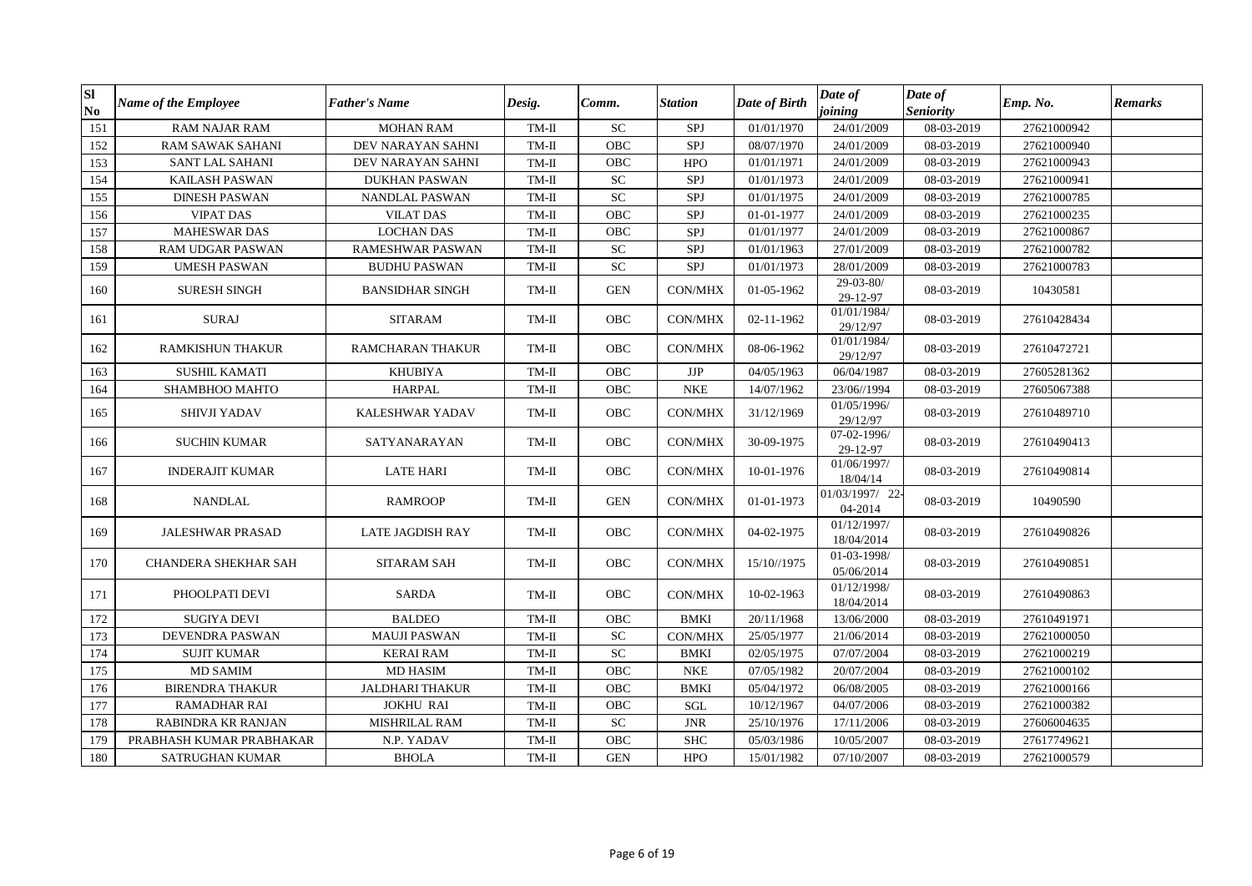| <b>SI</b><br>$\bf No$ | Name of the Employee        | <b>Father's Name</b>    | Desig.  | Comm.                      | <b>Station</b>                | Date of Birth | Date of<br>joining          | Date of<br><b>Seniority</b> | Emp. No.    | <b>Remarks</b> |
|-----------------------|-----------------------------|-------------------------|---------|----------------------------|-------------------------------|---------------|-----------------------------|-----------------------------|-------------|----------------|
| 151                   | <b>RAM NAJAR RAM</b>        | <b>MOHAN RAM</b>        | $TM-II$ | <b>SC</b>                  | SPJ                           | 01/01/1970    | 24/01/2009                  | 08-03-2019                  | 27621000942 |                |
| 152                   | <b>RAM SAWAK SAHANI</b>     | DEV NARAYAN SAHNI       | TM-II   | <b>OBC</b>                 | SPJ                           | 08/07/1970    | 24/01/2009                  | 08-03-2019                  | 27621000940 |                |
| 153                   | <b>SANT LAL SAHANI</b>      | DEV NARAYAN SAHNI       | TM-II   | OBC                        | <b>HPO</b>                    | 01/01/1971    | 24/01/2009                  | 08-03-2019                  | 27621000943 |                |
| 154                   | KAILASH PASWAN              | <b>DUKHAN PASWAN</b>    | $TM-II$ | $\ensuremath{\mathbf{SC}}$ | SPJ                           | 01/01/1973    | 24/01/2009                  | 08-03-2019                  | 27621000941 |                |
| 155                   | <b>DINESH PASWAN</b>        | <b>NANDLAL PASWAN</b>   | $TM-II$ | <b>SC</b>                  | SPJ                           | 01/01/1975    | 24/01/2009                  | 08-03-2019                  | 27621000785 |                |
| 156                   | <b>VIPAT DAS</b>            | <b>VILAT DAS</b>        | $TM-II$ | <b>OBC</b>                 | SPJ                           | 01-01-1977    | 24/01/2009                  | 08-03-2019                  | 27621000235 |                |
| 157                   | <b>MAHESWAR DAS</b>         | <b>LOCHAN DAS</b>       | $TM-II$ | OBC                        | SPJ                           | 01/01/1977    | 24/01/2009                  | 08-03-2019                  | 27621000867 |                |
| 158                   | RAM UDGAR PASWAN            | RAMESHWAR PASWAN        | TM-II   | ${\rm SC}$                 | SPJ                           | 01/01/1963    | 27/01/2009                  | 08-03-2019                  | 27621000782 |                |
| 159                   | <b>UMESH PASWAN</b>         | <b>BUDHU PASWAN</b>     | TM-II   | <b>SC</b>                  | SPJ                           | 01/01/1973    | 28/01/2009                  | 08-03-2019                  | 27621000783 |                |
| 160                   | <b>SURESH SINGH</b>         | <b>BANSIDHAR SINGH</b>  | TM-II   | <b>GEN</b>                 | CON/MHX                       | 01-05-1962    | $29 - 03 - 80/$<br>29-12-97 | 08-03-2019                  | 10430581    |                |
| 161                   | <b>SURAJ</b>                | <b>SITARAM</b>          | $TM-II$ | <b>OBC</b>                 | <b>CON/MHX</b>                | 02-11-1962    | 01/01/1984/<br>29/12/97     | 08-03-2019                  | 27610428434 |                |
| 162                   | RAMKISHUN THAKUR            | RAMCHARAN THAKUR        | TM-II   | OBC                        | CON/MHX                       | 08-06-1962    | 01/01/1984/<br>29/12/97     | 08-03-2019                  | 27610472721 |                |
| 163                   | <b>SUSHIL KAMATI</b>        | <b>KHUBIYA</b>          | $TM-II$ | OBC                        | $\rm{JJP}$                    | 04/05/1963    | 06/04/1987                  | 08-03-2019                  | 27605281362 |                |
| 164                   | SHAMBHOO MAHTO              | <b>HARPAL</b>           | $TM-II$ | OBC                        | <b>NKE</b>                    | 14/07/1962    | 23/06//1994                 | 08-03-2019                  | 27605067388 |                |
| 165                   | <b>SHIVJI YADAV</b>         | KALESHWAR YADAV         | TM-II   | OBC                        | <b>CON/MHX</b>                | 31/12/1969    | 01/05/1996/<br>29/12/97     | 08-03-2019                  | 27610489710 |                |
| 166                   | <b>SUCHIN KUMAR</b>         | SATYANARAYAN            | TM-II   | <b>OBC</b>                 | <b>CON/MHX</b>                | 30-09-1975    | 07-02-1996/<br>29-12-97     | 08-03-2019                  | 27610490413 |                |
| 167                   | <b>INDERAJIT KUMAR</b>      | <b>LATE HARI</b>        | TM-II   | OBC                        | CON/MHX                       | 10-01-1976    | 01/06/1997/<br>18/04/14     | 08-03-2019                  | 27610490814 |                |
| 168                   | <b>NANDLAL</b>              | <b>RAMROOP</b>          | $TM-II$ | <b>GEN</b>                 | CON/MHX                       | 01-01-1973    | 01/03/1997/ 22-<br>04-2014  | 08-03-2019                  | 10490590    |                |
| 169                   | <b>JALESHWAR PRASAD</b>     | <b>LATE JAGDISH RAY</b> | TM-II   | OBC                        | CON/MHX                       | 04-02-1975    | 01/12/1997/<br>18/04/2014   | 08-03-2019                  | 27610490826 |                |
| 170                   | <b>CHANDERA SHEKHAR SAH</b> | <b>SITARAM SAH</b>      | TM-II   | <b>OBC</b>                 | <b>CON/MHX</b>                | 15/10//1975   | 01-03-1998/<br>05/06/2014   | 08-03-2019                  | 27610490851 |                |
| 171                   | PHOOLPATI DEVI              | <b>SARDA</b>            | TM-II   | OBC                        | <b>CON/MHX</b>                | 10-02-1963    | 01/12/1998/<br>18/04/2014   | 08-03-2019                  | 27610490863 |                |
| 172                   | <b>SUGIYA DEVI</b>          | <b>BALDEO</b>           | $TM-II$ | OBC                        | <b>BMKI</b>                   | 20/11/1968    | 13/06/2000                  | 08-03-2019                  | 27610491971 |                |
| 173                   | DEVENDRA PASWAN             | <b>MAUJI PASWAN</b>     | $TM-II$ | SC                         | CON/MHX                       | 25/05/1977    | 21/06/2014                  | 08-03-2019                  | 27621000050 |                |
| 174                   | <b>SUJIT KUMAR</b>          | <b>KERAI RAM</b>        | $TM-II$ | <b>SC</b>                  | <b>BMKI</b>                   | 02/05/1975    | 07/07/2004                  | 08-03-2019                  | 27621000219 |                |
| 175                   | <b>MD SAMIM</b>             | <b>MD HASIM</b>         | $TM-II$ | OBC                        | <b>NKE</b>                    | 07/05/1982    | 20/07/2004                  | 08-03-2019                  | 27621000102 |                |
| 176                   | <b>BIRENDRA THAKUR</b>      | <b>JALDHARI THAKUR</b>  | TM-II   | OBC                        | <b>BMKI</b>                   | 05/04/1972    | 06/08/2005                  | 08-03-2019                  | 27621000166 |                |
| 177                   | <b>RAMADHAR RAI</b>         | <b>JOKHU RAI</b>        | $TM-II$ | OBC                        | SGL                           | 10/12/1967    | 04/07/2006                  | 08-03-2019                  | 27621000382 |                |
| 178                   | RABINDRA KR RANJAN          | MISHRILAL RAM           | $TM-II$ | ${\rm SC}$                 | $\ensuremath{\text{\rm JNR}}$ | 25/10/1976    | 17/11/2006                  | 08-03-2019                  | 27606004635 |                |
| 179                   | PRABHASH KUMAR PRABHAKAR    | N.P. YADAV              | $TM-II$ | OBC                        | <b>SHC</b>                    | 05/03/1986    | 10/05/2007                  | 08-03-2019                  | 27617749621 |                |
| 180                   | <b>SATRUGHAN KUMAR</b>      | <b>BHOLA</b>            | $TM-II$ | <b>GEN</b>                 | <b>HPO</b>                    | 15/01/1982    | 07/10/2007                  | 08-03-2019                  | 27621000579 |                |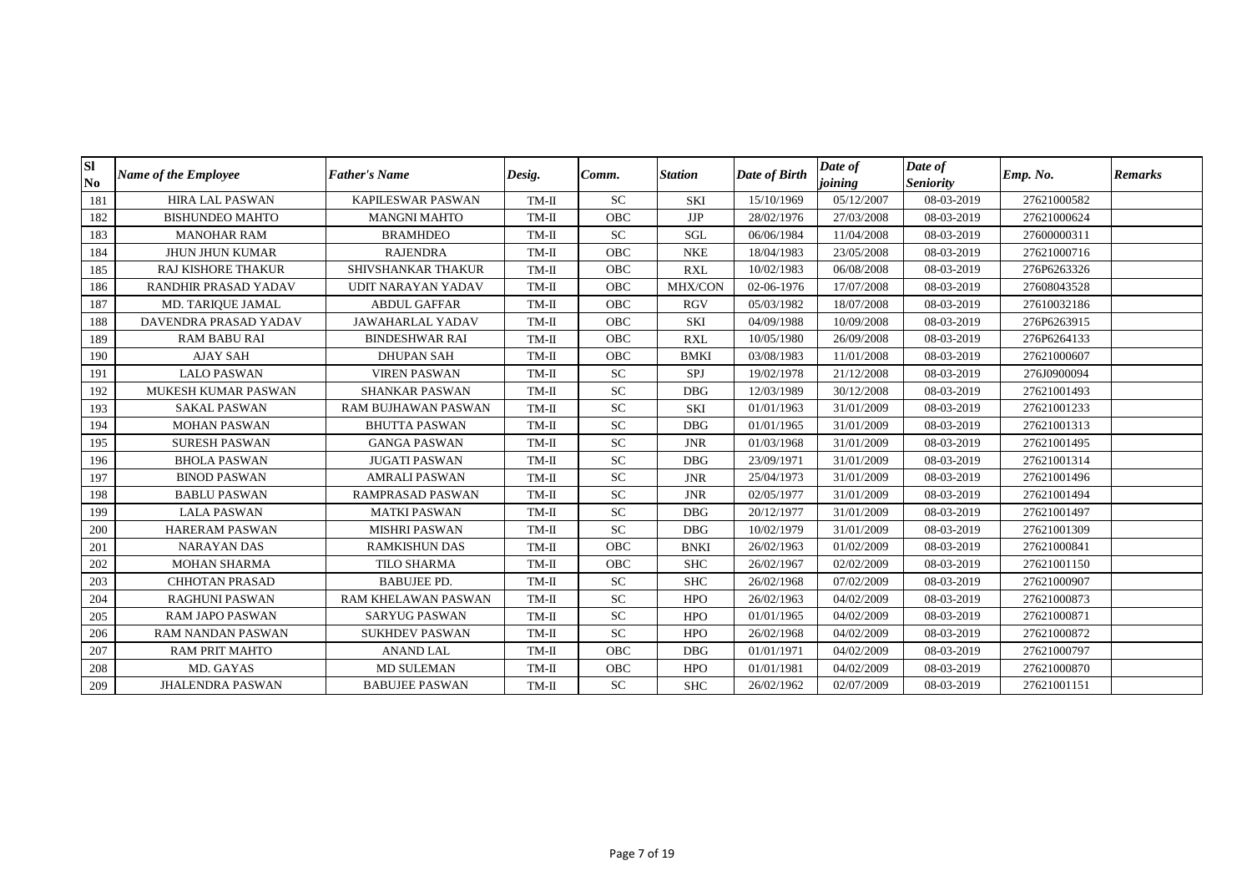| <b>SI</b><br>N <sub>o</sub> | <b>Name of the Employee</b> | <b>Father's Name</b>       | Desig.  | Comm.      | <b>Station</b> | Date of Birth | Date of<br>joining | Date of<br><b>Seniority</b> | Emp. No.    | <b>Remarks</b> |
|-----------------------------|-----------------------------|----------------------------|---------|------------|----------------|---------------|--------------------|-----------------------------|-------------|----------------|
| 181                         | <b>HIRA LAL PASWAN</b>      | <b>KAPILESWAR PASWAN</b>   | $TM-II$ | <b>SC</b>  | SKI            | 15/10/1969    | 05/12/2007         | 08-03-2019                  | 27621000582 |                |
| 182                         | <b>BISHUNDEO MAHTO</b>      | <b>MANGNI MAHTO</b>        | $TM-II$ | <b>OBC</b> | <b>JJP</b>     | 28/02/1976    | 27/03/2008         | 08-03-2019                  | 27621000624 |                |
| 183                         | <b>MANOHAR RAM</b>          | <b>BRAMHDEO</b>            | $TM-II$ | <b>SC</b>  | <b>SGL</b>     | 06/06/1984    | 11/04/2008         | 08-03-2019                  | 27600000311 |                |
| 184                         | <b>JHUN JHUN KUMAR</b>      | <b>RAJENDRA</b>            | $TM-II$ | <b>OBC</b> | <b>NKE</b>     | 18/04/1983    | 23/05/2008         | 08-03-2019                  | 27621000716 |                |
| 185                         | <b>RAJ KISHORE THAKUR</b>   | SHIVSHANKAR THAKUR         | TM-II   | <b>OBC</b> | <b>RXL</b>     | 10/02/1983    | 06/08/2008         | 08-03-2019                  | 276P6263326 |                |
| 186                         | RANDHIR PRASAD YADAV        | UDIT NARAYAN YADAV         | TM-II   | OBC        | <b>MHX/CON</b> | 02-06-1976    | 17/07/2008         | 08-03-2019                  | 27608043528 |                |
| 187                         | MD. TARIQUE JAMAL           | <b>ABDUL GAFFAR</b>        | TM-II   | <b>OBC</b> | <b>RGV</b>     | 05/03/1982    | 18/07/2008         | 08-03-2019                  | 27610032186 |                |
| 188                         | DAVENDRA PRASAD YADAV       | JAWAHARLAL YADAV           | $TM-II$ | OBC        | SKI            | 04/09/1988    | 10/09/2008         | 08-03-2019                  | 276P6263915 |                |
| 189                         | <b>RAM BABU RAI</b>         | <b>BINDESHWAR RAI</b>      | $TM-II$ | OBC        | <b>RXL</b>     | 10/05/1980    | 26/09/2008         | 08-03-2019                  | 276P6264133 |                |
| 190                         | <b>AJAY SAH</b>             | <b>DHUPAN SAH</b>          | $TM-II$ | <b>OBC</b> | <b>BMKI</b>    | 03/08/1983    | 11/01/2008         | 08-03-2019                  | 27621000607 |                |
| 191                         | <b>LALO PASWAN</b>          | <b>VIREN PASWAN</b>        | $TM-II$ | <b>SC</b>  | SPJ            | 19/02/1978    | 21/12/2008         | 08-03-2019                  | 276J0900094 |                |
| 192                         | MUKESH KUMAR PASWAN         | <b>SHANKAR PASWAN</b>      | $TM-II$ | ${\rm SC}$ | <b>DBG</b>     | 12/03/1989    | 30/12/2008         | 08-03-2019                  | 27621001493 |                |
| 193                         | <b>SAKAL PASWAN</b>         | RAM BUJHAWAN PASWAN        | $TM-II$ | SC         | <b>SKI</b>     | 01/01/1963    | 31/01/2009         | 08-03-2019                  | 27621001233 |                |
| 194                         | <b>MOHAN PASWAN</b>         | <b>BHUTTA PASWAN</b>       | $TM-II$ | <b>SC</b>  | <b>DBG</b>     | 01/01/1965    | 31/01/2009         | 08-03-2019                  | 27621001313 |                |
| 195                         | <b>SURESH PASWAN</b>        | <b>GANGA PASWAN</b>        | $TM-II$ | <b>SC</b>  | <b>JNR</b>     | 01/03/1968    | 31/01/2009         | 08-03-2019                  | 27621001495 |                |
| 196                         | <b>BHOLA PASWAN</b>         | <b>JUGATI PASWAN</b>       | TM-II   | <b>SC</b>  | <b>DBG</b>     | 23/09/1971    | 31/01/2009         | 08-03-2019                  | 27621001314 |                |
| 197                         | <b>BINOD PASWAN</b>         | <b>AMRALI PASWAN</b>       | TM-II   | ${\rm SC}$ | <b>JNR</b>     | 25/04/1973    | 31/01/2009         | 08-03-2019                  | 27621001496 |                |
| 198                         | <b>BABLU PASWAN</b>         | RAMPRASAD PASWAN           | $TM-II$ | ${\rm SC}$ | <b>JNR</b>     | 02/05/1977    | 31/01/2009         | 08-03-2019                  | 27621001494 |                |
| 199                         | <b>LALA PASWAN</b>          | <b>MATKI PASWAN</b>        | $TM-II$ | <b>SC</b>  | <b>DBG</b>     | 20/12/1977    | 31/01/2009         | 08-03-2019                  | 27621001497 |                |
| 200                         | <b>HARERAM PASWAN</b>       | <b>MISHRI PASWAN</b>       | TM-II   | <b>SC</b>  | <b>DBG</b>     | 10/02/1979    | 31/01/2009         | 08-03-2019                  | 27621001309 |                |
| 201                         | <b>NARAYAN DAS</b>          | <b>RAMKISHUN DAS</b>       | $TM-II$ | <b>OBC</b> | <b>BNKI</b>    | 26/02/1963    | 01/02/2009         | 08-03-2019                  | 27621000841 |                |
| 202                         | <b>MOHAN SHARMA</b>         | TILO SHARMA                | $TM-II$ | OBC        | <b>SHC</b>     | 26/02/1967    | 02/02/2009         | 08-03-2019                  | 27621001150 |                |
| 203                         | <b>CHHOTAN PRASAD</b>       | <b>BABUJEE PD.</b>         | $TM-II$ | <b>SC</b>  | <b>SHC</b>     | 26/02/1968    | 07/02/2009         | 08-03-2019                  | 27621000907 |                |
| 204                         | <b>RAGHUNI PASWAN</b>       | <b>RAM KHELAWAN PASWAN</b> | $TM-II$ | <b>SC</b>  | <b>HPO</b>     | 26/02/1963    | 04/02/2009         | 08-03-2019                  | 27621000873 |                |
| 205                         | <b>RAM JAPO PASWAN</b>      | SARYUG PASWAN              | TM-II   | <b>SC</b>  | <b>HPO</b>     | 01/01/1965    | 04/02/2009         | 08-03-2019                  | 27621000871 |                |
| 206                         | RAM NANDAN PASWAN           | <b>SUKHDEV PASWAN</b>      | $TM-II$ | <b>SC</b>  | <b>HPO</b>     | 26/02/1968    | 04/02/2009         | 08-03-2019                  | 27621000872 |                |
| 207                         | <b>RAM PRIT MAHTO</b>       | <b>ANAND LAL</b>           | $TM-II$ | OBC        | <b>DBG</b>     | 01/01/1971    | 04/02/2009         | 08-03-2019                  | 27621000797 |                |
| 208                         | MD. GAYAS                   | <b>MD SULEMAN</b>          | TM-II   | <b>OBC</b> | <b>HPO</b>     | 01/01/1981    | 04/02/2009         | 08-03-2019                  | 27621000870 |                |
| 209                         | <b>JHALENDRA PASWAN</b>     | <b>BABUJEE PASWAN</b>      | $TM-II$ | <b>SC</b>  | <b>SHC</b>     | 26/02/1962    | 02/07/2009         | 08-03-2019                  | 27621001151 |                |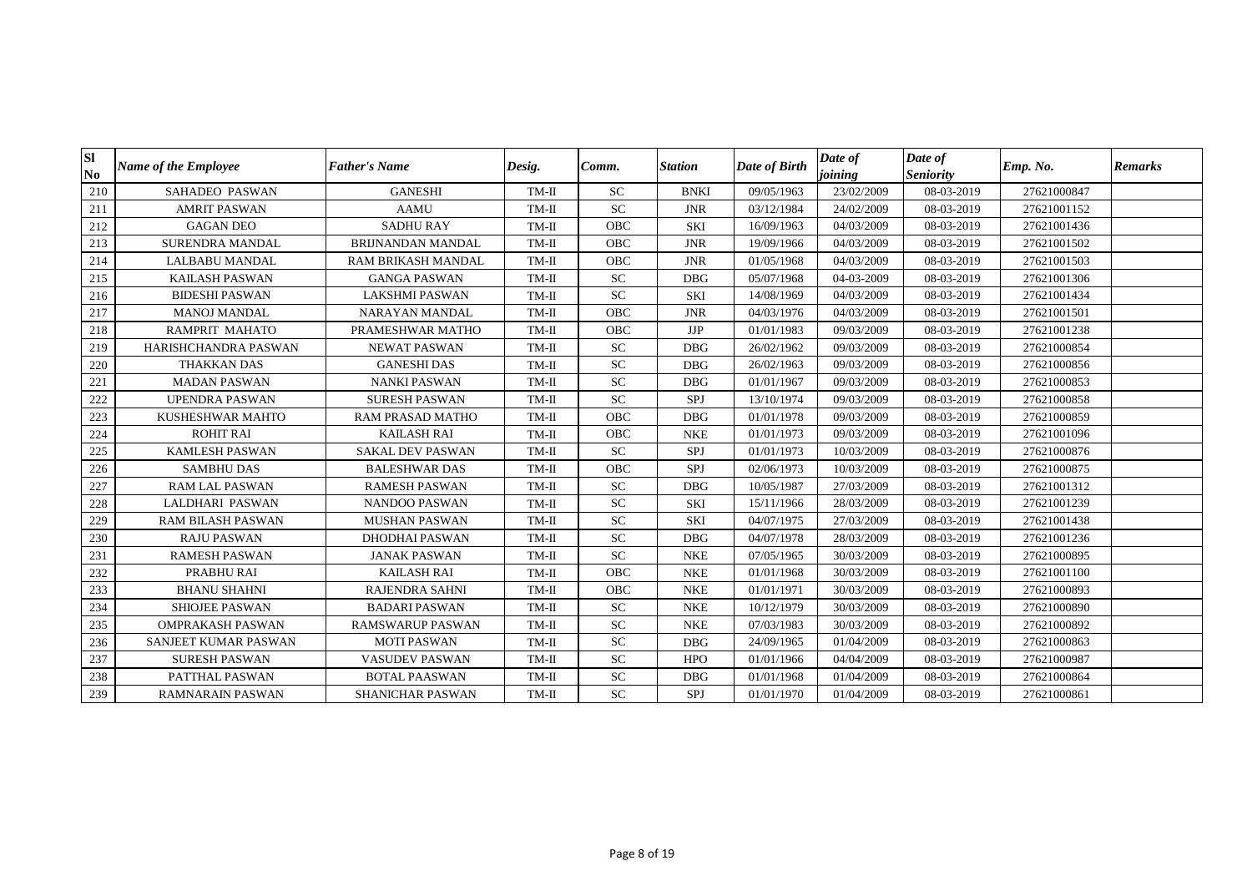| <b>SI</b><br>N <sub>0</sub> | <b>Name of the Employee</b> | <b>Father's Name</b>     | Desig.  | Comm.      | <b>Station</b>                | Date of Birth | Date of<br>joining | Date of<br><b>Seniority</b> | Emp. No.    | <b>Remarks</b> |
|-----------------------------|-----------------------------|--------------------------|---------|------------|-------------------------------|---------------|--------------------|-----------------------------|-------------|----------------|
| 210                         | <b>SAHADEO PASWAN</b>       | <b>GANESHI</b>           | $TM-II$ | <b>SC</b>  | <b>BNKI</b>                   | 09/05/1963    | 23/02/2009         | 08-03-2019                  | 27621000847 |                |
| 211                         | <b>AMRIT PASWAN</b>         | <b>AAMU</b>              | $TM-II$ | <b>SC</b>  | <b>JNR</b>                    | 03/12/1984    | 24/02/2009         | 08-03-2019                  | 27621001152 |                |
| 212                         | <b>GAGAN DEO</b>            | <b>SADHU RAY</b>         | $TM-II$ | <b>OBC</b> | SKI                           | 16/09/1963    | 04/03/2009         | 08-03-2019                  | 27621001436 |                |
| 213                         | SURENDRA MANDAL             | <b>BRIJNANDAN MANDAL</b> | $TM-II$ | OBC        | <b>JNR</b>                    | 19/09/1966    | 04/03/2009         | 08-03-2019                  | 27621001502 |                |
| 214                         | <b>LALBABU MANDAL</b>       | RAM BRIKASH MANDAL       | $TM-II$ | OBC        | $\ensuremath{\text{\rm JNR}}$ | 01/05/1968    | 04/03/2009         | 08-03-2019                  | 27621001503 |                |
| 215                         | <b>KAILASH PASWAN</b>       | <b>GANGA PASWAN</b>      | $TM-II$ | <b>SC</b>  | <b>DBG</b>                    | 05/07/1968    | 04-03-2009         | 08-03-2019                  | 27621001306 |                |
| 216                         | <b>BIDESHI PASWAN</b>       | LAKSHMI PASWAN           | $TM-II$ | ${\rm SC}$ | <b>SKI</b>                    | 14/08/1969    | 04/03/2009         | 08-03-2019                  | 27621001434 |                |
| 217                         | <b>MANOJ MANDAL</b>         | NARAYAN MANDAL           | $TM-II$ | OBC        | <b>JNR</b>                    | 04/03/1976    | 04/03/2009         | 08-03-2019                  | 27621001501 |                |
| 218                         | RAMPRIT MAHATO              | PRAMESHWAR MATHO         | $TM-II$ | <b>OBC</b> | JJP                           | 01/01/1983    | 09/03/2009         | 08-03-2019                  | 27621001238 |                |
| 219                         | HARISHCHANDRA PASWAN        | <b>NEWAT PASWAN</b>      | $TM-II$ | <b>SC</b>  | <b>DBG</b>                    | 26/02/1962    | 09/03/2009         | 08-03-2019                  | 27621000854 |                |
| 220                         | <b>THAKKAN DAS</b>          | <b>GANESHI DAS</b>       | $TM-II$ | <b>SC</b>  | <b>DBG</b>                    | 26/02/1963    | 09/03/2009         | 08-03-2019                  | 27621000856 |                |
| 221                         | <b>MADAN PASWAN</b>         | <b>NANKI PASWAN</b>      | $TM-II$ | <b>SC</b>  | <b>DBG</b>                    | 01/01/1967    | 09/03/2009         | 08-03-2019                  | 27621000853 |                |
| 222                         | <b>UPENDRA PASWAN</b>       | <b>SURESH PASWAN</b>     | $TM-II$ | ${\rm SC}$ | SPJ                           | 13/10/1974    | 09/03/2009         | 08-03-2019                  | 27621000858 |                |
| 223                         | KUSHESHWAR MAHTO            | RAM PRASAD MATHO         | $TM-II$ | OBC        | <b>DBG</b>                    | 01/01/1978    | 09/03/2009         | 08-03-2019                  | 27621000859 |                |
| 224                         | <b>ROHIT RAI</b>            | <b>KAILASH RAI</b>       | $TM-II$ | <b>OBC</b> | <b>NKE</b>                    | 01/01/1973    | 09/03/2009         | 08-03-2019                  | 27621001096 |                |
| 225                         | <b>KAMLESH PASWAN</b>       | <b>SAKAL DEV PASWAN</b>  | $TM-II$ | ${\rm SC}$ | SPJ                           | 01/01/1973    | 10/03/2009         | 08-03-2019                  | 27621000876 |                |
| 226                         | <b>SAMBHU DAS</b>           | <b>BALESHWAR DAS</b>     | $TM-II$ | OBC        | SPJ                           | 02/06/1973    | 10/03/2009         | 08-03-2019                  | 27621000875 |                |
| 227                         | <b>RAM LAL PASWAN</b>       | <b>RAMESH PASWAN</b>     | $TM-II$ | ${\rm SC}$ | <b>DBG</b>                    | 10/05/1987    | 27/03/2009         | 08-03-2019                  | 27621001312 |                |
| 228                         | LALDHARI PASWAN             | <b>NANDOO PASWAN</b>     | $TM-II$ | ${\rm SC}$ | <b>SKI</b>                    | 15/11/1966    | 28/03/2009         | 08-03-2019                  | 27621001239 |                |
| 229                         | <b>RAM BILASH PASWAN</b>    | <b>MUSHAN PASWAN</b>     | TM-II   | <b>SC</b>  | <b>SKI</b>                    | 04/07/1975    | 27/03/2009         | 08-03-2019                  | 27621001438 |                |
| 230                         | <b>RAJU PASWAN</b>          | <b>DHODHAI PASWAN</b>    | $TM-II$ | ${\rm SC}$ | <b>DBG</b>                    | 04/07/1978    | 28/03/2009         | 08-03-2019                  | 27621001236 |                |
| 231                         | <b>RAMESH PASWAN</b>        | <b>JANAK PASWAN</b>      | $TM-II$ | <b>SC</b>  | <b>NKE</b>                    | 07/05/1965    | 30/03/2009         | 08-03-2019                  | 27621000895 |                |
| 232                         | PRABHU RAI                  | <b>KAILASH RAI</b>       | $TM-II$ | <b>OBC</b> | <b>NKE</b>                    | 01/01/1968    | 30/03/2009         | 08-03-2019                  | 27621001100 |                |
| 233                         | <b>BHANU SHAHNI</b>         | <b>RAJENDRA SAHNI</b>    | $TM-II$ | OBC        | <b>NKE</b>                    | 01/01/1971    | 30/03/2009         | 08-03-2019                  | 27621000893 |                |
| 234                         | <b>SHIOJEE PASWAN</b>       | <b>BADARI PASWAN</b>     | $TM-II$ | <b>SC</b>  | <b>NKE</b>                    | 10/12/1979    | 30/03/2009         | 08-03-2019                  | 27621000890 |                |
| 235                         | <b>OMPRAKASH PASWAN</b>     | <b>RAMSWARUP PASWAN</b>  | TM-II   | ${\rm SC}$ | <b>NKE</b>                    | 07/03/1983    | 30/03/2009         | 08-03-2019                  | 27621000892 |                |
| 236                         | SANJEET KUMAR PASWAN        | <b>MOTI PASWAN</b>       | $TM-II$ | ${\rm SC}$ | <b>DBG</b>                    | 24/09/1965    | 01/04/2009         | 08-03-2019                  | 27621000863 |                |
| 237                         | <b>SURESH PASWAN</b>        | <b>VASUDEV PASWAN</b>    | $TM-II$ | ${\rm SC}$ | <b>HPO</b>                    | 01/01/1966    | 04/04/2009         | 08-03-2019                  | 27621000987 |                |
| 238                         | PATTHAL PASWAN              | <b>BOTAL PAASWAN</b>     | TM-II   | <b>SC</b>  | <b>DBG</b>                    | 01/01/1968    | 01/04/2009         | 08-03-2019                  | 27621000864 |                |
| 239                         | RAMNARAIN PASWAN            | <b>SHANICHAR PASWAN</b>  | $TM-II$ | ${\rm SC}$ | SPJ                           | 01/01/1970    | 01/04/2009         | 08-03-2019                  | 27621000861 |                |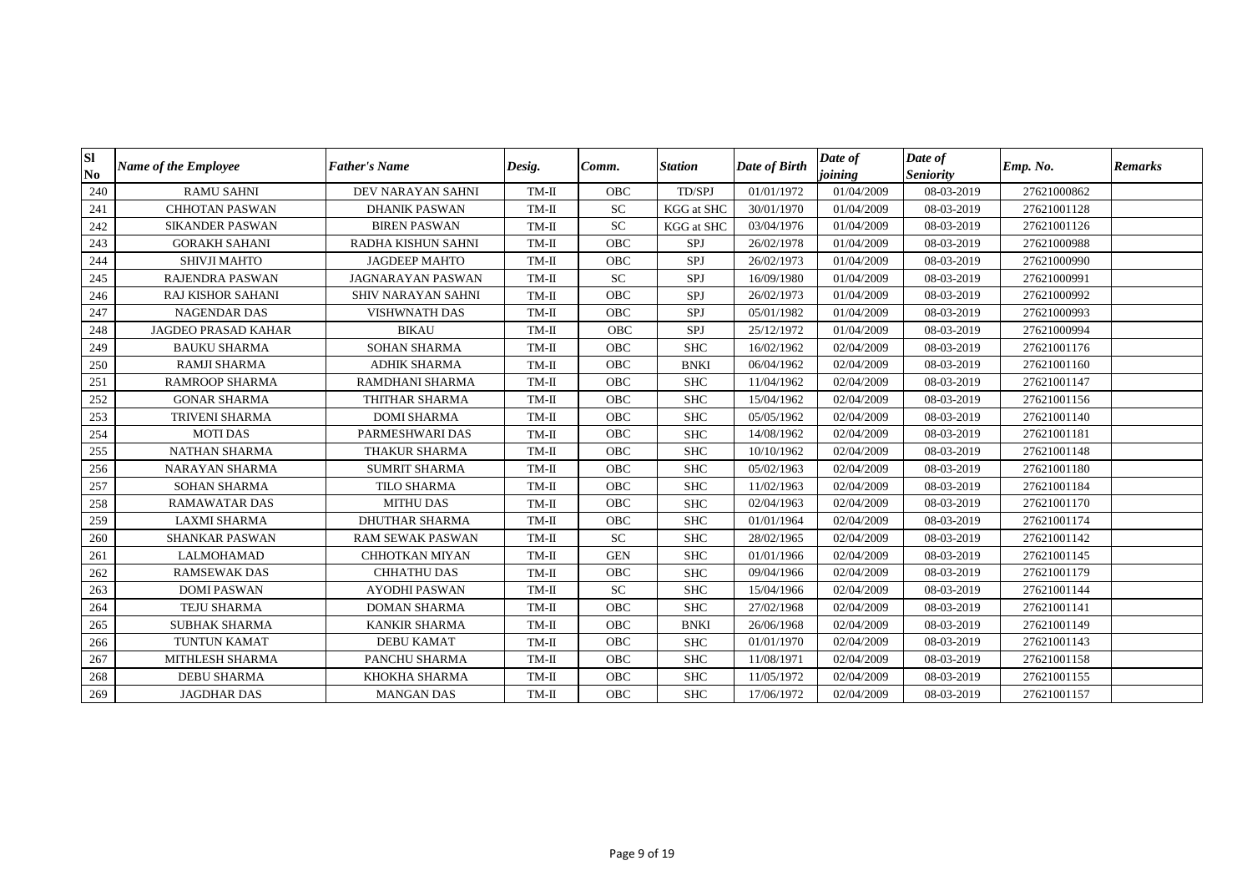| Sl<br>N <sub>0</sub> | Name of the Employee       | <b>Father's Name</b>  | Desig.  | Comm.      | <b>Station</b>    | Date of Birth | Date of<br>joining | Date of<br><b>Seniority</b> | Emp. No.    | <b>Remarks</b> |
|----------------------|----------------------------|-----------------------|---------|------------|-------------------|---------------|--------------------|-----------------------------|-------------|----------------|
| 240                  | <b>RAMU SAHNI</b>          | DEV NARAYAN SAHNI     | $TM-II$ | <b>OBC</b> | TD/SPJ            | 01/01/1972    | 01/04/2009         | 08-03-2019                  | 27621000862 |                |
| 241                  | <b>CHHOTAN PASWAN</b>      | <b>DHANIK PASWAN</b>  | $TM-II$ | SC         | <b>KGG</b> at SHC | 30/01/1970    | 01/04/2009         | 08-03-2019                  | 27621001128 |                |
| 242                  | <b>SIKANDER PASWAN</b>     | <b>BIREN PASWAN</b>   | $TM-II$ | ${\rm SC}$ | <b>KGG</b> at SHC | 03/04/1976    | 01/04/2009         | 08-03-2019                  | 27621001126 |                |
| 243                  | <b>GORAKH SAHANI</b>       | RADHA KISHUN SAHNI    | $TM-II$ | OBC        | SPJ               | 26/02/1978    | 01/04/2009         | 08-03-2019                  | 27621000988 |                |
| 244                  | SHIVJI MAHTO               | <b>JAGDEEP MAHTO</b>  | $TM-II$ | OBC        | SPJ               | 26/02/1973    | 01/04/2009         | 08-03-2019                  | 27621000990 |                |
| 245                  | <b>RAJENDRA PASWAN</b>     | JAGNARAYAN PASWAN     | $TM-II$ | ${\rm SC}$ | <b>SPJ</b>        | 16/09/1980    | 01/04/2009         | 08-03-2019                  | 27621000991 |                |
| 246                  | <b>RAJ KISHOR SAHANI</b>   | SHIV NARAYAN SAHNI    | $TM-II$ | OBC        | SPJ               | 26/02/1973    | 01/04/2009         | 08-03-2019                  | 27621000992 |                |
| 247                  | <b>NAGENDAR DAS</b>        | <b>VISHWNATH DAS</b>  | $TM-II$ | <b>OBC</b> | <b>SPJ</b>        | 05/01/1982    | 01/04/2009         | 08-03-2019                  | 27621000993 |                |
| 248                  | <b>JAGDEO PRASAD KAHAR</b> | <b>BIKAU</b>          | $TM-II$ | <b>OBC</b> | SPJ               | 25/12/1972    | 01/04/2009         | 08-03-2019                  | 27621000994 |                |
| 249                  | <b>BAUKU SHARMA</b>        | <b>SOHAN SHARMA</b>   | $TM-II$ | OBC        | <b>SHC</b>        | 16/02/1962    | 02/04/2009         | 08-03-2019                  | 27621001176 |                |
| 250                  | <b>RAMJI SHARMA</b>        | <b>ADHIK SHARMA</b>   | $TM-II$ | OBC        | <b>BNKI</b>       | 06/04/1962    | 02/04/2009         | 08-03-2019                  | 27621001160 |                |
| 251                  | <b>RAMROOP SHARMA</b>      | RAMDHANI SHARMA       | $TM-II$ | <b>OBC</b> | <b>SHC</b>        | 11/04/1962    | 02/04/2009         | 08-03-2019                  | 27621001147 |                |
| 252                  | <b>GONAR SHARMA</b>        | THITHAR SHARMA        | $TM-II$ | OBC        | <b>SHC</b>        | 15/04/1962    | 02/04/2009         | 08-03-2019                  | 27621001156 |                |
| 253                  | TRIVENI SHARMA             | <b>DOMI SHARMA</b>    | TM-II   | <b>OBC</b> | <b>SHC</b>        | 05/05/1962    | 02/04/2009         | 08-03-2019                  | 27621001140 |                |
| 254                  | <b>MOTI DAS</b>            | PARMESHWARI DAS       | $TM-II$ | <b>OBC</b> | <b>SHC</b>        | 14/08/1962    | 02/04/2009         | 08-03-2019                  | 27621001181 |                |
| 255                  | <b>NATHAN SHARMA</b>       | THAKUR SHARMA         | $TM-II$ | <b>OBC</b> | <b>SHC</b>        | 10/10/1962    | 02/04/2009         | 08-03-2019                  | 27621001148 |                |
| 256                  | <b>NARAYAN SHARMA</b>      | <b>SUMRIT SHARMA</b>  | $TM-II$ | <b>OBC</b> | <b>SHC</b>        | 05/02/1963    | 02/04/2009         | 08-03-2019                  | 27621001180 |                |
| 257                  | <b>SOHAN SHARMA</b>        | <b>TILO SHARMA</b>    | $TM-II$ | <b>OBC</b> | <b>SHC</b>        | 11/02/1963    | 02/04/2009         | 08-03-2019                  | 27621001184 |                |
| 258                  | <b>RAMAWATAR DAS</b>       | <b>MITHU DAS</b>      | $TM-II$ | OBC        | <b>SHC</b>        | 02/04/1963    | 02/04/2009         | 08-03-2019                  | 27621001170 |                |
| 259                  | <b>LAXMI SHARMA</b>        | <b>DHUTHAR SHARMA</b> | TM-II   | <b>OBC</b> | <b>SHC</b>        | 01/01/1964    | 02/04/2009         | 08-03-2019                  | 27621001174 |                |
| 260                  | <b>SHANKAR PASWAN</b>      | RAM SEWAK PASWAN      | $TM-II$ | ${\rm SC}$ | <b>SHC</b>        | 28/02/1965    | 02/04/2009         | 08-03-2019                  | 27621001142 |                |
| 261                  | <b>LALMOHAMAD</b>          | <b>CHHOTKAN MIYAN</b> | $TM-II$ | <b>GEN</b> | <b>SHC</b>        | 01/01/1966    | 02/04/2009         | 08-03-2019                  | 27621001145 |                |
| 262                  | <b>RAMSEWAK DAS</b>        | <b>CHHATHU DAS</b>    | TM-II   | <b>OBC</b> | <b>SHC</b>        | 09/04/1966    | 02/04/2009         | 08-03-2019                  | 27621001179 |                |
| 263                  | <b>DOMI PASWAN</b>         | <b>AYODHI PASWAN</b>  | $TM-II$ | <b>SC</b>  | <b>SHC</b>        | 15/04/1966    | 02/04/2009         | 08-03-2019                  | 27621001144 |                |
| 264                  | <b>TEJU SHARMA</b>         | <b>DOMAN SHARMA</b>   | $TM-II$ | OBC        | <b>SHC</b>        | 27/02/1968    | 02/04/2009         | 08-03-2019                  | 27621001141 |                |
| 265                  | <b>SUBHAK SHARMA</b>       | KANKIR SHARMA         | $TM-II$ | OBC        | <b>BNKI</b>       | 26/06/1968    | 02/04/2009         | 08-03-2019                  | 27621001149 |                |
| 266                  | TUNTUN KAMAT               | <b>DEBU KAMAT</b>     | $TM-II$ | OBC        | <b>SHC</b>        | 01/01/1970    | 02/04/2009         | 08-03-2019                  | 27621001143 |                |
| 267                  | MITHLESH SHARMA            | PANCHU SHARMA         | $TM-II$ | OBC        | <b>SHC</b>        | 11/08/1971    | 02/04/2009         | 08-03-2019                  | 27621001158 |                |
| 268                  | <b>DEBU SHARMA</b>         | KHOKHA SHARMA         | TM-II   | <b>OBC</b> | <b>SHC</b>        | 11/05/1972    | 02/04/2009         | 08-03-2019                  | 27621001155 |                |
| 269                  | <b>JAGDHAR DAS</b>         | <b>MANGAN DAS</b>     | $TM-II$ | <b>OBC</b> | <b>SHC</b>        | 17/06/1972    | 02/04/2009         | 08-03-2019                  | 27621001157 |                |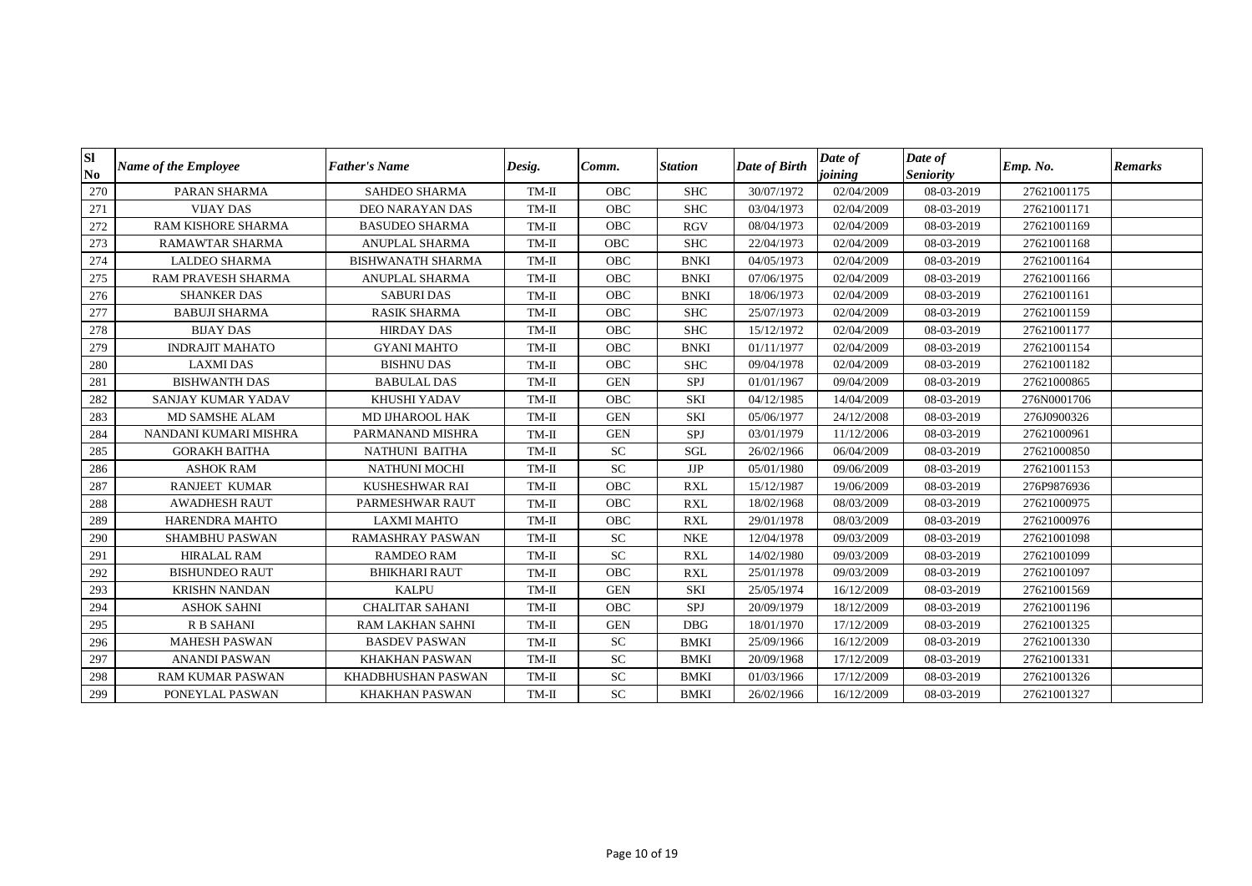| Sl<br>N <sub>0</sub> | <b>Name of the Employee</b> | <b>Father's Name</b>      | Desig.  | Comm.        | <b>Station</b> | Date of Birth | Date of<br>joining | Date of<br><b>Seniority</b> | Emp. No.    | <b>Remarks</b> |
|----------------------|-----------------------------|---------------------------|---------|--------------|----------------|---------------|--------------------|-----------------------------|-------------|----------------|
| 270                  | PARAN SHARMA                | <b>SAHDEO SHARMA</b>      | $TM-II$ | <b>OBC</b>   | <b>SHC</b>     | 30/07/1972    | 02/04/2009         | 08-03-2019                  | 27621001175 |                |
| 271                  | <b>VIJAY DAS</b>            | <b>DEO NARAYAN DAS</b>    | $TM-II$ | <b>OBC</b>   | <b>SHC</b>     | 03/04/1973    | 02/04/2009         | 08-03-2019                  | 27621001171 |                |
| 272                  | RAM KISHORE SHARMA          | <b>BASUDEO SHARMA</b>     | $TM-II$ | <b>OBC</b>   | <b>RGV</b>     | 08/04/1973    | 02/04/2009         | 08-03-2019                  | 27621001169 |                |
| 273                  | <b>RAMAWTAR SHARMA</b>      | ANUPLAL SHARMA            | $TM-II$ | <b>OBC</b>   | <b>SHC</b>     | 22/04/1973    | 02/04/2009         | 08-03-2019                  | 27621001168 |                |
| 274                  | <b>LALDEO SHARMA</b>        | <b>BISHWANATH SHARMA</b>  | $TM-II$ | OBC          | <b>BNKI</b>    | 04/05/1973    | 02/04/2009         | 08-03-2019                  | 27621001164 |                |
| 275                  | RAM PRAVESH SHARMA          | ANUPLAL SHARMA            | TM-II   | <b>OBC</b>   | <b>BNKI</b>    | 07/06/1975    | 02/04/2009         | 08-03-2019                  | 27621001166 |                |
| 276                  | <b>SHANKER DAS</b>          | <b>SABURI DAS</b>         | $TM-II$ | $_{\rm OBC}$ | <b>BNKI</b>    | 18/06/1973    | 02/04/2009         | 08-03-2019                  | 27621001161 |                |
| 277                  | <b>BABUJI SHARMA</b>        | RASIK SHARMA              | TM-II   | OBC          | <b>SHC</b>     | 25/07/1973    | 02/04/2009         | 08-03-2019                  | 27621001159 |                |
| 278                  | <b>BIJAY DAS</b>            | <b>HIRDAY DAS</b>         | $TM-II$ | OBC          | <b>SHC</b>     | 15/12/1972    | 02/04/2009         | 08-03-2019                  | 27621001177 |                |
| 279                  | <b>INDRAJIT MAHATO</b>      | <b>GYANI MAHTO</b>        | $TM-II$ | OBC          | <b>BNKI</b>    | 01/11/1977    | 02/04/2009         | 08-03-2019                  | 27621001154 |                |
| 280                  | <b>LAXMIDAS</b>             | <b>BISHNU DAS</b>         | $TM-II$ | <b>OBC</b>   | <b>SHC</b>     | 09/04/1978    | 02/04/2009         | 08-03-2019                  | 27621001182 |                |
| 281                  | <b>BISHWANTH DAS</b>        | <b>BABULAL DAS</b>        | $TM-II$ | <b>GEN</b>   | SPJ            | 01/01/1967    | 09/04/2009         | 08-03-2019                  | 27621000865 |                |
| 282                  | SANJAY KUMAR YADAV          | KHUSHI YADAV              | $TM-II$ | OBC          | SKI            | 04/12/1985    | 14/04/2009         | 08-03-2019                  | 276N0001706 |                |
| 283                  | MD SAMSHE ALAM              | MD IJHAROOL HAK           | $TM-II$ | <b>GEN</b>   | SKI            | 05/06/1977    | 24/12/2008         | 08-03-2019                  | 276J0900326 |                |
| 284                  | NANDANI KUMARI MISHRA       | PARMANAND MISHRA          | $TM-II$ | <b>GEN</b>   | SPJ            | 03/01/1979    | 11/12/2006         | 08-03-2019                  | 27621000961 |                |
| 285                  | <b>GORAKH BAITHA</b>        | NATHUNI BAITHA            | $TM-II$ | ${\rm SC}$   | <b>SGL</b>     | 26/02/1966    | 06/04/2009         | 08-03-2019                  | 27621000850 |                |
| 286                  | <b>ASHOK RAM</b>            | <b>NATHUNI MOCHI</b>      | $TM-II$ | <b>SC</b>    | $\rm{JJP}$     | 05/01/1980    | 09/06/2009         | 08-03-2019                  | 27621001153 |                |
| 287                  | <b>RANJEET KUMAR</b>        | <b>KUSHESHWAR RAI</b>     | TM-II   | OBC          | <b>RXL</b>     | 15/12/1987    | 19/06/2009         | 08-03-2019                  | 276P9876936 |                |
| 288                  | <b>AWADHESH RAUT</b>        | PARMESHWAR RAUT           | $TM-II$ | <b>OBC</b>   | <b>RXL</b>     | 18/02/1968    | 08/03/2009         | 08-03-2019                  | 27621000975 |                |
| 289                  | HARENDRA MAHTO              | <b>LAXMI MAHTO</b>        | $TM-II$ | <b>OBC</b>   | <b>RXL</b>     | 29/01/1978    | 08/03/2009         | 08-03-2019                  | 27621000976 |                |
| 290                  | <b>SHAMBHU PASWAN</b>       | RAMASHRAY PASWAN          | $TM-II$ | <b>SC</b>    | <b>NKE</b>     | 12/04/1978    | 09/03/2009         | 08-03-2019                  | 27621001098 |                |
| 291                  | <b>HIRALAL RAM</b>          | <b>RAMDEO RAM</b>         | $TM-II$ | <b>SC</b>    | <b>RXL</b>     | 14/02/1980    | 09/03/2009         | 08-03-2019                  | 27621001099 |                |
| 292                  | <b>BISHUNDEO RAUT</b>       | <b>BHIKHARI RAUT</b>      | $TM-II$ | <b>OBC</b>   | <b>RXL</b>     | 25/01/1978    | 09/03/2009         | 08-03-2019                  | 27621001097 |                |
| 293                  | <b>KRISHN NANDAN</b>        | <b>KALPU</b>              | $TM-II$ | <b>GEN</b>   | SKI            | 25/05/1974    | 16/12/2009         | 08-03-2019                  | 27621001569 |                |
| 294                  | <b>ASHOK SAHNI</b>          | <b>CHALITAR SAHANI</b>    | $TM-II$ | <b>OBC</b>   | SPJ            | 20/09/1979    | 18/12/2009         | 08-03-2019                  | 27621001196 |                |
| 295                  | <b>R B SAHANI</b>           | RAM LAKHAN SAHNI          | $TM-II$ | <b>GEN</b>   | <b>DBG</b>     | 18/01/1970    | 17/12/2009         | 08-03-2019                  | 27621001325 |                |
| 296                  | <b>MAHESH PASWAN</b>        | <b>BASDEV PASWAN</b>      | $TM-II$ | ${\rm SC}$   | <b>BMKI</b>    | 25/09/1966    | 16/12/2009         | 08-03-2019                  | 27621001330 |                |
| 297                  | <b>ANANDI PASWAN</b>        | <b>KHAKHAN PASWAN</b>     | $TM-II$ | <b>SC</b>    | <b>BMKI</b>    | 20/09/1968    | 17/12/2009         | 08-03-2019                  | 27621001331 |                |
| 298                  | <b>RAM KUMAR PASWAN</b>     | <b>KHADBHUSHAN PASWAN</b> | $TM-II$ | <b>SC</b>    | <b>BMKI</b>    | 01/03/1966    | 17/12/2009         | 08-03-2019                  | 27621001326 |                |
| 299                  | PONEYLAL PASWAN             | <b>KHAKHAN PASWAN</b>     | $TM-II$ | SC           | <b>BMKI</b>    | 26/02/1966    | 16/12/2009         | 08-03-2019                  | 27621001327 |                |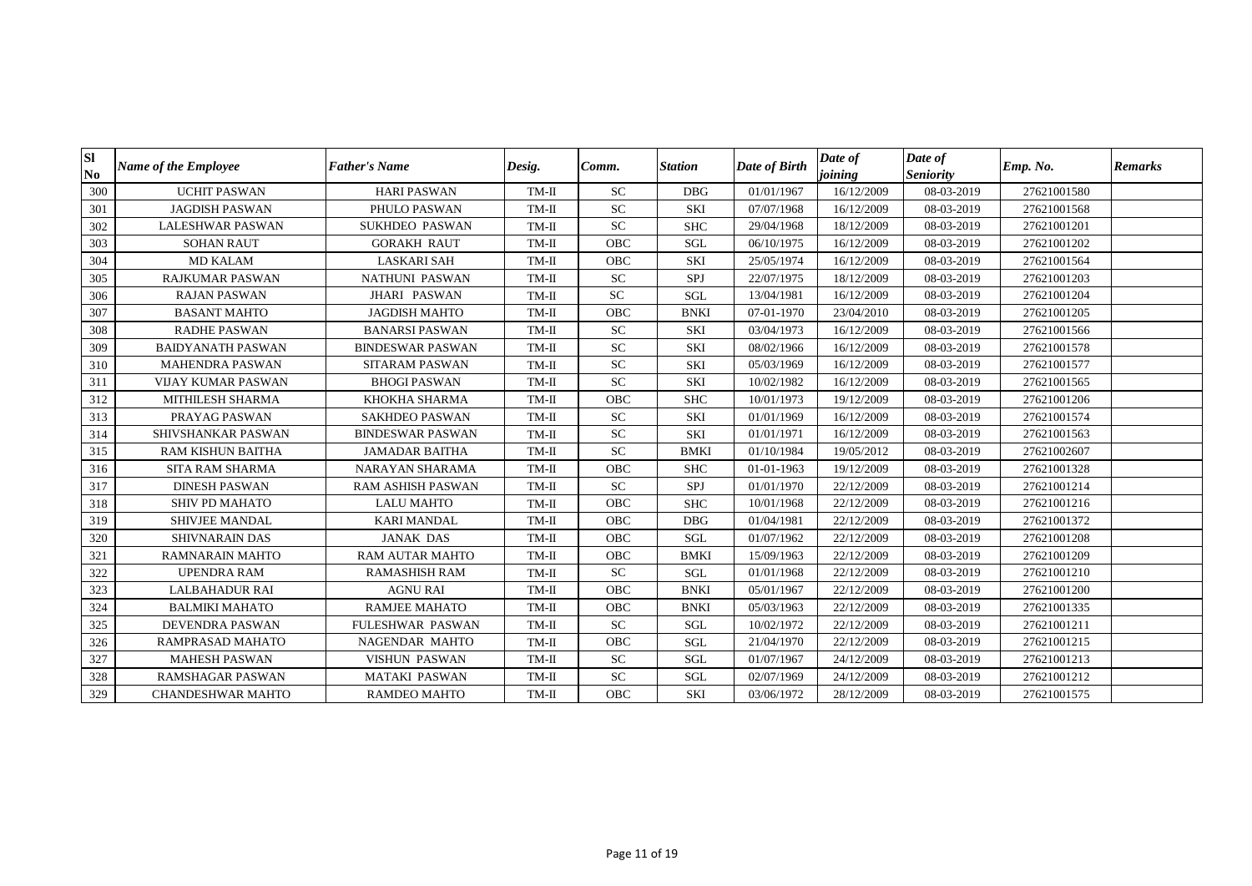| <b>SI</b><br>N <sub>0</sub> | <b>Name of the Employee</b> | <b>Father's Name</b>     | Desig.  | Comm.      | <b>Station</b> | Date of Birth | Date of<br>joining | Date of<br><b>Seniority</b> | Emp. No.    | <b>Remarks</b> |
|-----------------------------|-----------------------------|--------------------------|---------|------------|----------------|---------------|--------------------|-----------------------------|-------------|----------------|
| 300                         | <b>UCHIT PASWAN</b>         | <b>HARI PASWAN</b>       | $TM-II$ | <b>SC</b>  | <b>DBG</b>     | 01/01/1967    | 16/12/2009         | 08-03-2019                  | 27621001580 |                |
| 301                         | <b>JAGDISH PASWAN</b>       | PHULO PASWAN             | $TM-II$ | ${\rm SC}$ | <b>SKI</b>     | 07/07/1968    | 16/12/2009         | 08-03-2019                  | 27621001568 |                |
| 302                         | <b>LALESHWAR PASWAN</b>     | <b>SUKHDEO PASWAN</b>    | TM-II   | <b>SC</b>  | <b>SHC</b>     | 29/04/1968    | 18/12/2009         | 08-03-2019                  | 27621001201 |                |
| 303                         | <b>SOHAN RAUT</b>           | <b>GORAKH RAUT</b>       | $TM-II$ | <b>OBC</b> | SGL            | 06/10/1975    | 16/12/2009         | 08-03-2019                  | 27621001202 |                |
| 304                         | <b>MD KALAM</b>             | <b>LASKARI SAH</b>       | $TM-II$ | <b>OBC</b> | <b>SKI</b>     | 25/05/1974    | 16/12/2009         | 08-03-2019                  | 27621001564 |                |
| 305                         | <b>RAJKUMAR PASWAN</b>      | <b>NATHUNI PASWAN</b>    | $TM-II$ | <b>SC</b>  | SPJ            | 22/07/1975    | 18/12/2009         | 08-03-2019                  | 27621001203 |                |
| 306                         | <b>RAJAN PASWAN</b>         | JHARI PASWAN             | $TM-II$ | ${\rm SC}$ | SGL            | 13/04/1981    | 16/12/2009         | 08-03-2019                  | 27621001204 |                |
| 307                         | <b>BASANT MAHTO</b>         | JAGDISH MAHTO            | $TM-II$ | OBC        | <b>BNKI</b>    | 07-01-1970    | 23/04/2010         | 08-03-2019                  | 27621001205 |                |
| 308                         | <b>RADHE PASWAN</b>         | <b>BANARSI PASWAN</b>    | $TM-II$ | <b>SC</b>  | <b>SKI</b>     | 03/04/1973    | 16/12/2009         | 08-03-2019                  | 27621001566 |                |
| 309                         | <b>BAIDYANATH PASWAN</b>    | <b>BINDESWAR PASWAN</b>  | $TM-II$ | ${\rm SC}$ | <b>SKI</b>     | 08/02/1966    | 16/12/2009         | 08-03-2019                  | 27621001578 |                |
| 310                         | <b>MAHENDRA PASWAN</b>      | <b>SITARAM PASWAN</b>    | $TM-II$ | SC         | <b>SKI</b>     | 05/03/1969    | 16/12/2009         | 08-03-2019                  | 27621001577 |                |
| 311                         | <b>VIJAY KUMAR PASWAN</b>   | <b>BHOGI PASWAN</b>      | $TM-II$ | ${\rm SC}$ | <b>SKI</b>     | 10/02/1982    | 16/12/2009         | 08-03-2019                  | 27621001565 |                |
| 312                         | MITHILESH SHARMA            | KHOKHA SHARMA            | $TM-II$ | OBC        | <b>SHC</b>     | 10/01/1973    | 19/12/2009         | 08-03-2019                  | 27621001206 |                |
| 313                         | PRAYAG PASWAN               | <b>SAKHDEO PASWAN</b>    | TM-II   | SC         | <b>SKI</b>     | 01/01/1969    | 16/12/2009         | 08-03-2019                  | 27621001574 |                |
| 314                         | SHIVSHANKAR PASWAN          | <b>BINDESWAR PASWAN</b>  | $TM-II$ | ${\rm SC}$ | <b>SKI</b>     | 01/01/1971    | 16/12/2009         | 08-03-2019                  | 27621001563 |                |
| 315                         | <b>RAM KISHUN BAITHA</b>    | <b>JAMADAR BAITHA</b>    | $TM-II$ | <b>SC</b>  | <b>BMKI</b>    | 01/10/1984    | 19/05/2012         | 08-03-2019                  | 27621002607 |                |
| 316                         | <b>SITA RAM SHARMA</b>      | NARAYAN SHARAMA          | TM-II   | <b>OBC</b> | <b>SHC</b>     | 01-01-1963    | 19/12/2009         | 08-03-2019                  | 27621001328 |                |
| 317                         | <b>DINESH PASWAN</b>        | <b>RAM ASHISH PASWAN</b> | $TM-II$ | <b>SC</b>  | SPJ            | 01/01/1970    | 22/12/2009         | 08-03-2019                  | 27621001214 |                |
| 318                         | SHIV PD MAHATO              | <b>LALU MAHTO</b>        | $TM-II$ | <b>OBC</b> | <b>SHC</b>     | 10/01/1968    | 22/12/2009         | 08-03-2019                  | 27621001216 |                |
| 319                         | <b>SHIVJEE MANDAL</b>       | <b>KARI MANDAL</b>       | $TM-II$ | <b>OBC</b> | <b>DBG</b>     | 01/04/1981    | 22/12/2009         | 08-03-2019                  | 27621001372 |                |
| 320                         | <b>SHIVNARAIN DAS</b>       | <b>JANAK DAS</b>         | $TM-II$ | <b>OBC</b> | SGL            | 01/07/1962    | 22/12/2009         | 08-03-2019                  | 27621001208 |                |
| 321                         | <b>RAMNARAIN MAHTO</b>      | RAM AUTAR MAHTO          | $TM-II$ | OBC        | <b>BMKI</b>    | 15/09/1963    | 22/12/2009         | 08-03-2019                  | 27621001209 |                |
| 322                         | <b>UPENDRA RAM</b>          | <b>RAMASHISH RAM</b>     | TM-II   | <b>SC</b>  | SGL            | 01/01/1968    | 22/12/2009         | 08-03-2019                  | 27621001210 |                |
| 323                         | <b>LALBAHADUR RAI</b>       | <b>AGNU RAI</b>          | $TM-II$ | OBC        | <b>BNKI</b>    | 05/01/1967    | 22/12/2009         | 08-03-2019                  | 27621001200 |                |
| 324                         | <b>BALMIKI MAHATO</b>       | <b>RAMJEE MAHATO</b>     | $TM-II$ | OBC        | <b>BNKI</b>    | 05/03/1963    | 22/12/2009         | 08-03-2019                  | 27621001335 |                |
| 325                         | DEVENDRA PASWAN             | FULESHWAR PASWAN         | $TM-II$ | <b>SC</b>  | SGL            | 10/02/1972    | 22/12/2009         | 08-03-2019                  | 27621001211 |                |
| 326                         | RAMPRASAD MAHATO            | NAGENDAR MAHTO           | $TM-II$ | OBC        | SGL            | 21/04/1970    | 22/12/2009         | 08-03-2019                  | 27621001215 |                |
| 327                         | <b>MAHESH PASWAN</b>        | VISHUN PASWAN            | $TM-II$ | ${\rm SC}$ | SGL            | 01/07/1967    | 24/12/2009         | 08-03-2019                  | 27621001213 |                |
| 328                         | RAMSHAGAR PASWAN            | <b>MATAKI PASWAN</b>     | $TM-II$ | ${\rm SC}$ | SGL            | 02/07/1969    | 24/12/2009         | 08-03-2019                  | 27621001212 |                |
| 329                         | <b>CHANDESHWAR MAHTO</b>    | <b>RAMDEO MAHTO</b>      | TM-II   | <b>OBC</b> | <b>SKI</b>     | 03/06/1972    | 28/12/2009         | 08-03-2019                  | 27621001575 |                |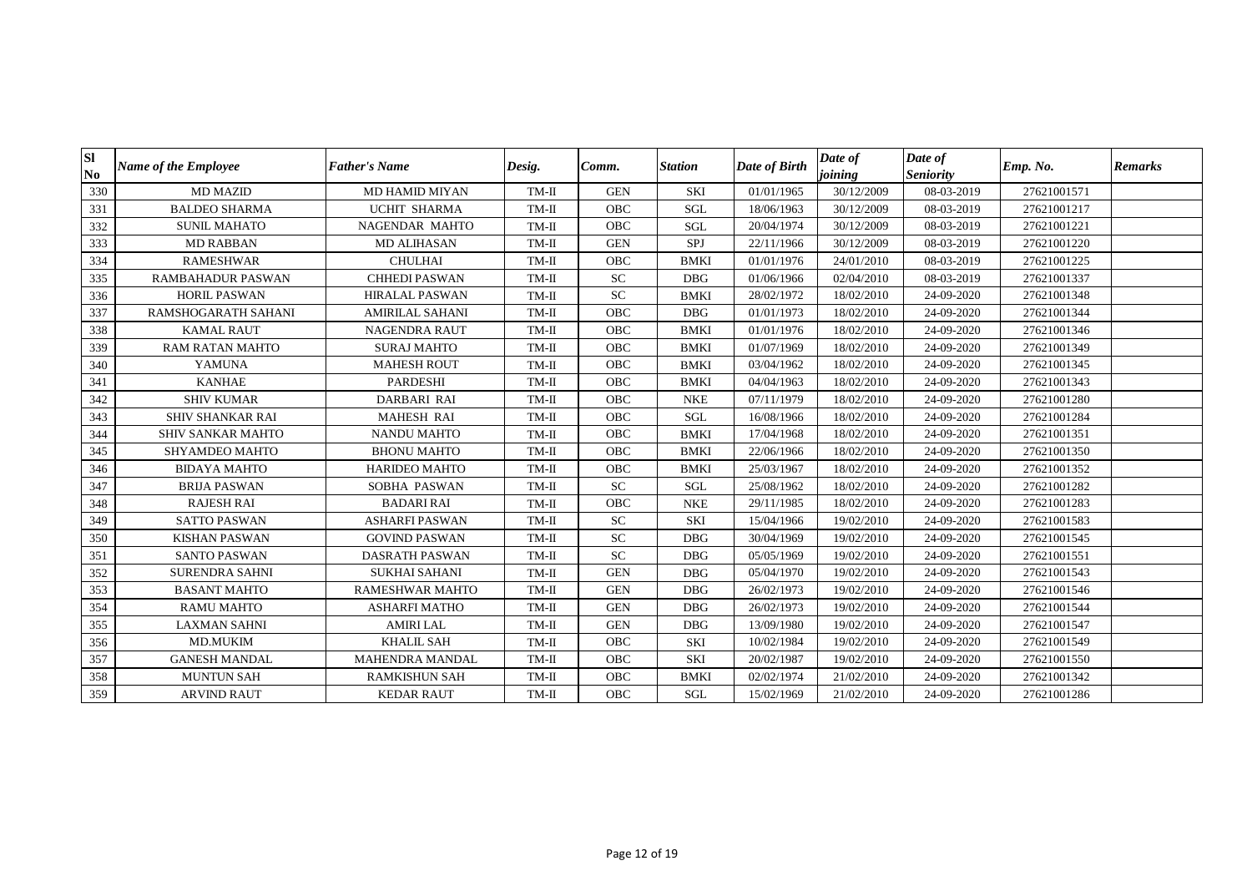| Sl<br>N <sub>0</sub> | <b>Name of the Employee</b> | <b>Father's Name</b>   | Desig.  | Comm.      | <b>Station</b> | Date of Birth | Date of<br>joining | Date of<br><b>Seniority</b> | Emp. No.    | <b>Remarks</b> |
|----------------------|-----------------------------|------------------------|---------|------------|----------------|---------------|--------------------|-----------------------------|-------------|----------------|
| 330                  | <b>MD MAZID</b>             | <b>MD HAMID MIYAN</b>  | TM-II   | <b>GEN</b> | <b>SKI</b>     | 01/01/1965    | 30/12/2009         | 08-03-2019                  | 27621001571 |                |
| 331                  | <b>BALDEO SHARMA</b>        | <b>UCHIT SHARMA</b>    | TM-II   | <b>OBC</b> | <b>SGL</b>     | 18/06/1963    | 30/12/2009         | 08-03-2019                  | 27621001217 |                |
| 332                  | <b>SUNIL MAHATO</b>         | <b>NAGENDAR MAHTO</b>  | TM-II   | <b>OBC</b> | SGL            | 20/04/1974    | 30/12/2009         | 08-03-2019                  | 27621001221 |                |
| 333                  | <b>MD RABBAN</b>            | <b>MD ALIHASAN</b>     | TM-II   | <b>GEN</b> | SPJ            | 22/11/1966    | 30/12/2009         | 08-03-2019                  | 27621001220 |                |
| 334                  | <b>RAMESHWAR</b>            | <b>CHULHAI</b>         | TM-II   | <b>OBC</b> | <b>BMKI</b>    | 01/01/1976    | 24/01/2010         | 08-03-2019                  | 27621001225 |                |
| 335                  | <b>RAMBAHADUR PASWAN</b>    | <b>CHHEDI PASWAN</b>   | TM-II   | <b>SC</b>  | <b>DBG</b>     | 01/06/1966    | 02/04/2010         | 08-03-2019                  | 27621001337 |                |
| 336                  | <b>HORIL PASWAN</b>         | <b>HIRALAL PASWAN</b>  | TM-II   | ${\rm SC}$ | <b>BMKI</b>    | 28/02/1972    | 18/02/2010         | 24-09-2020                  | 27621001348 |                |
| 337                  | RAMSHOGARATH SAHANI         | <b>AMIRILAL SAHANI</b> | TM-II   | <b>OBC</b> | <b>DBG</b>     | 01/01/1973    | 18/02/2010         | 24-09-2020                  | 27621001344 |                |
| 338                  | <b>KAMAL RAUT</b>           | <b>NAGENDRA RAUT</b>   | TM-II   | <b>OBC</b> | <b>BMKI</b>    | 01/01/1976    | 18/02/2010         | 24-09-2020                  | 27621001346 |                |
| 339                  | <b>RAM RATAN MAHTO</b>      | <b>SURAJ MAHTO</b>     | TM-II   | OBC        | <b>BMKI</b>    | 01/07/1969    | 18/02/2010         | 24-09-2020                  | 27621001349 |                |
| 340                  | <b>YAMUNA</b>               | <b>MAHESH ROUT</b>     | $TM-II$ | <b>OBC</b> | <b>BMKI</b>    | 03/04/1962    | 18/02/2010         | 24-09-2020                  | 27621001345 |                |
| 341                  | <b>KANHAE</b>               | <b>PARDESHI</b>        | TM-II   | <b>OBC</b> | <b>BMKI</b>    | 04/04/1963    | 18/02/2010         | 24-09-2020                  | 27621001343 |                |
| 342                  | <b>SHIV KUMAR</b>           | DARBARI RAI            | TM-II   | <b>OBC</b> | <b>NKE</b>     | 07/11/1979    | 18/02/2010         | 24-09-2020                  | 27621001280 |                |
| 343                  | <b>SHIV SHANKAR RAI</b>     | <b>MAHESH RAI</b>      | $TM-II$ | <b>OBC</b> | SGL            | 16/08/1966    | 18/02/2010         | 24-09-2020                  | 27621001284 |                |
| 344                  | SHIV SANKAR MAHTO           | <b>NANDU MAHTO</b>     | TM-II   | <b>OBC</b> | <b>BMKI</b>    | 17/04/1968    | 18/02/2010         | 24-09-2020                  | 27621001351 |                |
| 345                  | SHYAMDEO MAHTO              | <b>BHONU MAHTO</b>     | TM-II   | <b>OBC</b> | <b>BMKI</b>    | 22/06/1966    | 18/02/2010         | 24-09-2020                  | 27621001350 |                |
| 346                  | <b>BIDAYA MAHTO</b>         | HARIDEO MAHTO          | $TM-II$ | OBC        | <b>BMKI</b>    | 25/03/1967    | 18/02/2010         | 24-09-2020                  | 27621001352 |                |
| 347                  | <b>BRIJA PASWAN</b>         | SOBHA PASWAN           | TM-II   | <b>SC</b>  | SGL            | 25/08/1962    | 18/02/2010         | 24-09-2020                  | 27621001282 |                |
| 348                  | <b>RAJESH RAI</b>           | <b>BADARI RAI</b>      | $TM-II$ | OBC        | <b>NKE</b>     | 29/11/1985    | 18/02/2010         | 24-09-2020                  | 27621001283 |                |
| 349                  | <b>SATTO PASWAN</b>         | <b>ASHARFI PASWAN</b>  | TM-II   | <b>SC</b>  | <b>SKI</b>     | 15/04/1966    | 19/02/2010         | 24-09-2020                  | 27621001583 |                |
| 350                  | <b>KISHAN PASWAN</b>        | <b>GOVIND PASWAN</b>   | $TM-II$ | ${\rm SC}$ | <b>DBG</b>     | 30/04/1969    | 19/02/2010         | 24-09-2020                  | 27621001545 |                |
| 351                  | <b>SANTO PASWAN</b>         | <b>DASRATH PASWAN</b>  | TM-II   | ${\rm SC}$ | DBG            | 05/05/1969    | 19/02/2010         | 24-09-2020                  | 27621001551 |                |
| 352                  | <b>SURENDRA SAHNI</b>       | <b>SUKHAI SAHANI</b>   | TM-II   | <b>GEN</b> | <b>DBG</b>     | 05/04/1970    | 19/02/2010         | 24-09-2020                  | 27621001543 |                |
| 353                  | <b>BASANT MAHTO</b>         | <b>RAMESHWAR MAHTO</b> | $TM-II$ | <b>GEN</b> | DBG            | 26/02/1973    | 19/02/2010         | 24-09-2020                  | 27621001546 |                |
| 354                  | <b>RAMU MAHTO</b>           | <b>ASHARFI MATHO</b>   | TM-II   | <b>GEN</b> | <b>DBG</b>     | 26/02/1973    | 19/02/2010         | 24-09-2020                  | 27621001544 |                |
| 355                  | <b>LAXMAN SAHNI</b>         | <b>AMIRI LAL</b>       | $TM-II$ | <b>GEN</b> | DBG            | 13/09/1980    | 19/02/2010         | 24-09-2020                  | 27621001547 |                |
| 356                  | MD.MUKIM                    | <b>KHALIL SAH</b>      | TM-II   | OBC        | <b>SKI</b>     | 10/02/1984    | 19/02/2010         | 24-09-2020                  | 27621001549 |                |
| 357                  | <b>GANESH MANDAL</b>        | MAHENDRA MANDAL        | TM-II   | OBC        | <b>SKI</b>     | 20/02/1987    | 19/02/2010         | 24-09-2020                  | 27621001550 |                |
| 358                  | <b>MUNTUN SAH</b>           | <b>RAMKISHUN SAH</b>   | TM-II   | OBC        | <b>BMKI</b>    | 02/02/1974    | 21/02/2010         | 24-09-2020                  | 27621001342 |                |
| 359                  | <b>ARVIND RAUT</b>          | <b>KEDAR RAUT</b>      | $TM-II$ | OBC        | SGL            | 15/02/1969    | 21/02/2010         | 24-09-2020                  | 27621001286 |                |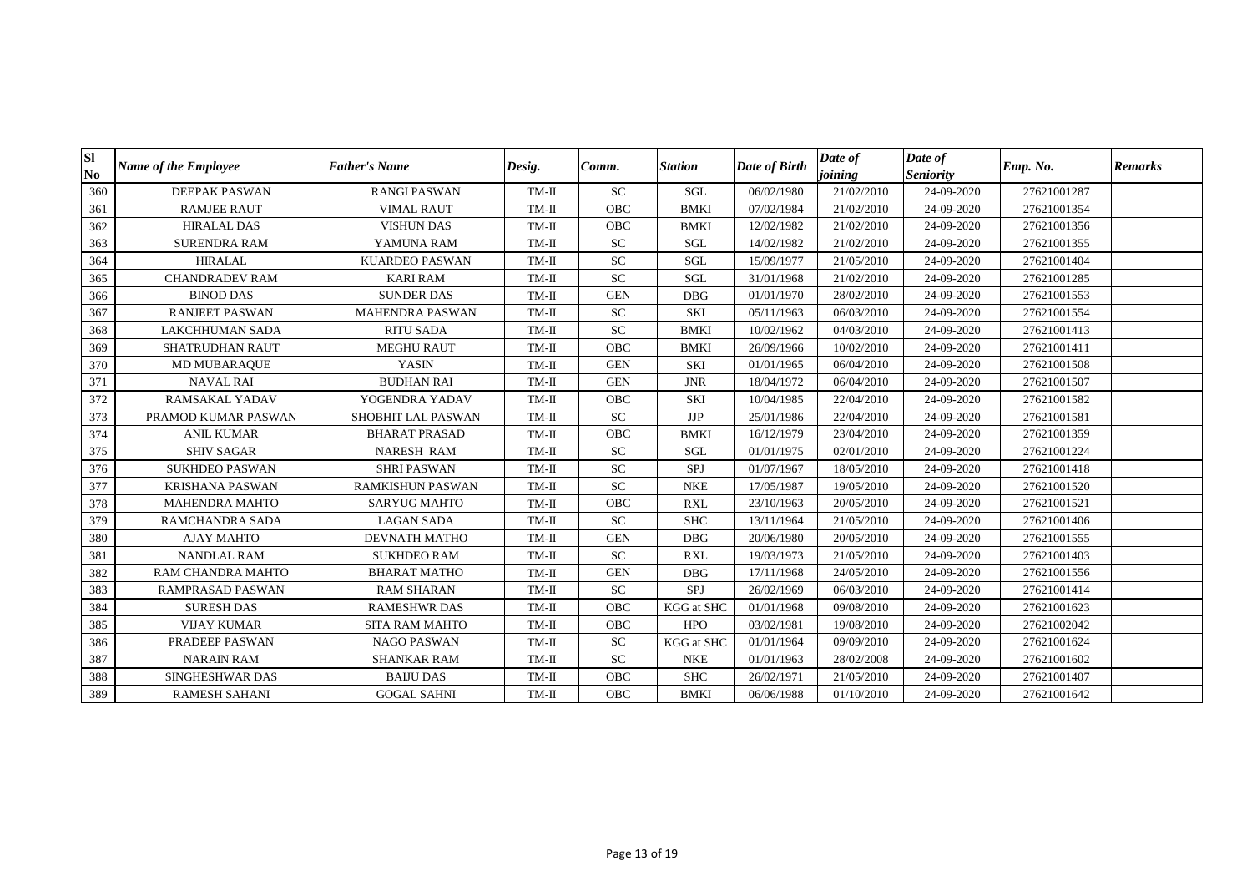| <b>SI</b><br>N <sub>0</sub> | <b>Name of the Employee</b> | <b>Father's Name</b>    | Desig.  | Comm.      | <b>Station</b>    | Date of Birth | Date of<br>joining | Date of<br><b>Seniority</b> | Emp. No.    | <b>Remarks</b> |
|-----------------------------|-----------------------------|-------------------------|---------|------------|-------------------|---------------|--------------------|-----------------------------|-------------|----------------|
| 360                         | <b>DEEPAK PASWAN</b>        | <b>RANGI PASWAN</b>     | $TM-II$ | <b>SC</b>  | SGL               | 06/02/1980    | 21/02/2010         | 24-09-2020                  | 27621001287 |                |
| 361                         | <b>RAMJEE RAUT</b>          | <b>VIMAL RAUT</b>       | $TM-II$ | <b>OBC</b> | <b>BMKI</b>       | 07/02/1984    | 21/02/2010         | 24-09-2020                  | 27621001354 |                |
| 362                         | <b>HIRALAL DAS</b>          | <b>VISHUN DAS</b>       | $TM-II$ | OBC        | <b>BMKI</b>       | 12/02/1982    | 21/02/2010         | 24-09-2020                  | 27621001356 |                |
| 363                         | <b>SURENDRA RAM</b>         | YAMUNA RAM              | $TM-II$ | <b>SC</b>  | <b>SGL</b>        | 14/02/1982    | 21/02/2010         | 24-09-2020                  | 27621001355 |                |
| 364                         | <b>HIRALAL</b>              | <b>KUARDEO PASWAN</b>   | $TM-II$ | <b>SC</b>  | SGL               | 15/09/1977    | 21/05/2010         | 24-09-2020                  | 27621001404 |                |
| 365                         | <b>CHANDRADEV RAM</b>       | <b>KARI RAM</b>         | $TM-II$ | ${\rm SC}$ | SGL               | 31/01/1968    | 21/02/2010         | 24-09-2020                  | 27621001285 |                |
| 366                         | <b>BINOD DAS</b>            | <b>SUNDER DAS</b>       | $TM-II$ | <b>GEN</b> | <b>DBG</b>        | 01/01/1970    | 28/02/2010         | 24-09-2020                  | 27621001553 |                |
| 367                         | <b>RANJEET PASWAN</b>       | <b>MAHENDRA PASWAN</b>  | $TM-II$ | SC         | <b>SKI</b>        | 05/11/1963    | 06/03/2010         | 24-09-2020                  | 27621001554 |                |
| 368                         | <b>LAKCHHUMAN SADA</b>      | <b>RITU SADA</b>        | $TM-II$ | ${\rm SC}$ | <b>BMKI</b>       | 10/02/1962    | 04/03/2010         | 24-09-2020                  | 27621001413 |                |
| 369                         | <b>SHATRUDHAN RAUT</b>      | <b>MEGHU RAUT</b>       | $TM-II$ | OBC        | <b>BMKI</b>       | 26/09/1966    | 10/02/2010         | 24-09-2020                  | 27621001411 |                |
| 370                         | MD MUBARAQUE                | <b>YASIN</b>            | $TM-II$ | <b>GEN</b> | SKI               | 01/01/1965    | 06/04/2010         | 24-09-2020                  | 27621001508 |                |
| 371                         | <b>NAVAL RAI</b>            | <b>BUDHAN RAI</b>       | $TM-II$ | <b>GEN</b> | <b>JNR</b>        | 18/04/1972    | 06/04/2010         | 24-09-2020                  | 27621001507 |                |
| 372                         | <b>RAMSAKAL YADAV</b>       | YOGENDRA YADAV          | $TM-II$ | OBC        | <b>SKI</b>        | 10/04/1985    | 22/04/2010         | 24-09-2020                  | 27621001582 |                |
| 373                         | PRAMOD KUMAR PASWAN         | SHOBHIT LAL PASWAN      | $TM-II$ | ${\rm SC}$ | JJP               | 25/01/1986    | 22/04/2010         | 24-09-2020                  | 27621001581 |                |
| 374                         | <b>ANIL KUMAR</b>           | <b>BHARAT PRASAD</b>    | $TM-II$ | OBC        | <b>BMKI</b>       | 16/12/1979    | 23/04/2010         | 24-09-2020                  | 27621001359 |                |
| 375                         | <b>SHIV SAGAR</b>           | NARESH RAM              | $TM-II$ | ${\rm SC}$ | SGL               | 01/01/1975    | 02/01/2010         | 24-09-2020                  | 27621001224 |                |
| 376                         | <b>SUKHDEO PASWAN</b>       | <b>SHRIPASWAN</b>       | $TM-II$ | SC         | SPJ               | 01/07/1967    | 18/05/2010         | 24-09-2020                  | 27621001418 |                |
| 377                         | <b>KRISHANA PASWAN</b>      | <b>RAMKISHUN PASWAN</b> | $TM-II$ | ${\rm SC}$ | <b>NKE</b>        | 17/05/1987    | 19/05/2010         | 24-09-2020                  | 27621001520 |                |
| 378                         | <b>MAHENDRA MAHTO</b>       | <b>SARYUG MAHTO</b>     | $TM-II$ | OBC        | <b>RXL</b>        | 23/10/1963    | 20/05/2010         | 24-09-2020                  | 27621001521 |                |
| 379                         | RAMCHANDRA SADA             | <b>LAGAN SADA</b>       | TM-II   | <b>SC</b>  | <b>SHC</b>        | 13/11/1964    | 21/05/2010         | 24-09-2020                  | 27621001406 |                |
| 380                         | <b>AJAY MAHTO</b>           | <b>DEVNATH MATHO</b>    | $TM-II$ | <b>GEN</b> | <b>DBG</b>        | 20/06/1980    | 20/05/2010         | 24-09-2020                  | 27621001555 |                |
| 381                         | <b>NANDLAL RAM</b>          | <b>SUKHDEO RAM</b>      | $TM-II$ | <b>SC</b>  | <b>RXL</b>        | 19/03/1973    | 21/05/2010         | 24-09-2020                  | 27621001403 |                |
| 382                         | RAM CHANDRA MAHTO           | <b>BHARAT MATHO</b>     | $TM-II$ | <b>GEN</b> | <b>DBG</b>        | 17/11/1968    | 24/05/2010         | 24-09-2020                  | 27621001556 |                |
| 383                         | <b>RAMPRASAD PASWAN</b>     | <b>RAM SHARAN</b>       | $TM-II$ | <b>SC</b>  | SPJ               | 26/02/1969    | 06/03/2010         | 24-09-2020                  | 27621001414 |                |
| 384                         | <b>SURESH DAS</b>           | <b>RAMESHWR DAS</b>     | $TM-II$ | OBC        | KGG at SHC        | 01/01/1968    | 09/08/2010         | 24-09-2020                  | 27621001623 |                |
| 385                         | <b>VIJAY KUMAR</b>          | <b>SITA RAM MAHTO</b>   | TM-II   | OBC        | <b>HPO</b>        | 03/02/1981    | 19/08/2010         | 24-09-2020                  | 27621002042 |                |
| 386                         | PRADEEP PASWAN              | <b>NAGO PASWAN</b>      | $TM-II$ | ${\rm SC}$ | <b>KGG</b> at SHC | 01/01/1964    | 09/09/2010         | 24-09-2020                  | 27621001624 |                |
| 387                         | <b>NARAIN RAM</b>           | <b>SHANKAR RAM</b>      | $TM-II$ | ${\rm SC}$ | <b>NKE</b>        | 01/01/1963    | 28/02/2008         | 24-09-2020                  | 27621001602 |                |
| 388                         | SINGHESHWAR DAS             | <b>BAIJU DAS</b>        | TM-II   | <b>OBC</b> | <b>SHC</b>        | 26/02/1971    | 21/05/2010         | 24-09-2020                  | 27621001407 |                |
| 389                         | <b>RAMESH SAHANI</b>        | <b>GOGAL SAHNI</b>      | $TM-II$ | <b>OBC</b> | <b>BMKI</b>       | 06/06/1988    | 01/10/2010         | 24-09-2020                  | 27621001642 |                |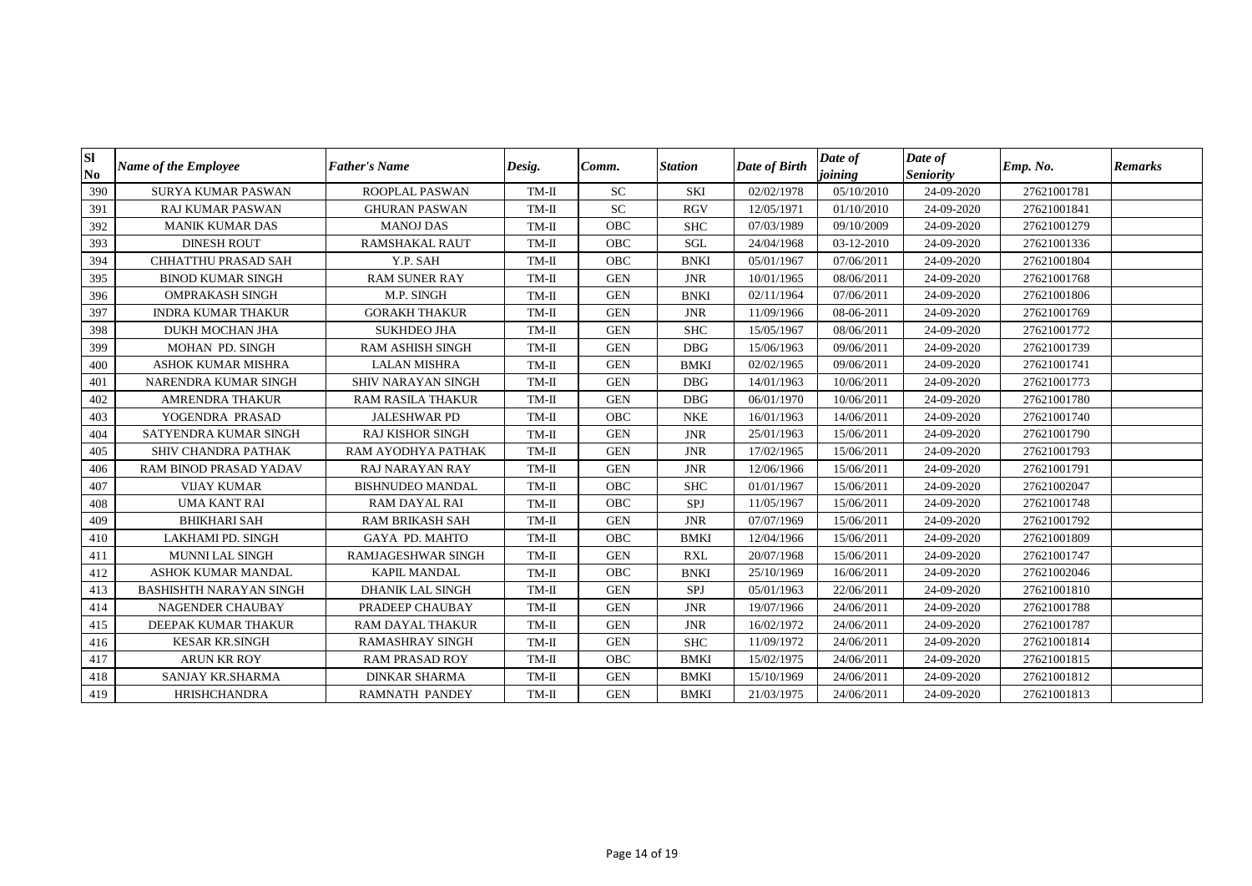| Sl<br>N <sub>0</sub> | <b>Name of the Employee</b>    | <b>Father's Name</b>      | Desig.  | Comm.      | <b>Station</b> | Date of Birth | Date of<br>joining | Date of<br><b>Seniority</b> | Emp. No.    | <b>Remarks</b> |
|----------------------|--------------------------------|---------------------------|---------|------------|----------------|---------------|--------------------|-----------------------------|-------------|----------------|
| 390                  | <b>SURYA KUMAR PASWAN</b>      | ROOPLAL PASWAN            | $TM-II$ | <b>SC</b>  | <b>SKI</b>     | 02/02/1978    | 05/10/2010         | 24-09-2020                  | 27621001781 |                |
| 391                  | <b>RAJ KUMAR PASWAN</b>        | <b>GHURAN PASWAN</b>      | $TM-II$ | SC         | <b>RGV</b>     | 12/05/1971    | 01/10/2010         | 24-09-2020                  | 27621001841 |                |
| 392                  | <b>MANIK KUMAR DAS</b>         | <b>MANOJ DAS</b>          | $TM-II$ | <b>OBC</b> | <b>SHC</b>     | 07/03/1989    | 09/10/2009         | 24-09-2020                  | 27621001279 |                |
| 393                  | <b>DINESH ROUT</b>             | <b>RAMSHAKAL RAUT</b>     | $TM-II$ | <b>OBC</b> | SGL            | 24/04/1968    | 03-12-2010         | 24-09-2020                  | 27621001336 |                |
| 394                  | <b>CHHATTHU PRASAD SAH</b>     | Y.P. SAH                  | $TM-II$ | OBC        | <b>BNKI</b>    | 05/01/1967    | 07/06/2011         | 24-09-2020                  | 27621001804 |                |
| 395                  | <b>BINOD KUMAR SINGH</b>       | <b>RAM SUNER RAY</b>      | TM-II   | <b>GEN</b> | <b>JNR</b>     | 10/01/1965    | 08/06/2011         | 24-09-2020                  | 27621001768 |                |
| 396                  | <b>OMPRAKASH SINGH</b>         | M.P. SINGH                | $TM-II$ | <b>GEN</b> | <b>BNKI</b>    | 02/11/1964    | 07/06/2011         | 24-09-2020                  | 27621001806 |                |
| 397                  | <b>INDRA KUMAR THAKUR</b>      | <b>GORAKH THAKUR</b>      | TM-II   | <b>GEN</b> | <b>JNR</b>     | 11/09/1966    | 08-06-2011         | 24-09-2020                  | 27621001769 |                |
| 398                  | DUKH MOCHAN JHA                | <b>SUKHDEO JHA</b>        | $TM-II$ | <b>GEN</b> | <b>SHC</b>     | 15/05/1967    | 08/06/2011         | 24-09-2020                  | 27621001772 |                |
| 399                  | MOHAN PD. SINGH                | <b>RAM ASHISH SINGH</b>   | $TM-II$ | <b>GEN</b> | <b>DBG</b>     | 15/06/1963    | 09/06/2011         | 24-09-2020                  | 27621001739 |                |
| 400                  | <b>ASHOK KUMAR MISHRA</b>      | <b>LALAN MISHRA</b>       | $TM-II$ | <b>GEN</b> | <b>BMKI</b>    | 02/02/1965    | 09/06/2011         | 24-09-2020                  | 27621001741 |                |
| 401                  | NARENDRA KUMAR SINGH           | SHIV NARAYAN SINGH        | $TM-II$ | <b>GEN</b> | <b>DBG</b>     | 14/01/1963    | 10/06/2011         | 24-09-2020                  | 27621001773 |                |
| 402                  | <b>AMRENDRA THAKUR</b>         | <b>RAM RASILA THAKUR</b>  | $TM-II$ | <b>GEN</b> | <b>DBG</b>     | 06/01/1970    | 10/06/2011         | 24-09-2020                  | 27621001780 |                |
| 403                  | YOGENDRA PRASAD                | <b>JALESHWAR PD</b>       | $TM-II$ | OBC        | <b>NKE</b>     | 16/01/1963    | 14/06/2011         | 24-09-2020                  | 27621001740 |                |
| 404                  | SATYENDRA KUMAR SINGH          | <b>RAJ KISHOR SINGH</b>   | $TM-II$ | <b>GEN</b> | <b>JNR</b>     | 25/01/1963    | 15/06/2011         | 24-09-2020                  | 27621001790 |                |
| 405                  | SHIV CHANDRA PATHAK            | RAM AYODHYA PATHAK        | $TM-II$ | <b>GEN</b> | <b>JNR</b>     | 17/02/1965    | 15/06/2011         | 24-09-2020                  | 27621001793 |                |
| 406                  | RAM BINOD PRASAD YADAV         | <b>RAJ NARAYAN RAY</b>    | $TM-II$ | <b>GEN</b> | <b>JNR</b>     | 12/06/1966    | 15/06/2011         | 24-09-2020                  | 27621001791 |                |
| 407                  | <b>VIJAY KUMAR</b>             | <b>BISHNUDEO MANDAL</b>   | TM-II   | <b>OBC</b> | <b>SHC</b>     | 01/01/1967    | 15/06/2011         | 24-09-2020                  | 27621002047 |                |
| 408                  | <b>UMA KANT RAI</b>            | <b>RAM DAYAL RAI</b>      | $TM-II$ | <b>OBC</b> | SPJ            | 11/05/1967    | 15/06/2011         | 24-09-2020                  | 27621001748 |                |
| 409                  | <b>BHIKHARI SAH</b>            | <b>RAM BRIKASH SAH</b>    | $TM-II$ | <b>GEN</b> | <b>JNR</b>     | 07/07/1969    | 15/06/2011         | 24-09-2020                  | 27621001792 |                |
| 410                  | LAKHAMI PD. SINGH              | <b>GAYA PD. MAHTO</b>     | $TM-II$ | <b>OBC</b> | <b>BMKI</b>    | 12/04/1966    | 15/06/2011         | 24-09-2020                  | 27621001809 |                |
| 411                  | <b>MUNNI LAL SINGH</b>         | <b>RAMJAGESHWAR SINGH</b> | $TM-II$ | <b>GEN</b> | <b>RXL</b>     | 20/07/1968    | 15/06/2011         | 24-09-2020                  | 27621001747 |                |
| 412                  | <b>ASHOK KUMAR MANDAL</b>      | KAPIL MANDAL              | $TM-II$ | <b>OBC</b> | <b>BNKI</b>    | 25/10/1969    | 16/06/2011         | 24-09-2020                  | 27621002046 |                |
| 413                  | <b>BASHISHTH NARAYAN SINGH</b> | <b>DHANIK LAL SINGH</b>   | $TM-II$ | <b>GEN</b> | SPJ            | 05/01/1963    | 22/06/2011         | 24-09-2020                  | 27621001810 |                |
| 414                  | NAGENDER CHAUBAY               | PRADEEP CHAUBAY           | $TM-II$ | <b>GEN</b> | <b>JNR</b>     | 19/07/1966    | 24/06/2011         | 24-09-2020                  | 27621001788 |                |
| 415                  | DEEPAK KUMAR THAKUR            | RAM DAYAL THAKUR          | $TM-II$ | <b>GEN</b> | <b>JNR</b>     | 16/02/1972    | 24/06/2011         | 24-09-2020                  | 27621001787 |                |
| 416                  | <b>KESAR KR.SINGH</b>          | <b>RAMASHRAY SINGH</b>    | $TM-II$ | <b>GEN</b> | <b>SHC</b>     | 11/09/1972    | 24/06/2011         | 24-09-2020                  | 27621001814 |                |
| 417                  | <b>ARUN KR ROY</b>             | <b>RAM PRASAD ROY</b>     | $TM-II$ | <b>OBC</b> | <b>BMKI</b>    | 15/02/1975    | 24/06/2011         | 24-09-2020                  | 27621001815 |                |
| 418                  | SANJAY KR.SHARMA               | <b>DINKAR SHARMA</b>      | $TM-II$ | <b>GEN</b> | <b>BMKI</b>    | 15/10/1969    | 24/06/2011         | 24-09-2020                  | 27621001812 |                |
| 419                  | <b>HRISHCHANDRA</b>            | <b>RAMNATH PANDEY</b>     | $TM-II$ | <b>GEN</b> | <b>BMKI</b>    | 21/03/1975    | 24/06/2011         | 24-09-2020                  | 27621001813 |                |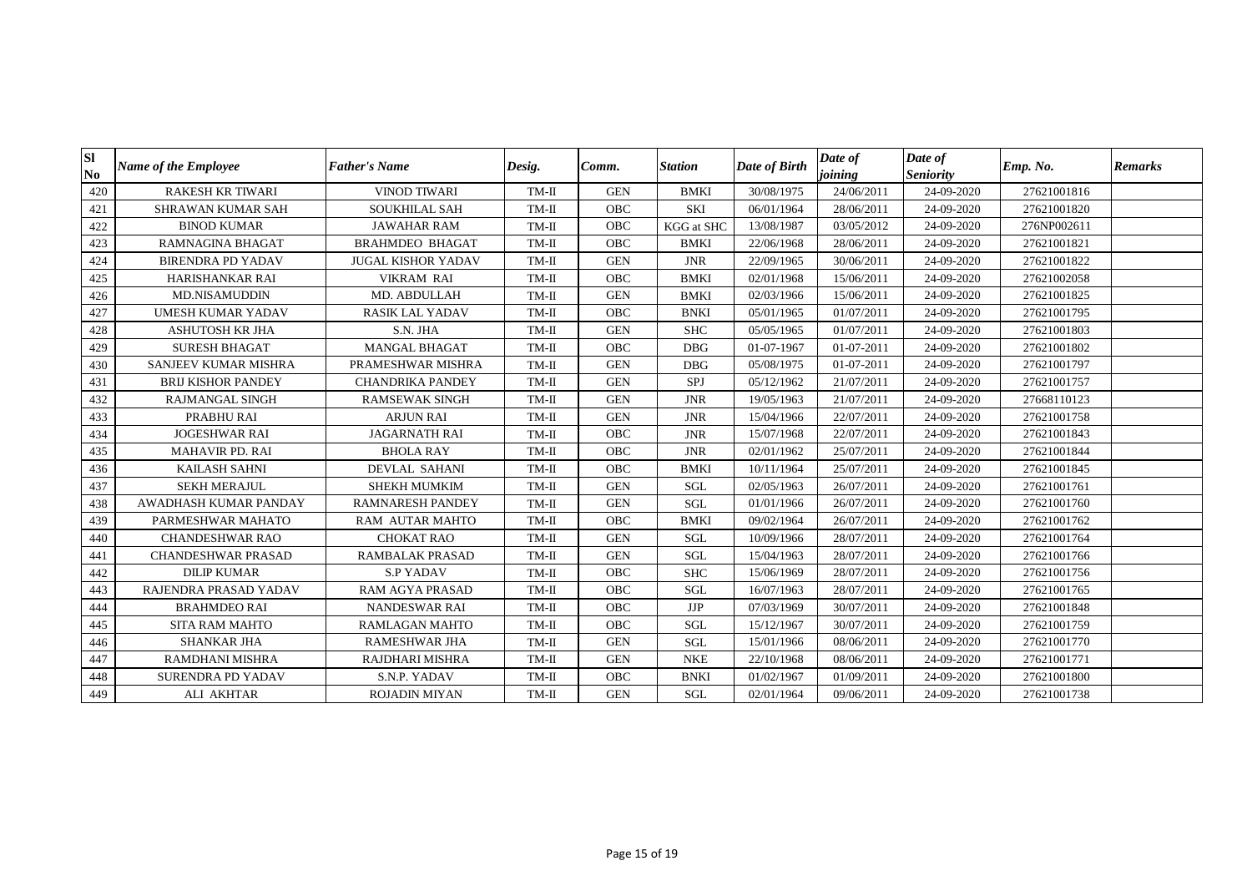| Sl<br>N <sub>0</sub> | <b>Name of the Employee</b> | <b>Father's Name</b>      | Desig.  | Comm.      | <b>Station</b>    | Date of Birth | Date of<br>joining | Date of<br><b>Seniority</b> | Emp. No.    | <b>Remarks</b> |
|----------------------|-----------------------------|---------------------------|---------|------------|-------------------|---------------|--------------------|-----------------------------|-------------|----------------|
| 420                  | <b>RAKESH KR TIWARI</b>     | <b>VINOD TIWARI</b>       | $TM-II$ | <b>GEN</b> | <b>BMKI</b>       | 30/08/1975    | 24/06/2011         | 24-09-2020                  | 27621001816 |                |
| 421                  | <b>SHRAWAN KUMAR SAH</b>    | <b>SOUKHILAL SAH</b>      | $TM-II$ | <b>OBC</b> | SKI               | 06/01/1964    | 28/06/2011         | 24-09-2020                  | 27621001820 |                |
| 422                  | <b>BINOD KUMAR</b>          | <b>JAWAHAR RAM</b>        | $TM-II$ | <b>OBC</b> | <b>KGG</b> at SHC | 13/08/1987    | 03/05/2012         | 24-09-2020                  | 276NP002611 |                |
| 423                  | <b>RAMNAGINA BHAGAT</b>     | <b>BRAHMDEO BHAGAT</b>    | $TM-II$ | <b>OBC</b> | <b>BMKI</b>       | 22/06/1968    | 28/06/2011         | 24-09-2020                  | 27621001821 |                |
| 424                  | <b>BIRENDRA PD YADAV</b>    | <b>JUGAL KISHOR YADAV</b> | $TM-II$ | <b>GEN</b> | <b>JNR</b>        | 22/09/1965    | 30/06/2011         | 24-09-2020                  | 27621001822 |                |
| 425                  | <b>HARISHANKAR RAI</b>      | <b>VIKRAM RAI</b>         | TM-II   | <b>OBC</b> | <b>BMKI</b>       | 02/01/1968    | 15/06/2011         | 24-09-2020                  | 27621002058 |                |
| 426                  | <b>MD.NISAMUDDIN</b>        | MD. ABDULLAH              | $TM-II$ | <b>GEN</b> | <b>BMKI</b>       | 02/03/1966    | 15/06/2011         | 24-09-2020                  | 27621001825 |                |
| 427                  | <b>UMESH KUMAR YADAV</b>    | <b>RASIK LAL YADAV</b>    | TM-II   | OBC        | <b>BNKI</b>       | 05/01/1965    | 01/07/2011         | 24-09-2020                  | 27621001795 |                |
| 428                  | <b>ASHUTOSH KR JHA</b>      | S.N. JHA                  | $TM-II$ | <b>GEN</b> | <b>SHC</b>        | 05/05/1965    | 01/07/2011         | 24-09-2020                  | 27621001803 |                |
| 429                  | <b>SURESH BHAGAT</b>        | <b>MANGAL BHAGAT</b>      | $TM-II$ | <b>OBC</b> | <b>DBG</b>        | 01-07-1967    | 01-07-2011         | 24-09-2020                  | 27621001802 |                |
| 430                  | SANJEEV KUMAR MISHRA        | PRAMESHWAR MISHRA         | $TM-II$ | <b>GEN</b> | <b>DBG</b>        | 05/08/1975    | 01-07-2011         | 24-09-2020                  | 27621001797 |                |
| 431                  | <b>BRIJ KISHOR PANDEY</b>   | <b>CHANDRIKA PANDEY</b>   | $TM-II$ | <b>GEN</b> | SPJ               | 05/12/1962    | 21/07/2011         | 24-09-2020                  | 27621001757 |                |
| 432                  | <b>RAJMANGAL SINGH</b>      | <b>RAMSEWAK SINGH</b>     | $TM-II$ | <b>GEN</b> | <b>JNR</b>        | 19/05/1963    | 21/07/2011         | 24-09-2020                  | 27668110123 |                |
| 433                  | PRABHU RAI                  | <b>ARJUN RAI</b>          | $TM-II$ | <b>GEN</b> | <b>JNR</b>        | 15/04/1966    | 22/07/2011         | 24-09-2020                  | 27621001758 |                |
| 434                  | <b>JOGESHWAR RAI</b>        | <b>JAGARNATH RAI</b>      | $TM-II$ | <b>OBC</b> | <b>JNR</b>        | 15/07/1968    | 22/07/2011         | 24-09-2020                  | 27621001843 |                |
| 435                  | <b>MAHAVIR PD. RAI</b>      | <b>BHOLA RAY</b>          | $TM-II$ | OBC        | <b>JNR</b>        | 02/01/1962    | 25/07/2011         | 24-09-2020                  | 27621001844 |                |
| 436                  | KAILASH SAHNI               | <b>DEVLAL SAHANI</b>      | $TM-II$ | OBC        | <b>BMKI</b>       | 10/11/1964    | 25/07/2011         | 24-09-2020                  | 27621001845 |                |
| 437                  | <b>SEKH MERAJUL</b>         | SHEKH MUMKIM              | TM-II   | <b>GEN</b> | <b>SGL</b>        | 02/05/1963    | 26/07/2011         | 24-09-2020                  | 27621001761 |                |
| 438                  | AWADHASH KUMAR PANDAY       | <b>RAMNARESH PANDEY</b>   | $TM-II$ | <b>GEN</b> | <b>SGL</b>        | 01/01/1966    | 26/07/2011         | 24-09-2020                  | 27621001760 |                |
| 439                  | PARMESHWAR MAHATO           | <b>RAM AUTAR MAHTO</b>    | $TM-II$ | <b>OBC</b> | <b>BMKI</b>       | 09/02/1964    | 26/07/2011         | 24-09-2020                  | 27621001762 |                |
| 440                  | <b>CHANDESHWAR RAO</b>      | <b>CHOKAT RAO</b>         | $TM-II$ | <b>GEN</b> | <b>SGL</b>        | 10/09/1966    | 28/07/2011         | 24-09-2020                  | 27621001764 |                |
| 441                  | <b>CHANDESHWAR PRASAD</b>   | <b>RAMBALAK PRASAD</b>    | $TM-II$ | <b>GEN</b> | SGL               | 15/04/1963    | 28/07/2011         | 24-09-2020                  | 27621001766 |                |
| 442                  | <b>DILIP KUMAR</b>          | <b>S.P YADAV</b>          | $TM-II$ | <b>OBC</b> | <b>SHC</b>        | 15/06/1969    | 28/07/2011         | 24-09-2020                  | 27621001756 |                |
| 443                  | RAJENDRA PRASAD YADAV       | RAM AGYA PRASAD           | $TM-II$ | <b>OBC</b> | <b>SGL</b>        | 16/07/1963    | 28/07/2011         | 24-09-2020                  | 27621001765 |                |
| 444                  | <b>BRAHMDEO RAI</b>         | NANDESWAR RAI             | $TM-II$ | <b>OBC</b> | <b>JJP</b>        | 07/03/1969    | 30/07/2011         | 24-09-2020                  | 27621001848 |                |
| 445                  | <b>SITA RAM MAHTO</b>       | <b>RAMLAGAN MAHTO</b>     | $TM-II$ | OBC        | SGL               | 15/12/1967    | 30/07/2011         | 24-09-2020                  | 27621001759 |                |
| 446                  | SHANKAR JHA                 | <b>RAMESHWAR JHA</b>      | $TM-II$ | <b>GEN</b> | <b>SGL</b>        | 15/01/1966    | 08/06/2011         | 24-09-2020                  | 27621001770 |                |
| 447                  | <b>RAMDHANI MISHRA</b>      | RAJDHARI MISHRA           | $TM-II$ | <b>GEN</b> | <b>NKE</b>        | 22/10/1968    | 08/06/2011         | 24-09-2020                  | 27621001771 |                |
| 448                  | <b>SURENDRA PD YADAV</b>    | S.N.P. YADAV              | $TM-II$ | <b>OBC</b> | <b>BNKI</b>       | 01/02/1967    | 01/09/2011         | 24-09-2020                  | 27621001800 |                |
| 449                  | ALI AKHTAR                  | <b>ROJADIN MIYAN</b>      | $TM-II$ | <b>GEN</b> | SGL               | 02/01/1964    | 09/06/2011         | 24-09-2020                  | 27621001738 |                |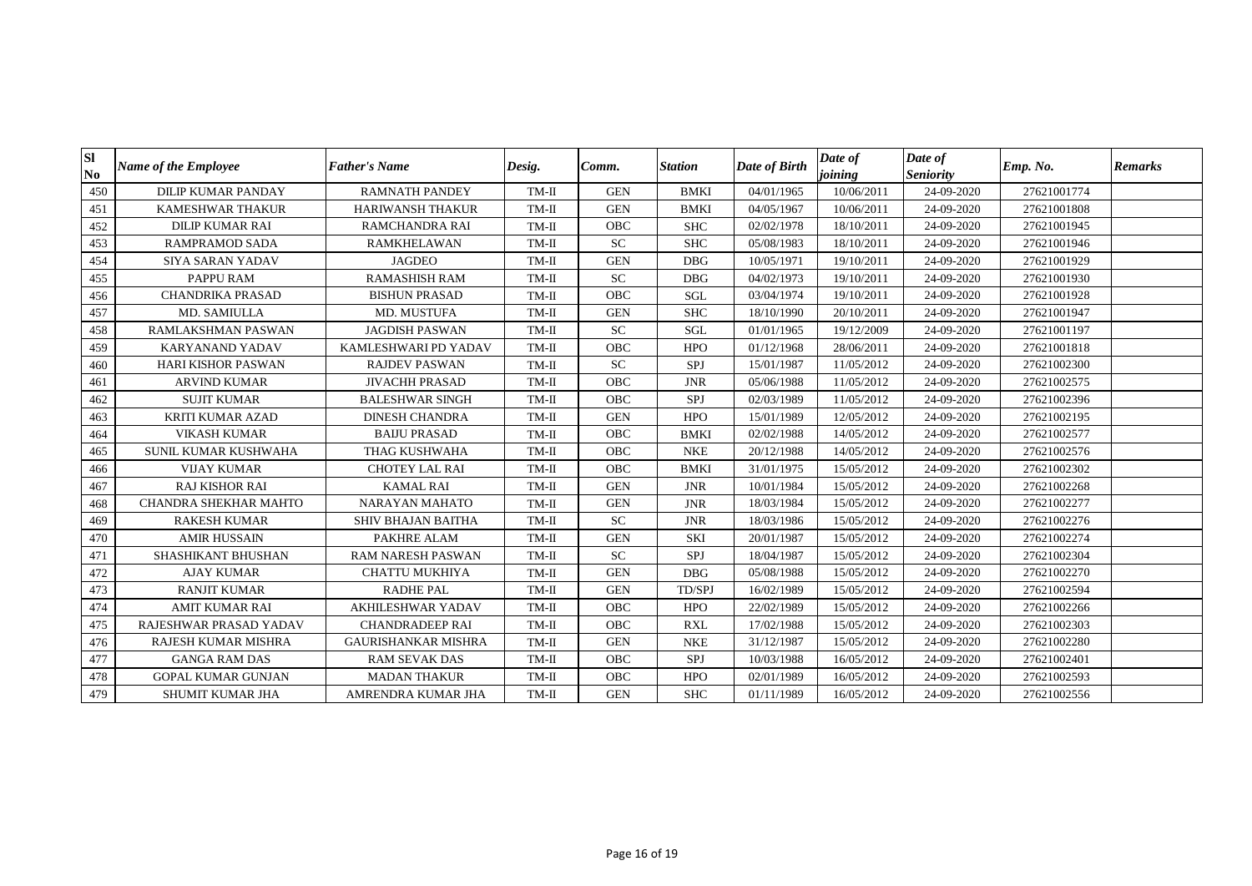| Sl<br>N <sub>0</sub> | <b>Name of the Employee</b> | <b>Father's Name</b>       | Desig.  | Comm.      | <b>Station</b> | Date of Birth | Date of<br>joining | Date of<br><b>Seniority</b> | Emp. No.    | <b>Remarks</b> |
|----------------------|-----------------------------|----------------------------|---------|------------|----------------|---------------|--------------------|-----------------------------|-------------|----------------|
| 450                  | <b>DILIP KUMAR PANDAY</b>   | <b>RAMNATH PANDEY</b>      | TM-II   | <b>GEN</b> | <b>BMKI</b>    | 04/01/1965    | 10/06/2011         | 24-09-2020                  | 27621001774 |                |
| 451                  | <b>KAMESHWAR THAKUR</b>     | <b>HARIWANSH THAKUR</b>    | TM-II   | <b>GEN</b> | <b>BMKI</b>    | 04/05/1967    | 10/06/2011         | 24-09-2020                  | 27621001808 |                |
| 452                  | <b>DILIP KUMAR RAI</b>      | RAMCHANDRA RAI             | $TM-II$ | <b>OBC</b> | <b>SHC</b>     | 02/02/1978    | 18/10/2011         | 24-09-2020                  | 27621001945 |                |
| 453                  | <b>RAMPRAMOD SADA</b>       | <b>RAMKHELAWAN</b>         | TM-II   | <b>SC</b>  | <b>SHC</b>     | 05/08/1983    | 18/10/2011         | 24-09-2020                  | 27621001946 |                |
| 454                  | <b>SIYA SARAN YADAV</b>     | <b>JAGDEO</b>              | TM-II   | <b>GEN</b> | <b>DBG</b>     | 10/05/1971    | 19/10/2011         | 24-09-2020                  | 27621001929 |                |
| 455                  | PAPPU RAM                   | <b>RAMASHISH RAM</b>       | TM-II   | <b>SC</b>  | <b>DBG</b>     | 04/02/1973    | 19/10/2011         | 24-09-2020                  | 27621001930 |                |
| 456                  | <b>CHANDRIKA PRASAD</b>     | <b>BISHUN PRASAD</b>       | TM-II   | OBC        | SGL            | 03/04/1974    | 19/10/2011         | 24-09-2020                  | 27621001928 |                |
| 457                  | MD. SAMIULLA                | MD. MUSTUFA                | TM-II   | <b>GEN</b> | <b>SHC</b>     | 18/10/1990    | 20/10/2011         | 24-09-2020                  | 27621001947 |                |
| 458                  | <b>RAMLAKSHMAN PASWAN</b>   | <b>JAGDISH PASWAN</b>      | TM-II   | ${\rm SC}$ | SGL            | 01/01/1965    | 19/12/2009         | 24-09-2020                  | 27621001197 |                |
| 459                  | <b>KARYANAND YADAV</b>      | KAMLESHWARI PD YADAV       | TM-II   | <b>OBC</b> | <b>HPO</b>     | 01/12/1968    | 28/06/2011         | 24-09-2020                  | 27621001818 |                |
| 460                  | <b>HARI KISHOR PASWAN</b>   | <b>RAJDEV PASWAN</b>       | TM-II   | <b>SC</b>  | SPJ            | 15/01/1987    | 11/05/2012         | 24-09-2020                  | 27621002300 |                |
| 461                  | <b>ARVIND KUMAR</b>         | <b>JIVACHH PRASAD</b>      | TM-II   | <b>OBC</b> | <b>JNR</b>     | 05/06/1988    | 11/05/2012         | 24-09-2020                  | 27621002575 |                |
| 462                  | <b>SUJIT KUMAR</b>          | <b>BALESHWAR SINGH</b>     | TM-II   | OBC        | SPJ            | 02/03/1989    | 11/05/2012         | 24-09-2020                  | 27621002396 |                |
| 463                  | KRITI KUMAR AZAD            | <b>DINESH CHANDRA</b>      | $TM-II$ | <b>GEN</b> | <b>HPO</b>     | 15/01/1989    | 12/05/2012         | 24-09-2020                  | 27621002195 |                |
| 464                  | <b>VIKASH KUMAR</b>         | <b>BAIJU PRASAD</b>        | TM-II   | <b>OBC</b> | <b>BMKI</b>    | 02/02/1988    | 14/05/2012         | 24-09-2020                  | 27621002577 |                |
| 465                  | SUNIL KUMAR KUSHWAHA        | THAG KUSHWAHA              | TM-II   | OBC        | <b>NKE</b>     | 20/12/1988    | 14/05/2012         | 24-09-2020                  | 27621002576 |                |
| 466                  | <b>VIJAY KUMAR</b>          | <b>CHOTEY LAL RAI</b>      | $TM-II$ | OBC        | <b>BMKI</b>    | 31/01/1975    | 15/05/2012         | 24-09-2020                  | 27621002302 |                |
| 467                  | <b>RAJ KISHOR RAI</b>       | <b>KAMAL RAI</b>           | TM-II   | <b>GEN</b> | <b>JNR</b>     | 10/01/1984    | 15/05/2012         | 24-09-2020                  | 27621002268 |                |
| 468                  | CHANDRA SHEKHAR MAHTO       | <b>NARAYAN MAHATO</b>      | TM-II   | <b>GEN</b> | <b>JNR</b>     | 18/03/1984    | 15/05/2012         | 24-09-2020                  | 27621002277 |                |
| 469                  | <b>RAKESH KUMAR</b>         | <b>SHIV BHAJAN BAITHA</b>  | $TM-II$ | <b>SC</b>  | <b>JNR</b>     | 18/03/1986    | 15/05/2012         | 24-09-2020                  | 27621002276 |                |
| 470                  | <b>AMIR HUSSAIN</b>         | PAKHRE ALAM                | TM-II   | <b>GEN</b> | <b>SKI</b>     | 20/01/1987    | 15/05/2012         | 24-09-2020                  | 27621002274 |                |
| 471                  | SHASHIKANT BHUSHAN          | <b>RAM NARESH PASWAN</b>   | TM-II   | <b>SC</b>  | SPJ            | 18/04/1987    | 15/05/2012         | 24-09-2020                  | 27621002304 |                |
| 472                  | <b>AJAY KUMAR</b>           | <b>CHATTU MUKHIYA</b>      | $TM-II$ | <b>GEN</b> | <b>DBG</b>     | 05/08/1988    | 15/05/2012         | 24-09-2020                  | 27621002270 |                |
| 473                  | <b>RANJIT KUMAR</b>         | <b>RADHE PAL</b>           | $TM-II$ | <b>GEN</b> | TD/SPJ         | 16/02/1989    | 15/05/2012         | 24-09-2020                  | 27621002594 |                |
| 474                  | <b>AMIT KUMAR RAI</b>       | <b>AKHILESHWAR YADAV</b>   | TM-II   | OBC        | <b>HPO</b>     | 22/02/1989    | 15/05/2012         | 24-09-2020                  | 27621002266 |                |
| 475                  | RAJESHWAR PRASAD YADAV      | <b>CHANDRADEEP RAI</b>     | TM-II   | OBC        | <b>RXL</b>     | 17/02/1988    | 15/05/2012         | 24-09-2020                  | 27621002303 |                |
| 476                  | RAJESH KUMAR MISHRA         | <b>GAURISHANKAR MISHRA</b> | $TM-II$ | <b>GEN</b> | <b>NKE</b>     | 31/12/1987    | 15/05/2012         | 24-09-2020                  | 27621002280 |                |
| 477                  | <b>GANGA RAM DAS</b>        | <b>RAM SEVAK DAS</b>       | TM-II   | <b>OBC</b> | SPJ            | 10/03/1988    | 16/05/2012         | 24-09-2020                  | 27621002401 |                |
| 478                  | <b>GOPAL KUMAR GUNJAN</b>   | <b>MADAN THAKUR</b>        | TM-II   | <b>OBC</b> | <b>HPO</b>     | 02/01/1989    | 16/05/2012         | 24-09-2020                  | 27621002593 |                |
| 479                  | SHUMIT KUMAR JHA            | AMRENDRA KUMAR JHA         | TM-II   | <b>GEN</b> | <b>SHC</b>     | 01/11/1989    | 16/05/2012         | 24-09-2020                  | 27621002556 |                |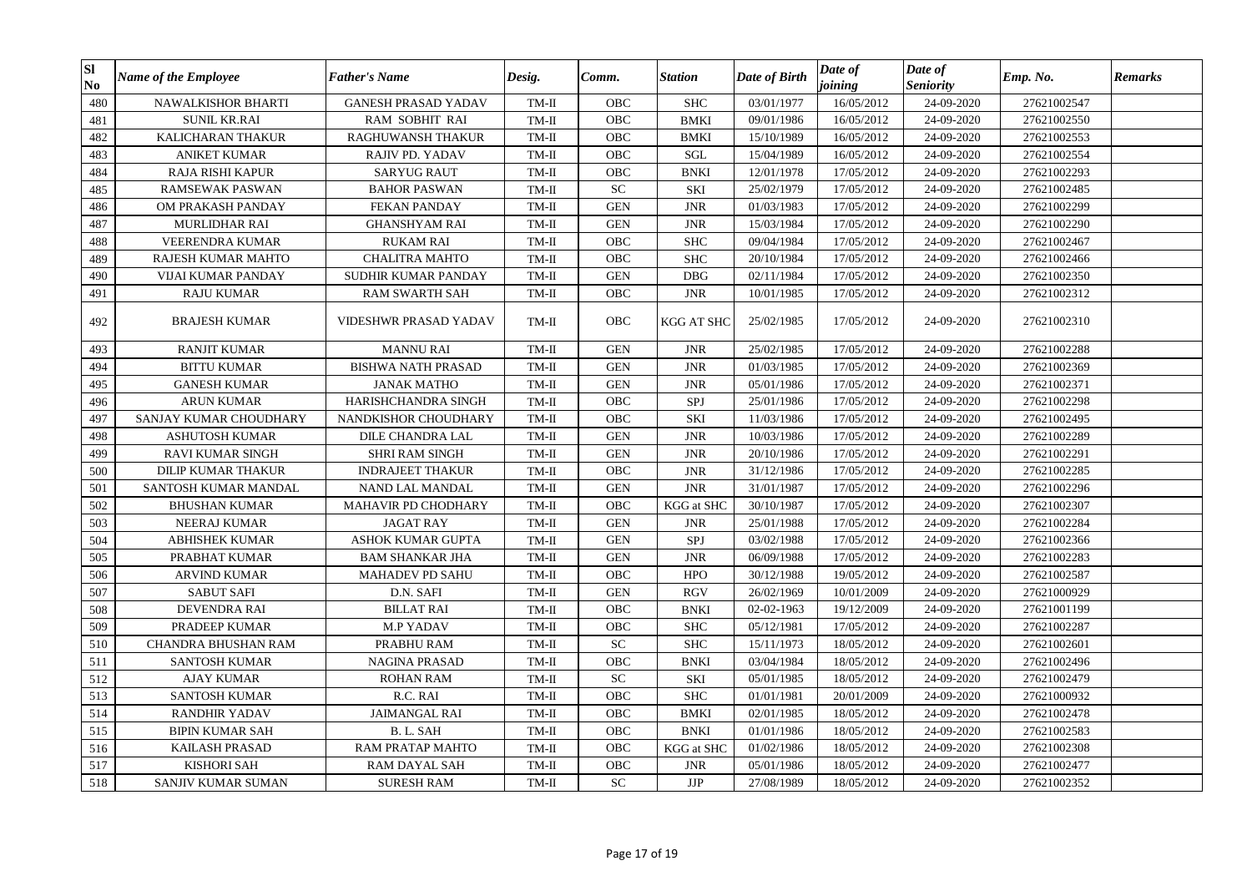| <b>SI</b><br>N <sub>0</sub> | <b>Name of the Employee</b> | <b>Father's Name</b>       | Desig.  | Comm.      | Station     | Date of Birth | Date of<br>joining | Date of<br><b>Seniority</b> | Emp. No.    | <b>Remarks</b> |
|-----------------------------|-----------------------------|----------------------------|---------|------------|-------------|---------------|--------------------|-----------------------------|-------------|----------------|
| 480                         | NAWALKISHOR BHARTI          | <b>GANESH PRASAD YADAV</b> | $TM-II$ | OBC        | <b>SHC</b>  | 03/01/1977    | 16/05/2012         | 24-09-2020                  | 27621002547 |                |
| 481                         | <b>SUNIL KR.RAI</b>         | RAM SOBHIT RAI             | $TM-II$ | OBC        | <b>BMKI</b> | 09/01/1986    | 16/05/2012         | 24-09-2020                  | 27621002550 |                |
| 482                         | KALICHARAN THAKUR           | RAGHUWANSH THAKUR          | $TM-II$ | OBC        | <b>BMKI</b> | 15/10/1989    | 16/05/2012         | 24-09-2020                  | 27621002553 |                |
| 483                         | <b>ANIKET KUMAR</b>         | RAJIV PD. YADAV            | $TM-II$ | <b>OBC</b> | <b>SGL</b>  | 15/04/1989    | 16/05/2012         | 24-09-2020                  | 27621002554 |                |
| 484                         | <b>RAJA RISHI KAPUR</b>     | <b>SARYUG RAUT</b>         | $TM-II$ | OBC        | <b>BNKI</b> | 12/01/1978    | 17/05/2012         | 24-09-2020                  | 27621002293 |                |
| 485                         | RAMSEWAK PASWAN             | <b>BAHOR PASWAN</b>        | $TM-II$ | <b>SC</b>  | SKI         | 25/02/1979    | 17/05/2012         | 24-09-2020                  | 27621002485 |                |
| 486                         | OM PRAKASH PANDAY           | <b>FEKAN PANDAY</b>        | $TM-II$ | <b>GEN</b> | <b>JNR</b>  | 01/03/1983    | 17/05/2012         | 24-09-2020                  | 27621002299 |                |
| 487                         | <b>MURLIDHAR RAI</b>        | <b>GHANSHYAM RAI</b>       | $TM-II$ | <b>GEN</b> | <b>JNR</b>  | 15/03/1984    | 17/05/2012         | 24-09-2020                  | 27621002290 |                |
| 488                         | VEERENDRA KUMAR             | <b>RUKAM RAI</b>           | TM-II   | OBC        | <b>SHC</b>  | 09/04/1984    | 17/05/2012         | 24-09-2020                  | 27621002467 |                |
| 489                         | RAJESH KUMAR MAHTO          | <b>CHALITRA MAHTO</b>      | $TM-II$ | OBC        | <b>SHC</b>  | 20/10/1984    | 17/05/2012         | 24-09-2020                  | 27621002466 |                |
| 490                         | VIJAI KUMAR PANDAY          | SUDHIR KUMAR PANDAY        | $TM-II$ | <b>GEN</b> | <b>DBG</b>  | 02/11/1984    | 17/05/2012         | 24-09-2020                  | 27621002350 |                |
| 491                         | <b>RAJU KUMAR</b>           | <b>RAM SWARTH SAH</b>      | $TM-II$ | <b>OBC</b> | <b>JNR</b>  | 10/01/1985    | 17/05/2012         | 24-09-2020                  | 27621002312 |                |
| 492                         | <b>BRAJESH KUMAR</b>        | VIDESHWR PRASAD YADAV      | TM-II   | <b>OBC</b> | KGG AT SHC  | 25/02/1985    | 17/05/2012         | 24-09-2020                  | 27621002310 |                |
| 493                         | <b>RANJIT KUMAR</b>         | <b>MANNU RAI</b>           | TM-II   | <b>GEN</b> | <b>JNR</b>  | 25/02/1985    | 17/05/2012         | 24-09-2020                  | 27621002288 |                |
| 494                         | <b>BITTU KUMAR</b>          | <b>BISHWA NATH PRASAD</b>  | $TM-II$ | <b>GEN</b> | <b>JNR</b>  | 01/03/1985    | 17/05/2012         | 24-09-2020                  | 27621002369 |                |
| 495                         | <b>GANESH KUMAR</b>         | <b>JANAK MATHO</b>         | $TM-II$ | <b>GEN</b> | <b>JNR</b>  | 05/01/1986    | 17/05/2012         | 24-09-2020                  | 27621002371 |                |
| 496                         | <b>ARUN KUMAR</b>           | HARISHCHANDRA SINGH        | TM-II   | OBC        | SPJ         | 25/01/1986    | 17/05/2012         | 24-09-2020                  | 27621002298 |                |
| 497                         | SANJAY KUMAR CHOUDHARY      | NANDKISHOR CHOUDHARY       | TM-II   | OBC        | SKI         | 11/03/1986    | 17/05/2012         | 24-09-2020                  | 27621002495 |                |
| 498                         | <b>ASHUTOSH KUMAR</b>       | DILE CHANDRA LAL           | TM-II   | <b>GEN</b> | <b>JNR</b>  | 10/03/1986    | 17/05/2012         | 24-09-2020                  | 27621002289 |                |
| 499                         | <b>RAVI KUMAR SINGH</b>     | <b>SHRI RAM SINGH</b>      | $TM-II$ | <b>GEN</b> | <b>JNR</b>  | 20/10/1986    | 17/05/2012         | 24-09-2020                  | 27621002291 |                |
| 500                         | DILIP KUMAR THAKUR          | <b>INDRAJEET THAKUR</b>    | $TM-II$ | OBC        | <b>JNR</b>  | 31/12/1986    | 17/05/2012         | 24-09-2020                  | 27621002285 |                |
| 501                         | SANTOSH KUMAR MANDAL        | NAND LAL MANDAL            | $TM-II$ | <b>GEN</b> | <b>JNR</b>  | 31/01/1987    | 17/05/2012         | 24-09-2020                  | 27621002296 |                |
| 502                         | <b>BHUSHAN KUMAR</b>        | MAHAVIR PD CHODHARY        | $TM-II$ | OBC        | KGG at SHC  | 30/10/1987    | 17/05/2012         | 24-09-2020                  | 27621002307 |                |
| 503                         | <b>NEERAJ KUMAR</b>         | <b>JAGAT RAY</b>           | $TM-II$ | <b>GEN</b> | <b>JNR</b>  | 25/01/1988    | 17/05/2012         | 24-09-2020                  | 27621002284 |                |
| 504                         | ABHISHEK KUMAR              | ASHOK KUMAR GUPTA          | TM-II   | <b>GEN</b> | SPJ         | 03/02/1988    | 17/05/2012         | 24-09-2020                  | 27621002366 |                |
| 505                         | PRABHAT KUMAR               | <b>BAM SHANKAR JHA</b>     | $TM-II$ | <b>GEN</b> | <b>JNR</b>  | 06/09/1988    | 17/05/2012         | 24-09-2020                  | 27621002283 |                |
| 506                         | <b>ARVIND KUMAR</b>         | <b>MAHADEV PD SAHU</b>     | $TM-II$ | OBC        | <b>HPO</b>  | 30/12/1988    | 19/05/2012         | 24-09-2020                  | 27621002587 |                |
| 507                         | <b>SABUT SAFI</b>           | D.N. SAFI                  | $TM-II$ | <b>GEN</b> | <b>RGV</b>  | 26/02/1969    | 10/01/2009         | 24-09-2020                  | 27621000929 |                |
| 508                         | <b>DEVENDRA RAI</b>         | <b>BILLAT RAI</b>          | $TM-II$ | OBC        | <b>BNKI</b> | 02-02-1963    | 19/12/2009         | 24-09-2020                  | 27621001199 |                |
| 509                         | PRADEEP KUMAR               | <b>M.P YADAV</b>           | $TM-II$ | OBC        | <b>SHC</b>  | 05/12/1981    | 17/05/2012         | 24-09-2020                  | 27621002287 |                |
| 510                         | CHANDRA BHUSHAN RAM         | PRABHU RAM                 | TM-II   | ${\rm SC}$ | <b>SHC</b>  | 15/11/1973    | 18/05/2012         | 24-09-2020                  | 27621002601 |                |
| 511                         | <b>SANTOSH KUMAR</b>        | <b>NAGINA PRASAD</b>       | $TM-II$ | <b>OBC</b> | <b>BNKI</b> | 03/04/1984    | 18/05/2012         | 24-09-2020                  | 27621002496 |                |
| 512                         | <b>AJAY KUMAR</b>           | <b>ROHAN RAM</b>           | TM-II   | <b>SC</b>  | SKI         | 05/01/1985    | 18/05/2012         | 24-09-2020                  | 27621002479 |                |
| 513                         | <b>SANTOSH KUMAR</b>        | R.C. RAI                   | $TM-II$ | <b>OBC</b> | <b>SHC</b>  | 01/01/1981    | 20/01/2009         | 24-09-2020                  | 27621000932 |                |
| 514                         | <b>RANDHIR YADAV</b>        | <b>JAIMANGAL RAI</b>       | $TM-II$ | OBC        | <b>BMKI</b> | 02/01/1985    | 18/05/2012         | 24-09-2020                  | 27621002478 |                |
| 515                         | <b>BIPIN KUMAR SAH</b>      | B.L. SAH                   | $TM-II$ | OBC        | <b>BNKI</b> | 01/01/1986    | 18/05/2012         | 24-09-2020                  | 27621002583 |                |
| 516                         | <b>KAILASH PRASAD</b>       | RAM PRATAP MAHTO           | $TM-II$ | OBC        | KGG at SHC  | 01/02/1986    | 18/05/2012         | 24-09-2020                  | 27621002308 |                |
| 517                         | <b>KISHORI SAH</b>          | RAM DAYAL SAH              | $TM-II$ | OBC        | <b>JNR</b>  | 05/01/1986    | 18/05/2012         | 24-09-2020                  | 27621002477 |                |
| 518                         | SANJIV KUMAR SUMAN          | <b>SURESH RAM</b>          | TM-II   | ${\rm SC}$ | JJP         | 27/08/1989    | 18/05/2012         | 24-09-2020                  | 27621002352 |                |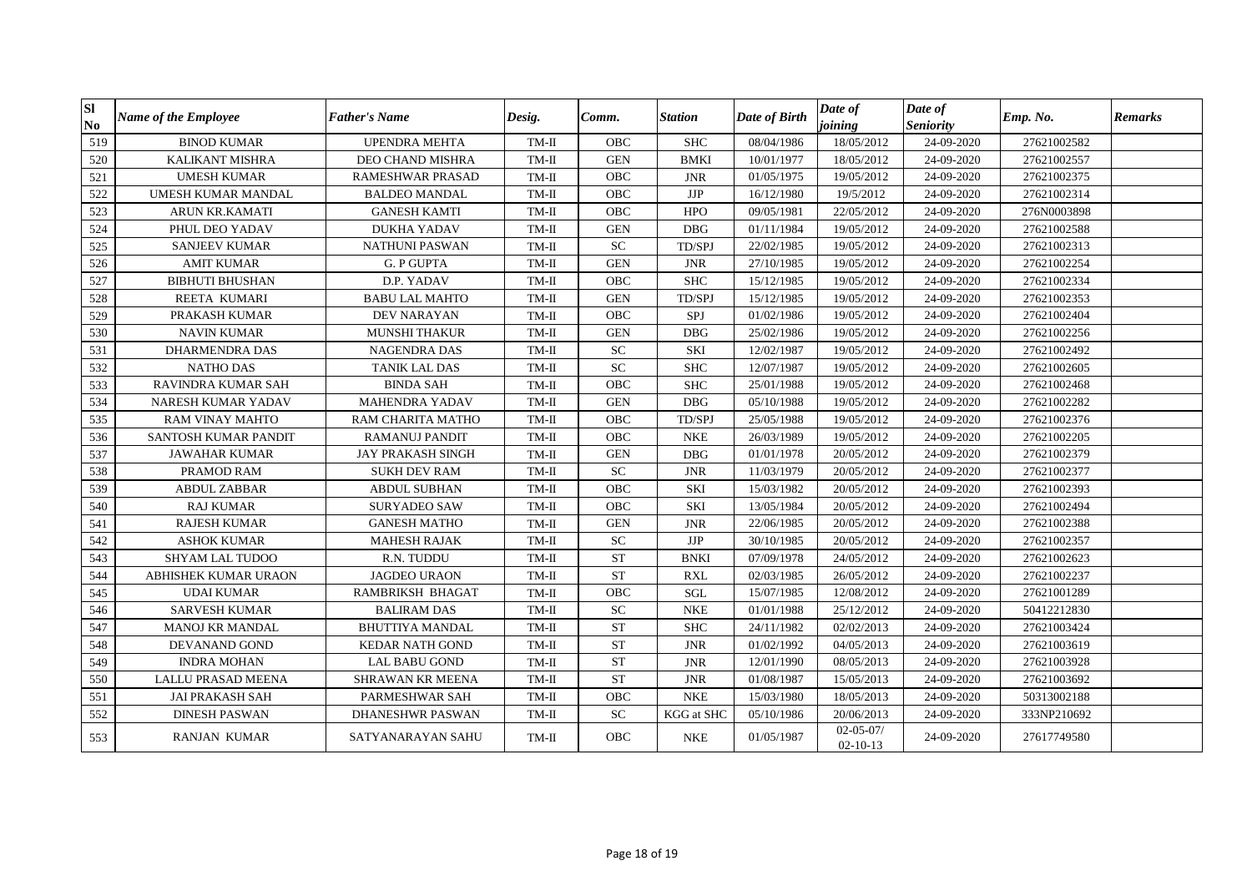| <b>SI</b><br>$\mathbf{N}\mathbf{o}$ | <b>Name of the Employee</b> | <b>Father's Name</b>     | Desig.  | Comm.      | <b>Station</b>              | Date of Birth | Date of<br>joining                | Date of<br><b>Seniority</b> | Emp. No.    | <b>Remarks</b> |
|-------------------------------------|-----------------------------|--------------------------|---------|------------|-----------------------------|---------------|-----------------------------------|-----------------------------|-------------|----------------|
| 519                                 | <b>BINOD KUMAR</b>          | <b>UPENDRA MEHTA</b>     | $TM-II$ | OBC        | <b>SHC</b>                  | 08/04/1986    | 18/05/2012                        | 24-09-2020                  | 27621002582 |                |
| 520                                 | <b>KALIKANT MISHRA</b>      | DEO CHAND MISHRA         | TM-II   | <b>GEN</b> | <b>BMKI</b>                 | 10/01/1977    | 18/05/2012                        | 24-09-2020                  | 27621002557 |                |
| 521                                 | <b>UMESH KUMAR</b>          | RAMESHWAR PRASAD         | $TM-II$ | OBC        | <b>JNR</b>                  | 01/05/1975    | 19/05/2012                        | 24-09-2020                  | 27621002375 |                |
| 522                                 | <b>UMESH KUMAR MANDAL</b>   | <b>BALDEO MANDAL</b>     | TM-II   | <b>OBC</b> | $\rm{JJP}$                  | 16/12/1980    | 19/5/2012                         | 24-09-2020                  | 27621002314 |                |
| 523                                 | <b>ARUN KR.KAMATI</b>       | <b>GANESH KAMTI</b>      | TM-II   | <b>OBC</b> | <b>HPO</b>                  | 09/05/1981    | 22/05/2012                        | 24-09-2020                  | 276N0003898 |                |
| 524                                 | PHUL DEO YADAV              | <b>DUKHA YADAV</b>       | TM-II   | <b>GEN</b> | <b>DBG</b>                  | 01/11/1984    | 19/05/2012                        | 24-09-2020                  | 27621002588 |                |
| 525                                 | <b>SANJEEV KUMAR</b>        | <b>NATHUNI PASWAN</b>    | TM-II   | <b>SC</b>  | TD/SPJ                      | 22/02/1985    | 19/05/2012                        | 24-09-2020                  | 27621002313 |                |
| 526                                 | <b>AMIT KUMAR</b>           | <b>G. P GUPTA</b>        | TM-II   | <b>GEN</b> | <b>JNR</b>                  | 27/10/1985    | 19/05/2012                        | 24-09-2020                  | 27621002254 |                |
| 527                                 | <b>BIBHUTI BHUSHAN</b>      | D.P. YADAV               | TM-II   | <b>OBC</b> | <b>SHC</b>                  | 15/12/1985    | 19/05/2012                        | 24-09-2020                  | 27621002334 |                |
| 528                                 | REETA KUMARI                | <b>BABU LAL MAHTO</b>    | $TM-II$ | <b>GEN</b> | TD/SPJ                      | 15/12/1985    | 19/05/2012                        | 24-09-2020                  | 27621002353 |                |
| 529                                 | PRAKASH KUMAR               | <b>DEV NARAYAN</b>       | $TM-II$ | <b>OBC</b> | SPJ                         | 01/02/1986    | 19/05/2012                        | 24-09-2020                  | 27621002404 |                |
| 530                                 | <b>NAVIN KUMAR</b>          | <b>MUNSHI THAKUR</b>     | TM-II   | <b>GEN</b> | <b>DBG</b>                  | 25/02/1986    | 19/05/2012                        | 24-09-2020                  | 27621002256 |                |
| 531                                 | <b>DHARMENDRA DAS</b>       | <b>NAGENDRA DAS</b>      | $TM-II$ | <b>SC</b>  | SKI                         | 12/02/1987    | 19/05/2012                        | 24-09-2020                  | 27621002492 |                |
| 532                                 | <b>NATHO DAS</b>            | <b>TANIK LAL DAS</b>     | $TM-II$ | <b>SC</b>  | <b>SHC</b>                  | 12/07/1987    | 19/05/2012                        | 24-09-2020                  | 27621002605 |                |
| 533                                 | RAVINDRA KUMAR SAH          | <b>BINDA SAH</b>         | $TM-II$ | OBC        | <b>SHC</b>                  | 25/01/1988    | 19/05/2012                        | 24-09-2020                  | 27621002468 |                |
| 534                                 | NARESH KUMAR YADAV          | <b>MAHENDRA YADAV</b>    | $TM-II$ | <b>GEN</b> | <b>DBG</b>                  | 05/10/1988    | 19/05/2012                        | 24-09-2020                  | 27621002282 |                |
| 535                                 | <b>RAM VINAY MAHTO</b>      | RAM CHARITA MATHO        | TM-II   | OBC        | TD/SPJ                      | 25/05/1988    | 19/05/2012                        | 24-09-2020                  | 27621002376 |                |
| 536                                 | SANTOSH KUMAR PANDIT        | RAMANUJ PANDIT           | TM-II   | OBC        | $\ensuremath{\mathsf{NKE}}$ | 26/03/1989    | 19/05/2012                        | 24-09-2020                  | 27621002205 |                |
| 537                                 | <b>JAWAHAR KUMAR</b>        | <b>JAY PRAKASH SINGH</b> | $TM-II$ | <b>GEN</b> | <b>DBG</b>                  | 01/01/1978    | 20/05/2012                        | 24-09-2020                  | 27621002379 |                |
| 538                                 | PRAMOD RAM                  | <b>SUKH DEV RAM</b>      | TM-II   | <b>SC</b>  | <b>JNR</b>                  | 11/03/1979    | 20/05/2012                        | 24-09-2020                  | 27621002377 |                |
| 539                                 | <b>ABDUL ZABBAR</b>         | <b>ABDUL SUBHAN</b>      | TM-II   | OBC        | <b>SKI</b>                  | 15/03/1982    | 20/05/2012                        | 24-09-2020                  | 27621002393 |                |
| 540                                 | <b>RAJ KUMAR</b>            | <b>SURYADEO SAW</b>      | TM-II   | OBC        | <b>SKI</b>                  | 13/05/1984    | 20/05/2012                        | 24-09-2020                  | 27621002494 |                |
| 541                                 | <b>RAJESH KUMAR</b>         | <b>GANESH MATHO</b>      | TM-II   | <b>GEN</b> | <b>JNR</b>                  | 22/06/1985    | 20/05/2012                        | 24-09-2020                  | 27621002388 |                |
| 542                                 | <b>ASHOK KUMAR</b>          | <b>MAHESH RAJAK</b>      | TM-II   | <b>SC</b>  | <b>JJP</b>                  | 30/10/1985    | 20/05/2012                        | 24-09-2020                  | 27621002357 |                |
| 543                                 | <b>SHYAM LAL TUDOO</b>      | R.N. TUDDU               | TM-II   | <b>ST</b>  | <b>BNKI</b>                 | 07/09/1978    | 24/05/2012                        | 24-09-2020                  | 27621002623 |                |
| 544                                 | ABHISHEK KUMAR URAON        | <b>JAGDEO URAON</b>      | $TM-II$ | <b>ST</b>  | <b>RXL</b>                  | 02/03/1985    | 26/05/2012                        | 24-09-2020                  | 27621002237 |                |
| 545                                 | <b>UDAI KUMAR</b>           | RAMBRIKSH BHAGAT         | TM-II   | OBC        | SGL                         | 15/07/1985    | 12/08/2012                        | 24-09-2020                  | 27621001289 |                |
| 546                                 | <b>SARVESH KUMAR</b>        | <b>BALIRAM DAS</b>       | TM-II   | <b>SC</b>  | <b>NKE</b>                  | 01/01/1988    | 25/12/2012                        | 24-09-2020                  | 50412212830 |                |
| 547                                 | MANOJ KR MANDAL             | <b>BHUTTIYA MANDAL</b>   | TM-II   | <b>ST</b>  | <b>SHC</b>                  | 24/11/1982    | 02/02/2013                        | 24-09-2020                  | 27621003424 |                |
| 548                                 | DEVANAND GOND               | <b>KEDAR NATH GOND</b>   | $TM-II$ | <b>ST</b>  | <b>JNR</b>                  | 01/02/1992    | 04/05/2013                        | 24-09-2020                  | 27621003619 |                |
| 549                                 | <b>INDRA MOHAN</b>          | <b>LAL BABU GOND</b>     | $TM-II$ | <b>ST</b>  | <b>JNR</b>                  | 12/01/1990    | 08/05/2013                        | 24-09-2020                  | 27621003928 |                |
| 550                                 | <b>LALLU PRASAD MEENA</b>   | SHRAWAN KR MEENA         | $TM-II$ | <b>ST</b>  | <b>JNR</b>                  | 01/08/1987    | 15/05/2013                        | 24-09-2020                  | 27621003692 |                |
| 551                                 | <b>JAI PRAKASH SAH</b>      | PARMESHWAR SAH           | $TM-II$ | <b>OBC</b> | <b>NKE</b>                  | 15/03/1980    | 18/05/2013                        | 24-09-2020                  | 50313002188 |                |
| 552                                 | <b>DINESH PASWAN</b>        | DHANESHWR PASWAN         | TM-II   | ${\rm SC}$ | KGG at SHC                  | 05/10/1986    | 20/06/2013                        | 24-09-2020                  | 333NP210692 |                |
| 553                                 | <b>RANJAN KUMAR</b>         | SATYANARAYAN SAHU        | TM-II   | <b>OBC</b> | <b>NKE</b>                  | 01/05/1987    | $02 - 05 - 07/$<br>$02 - 10 - 13$ | 24-09-2020                  | 27617749580 |                |